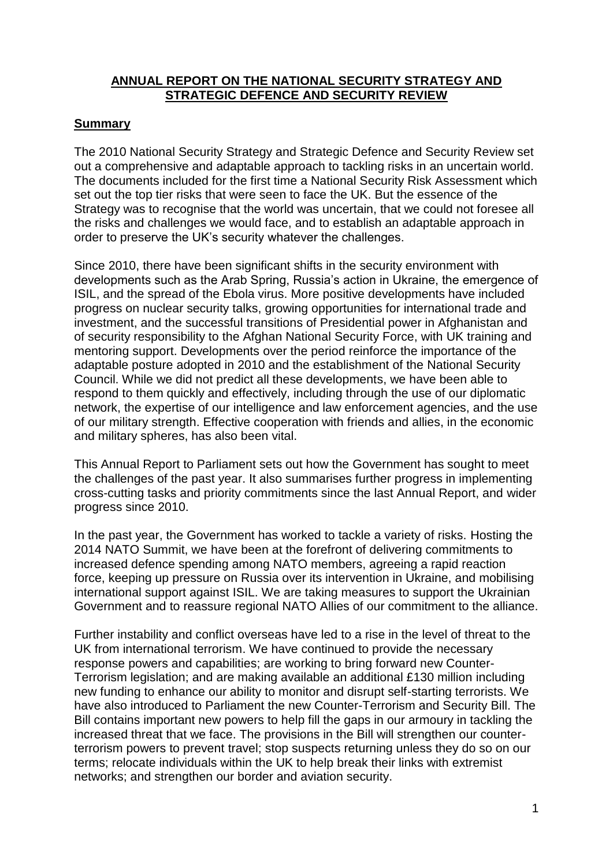# **ANNUAL REPORT ON THE NATIONAL SECURITY STRATEGY AND STRATEGIC DEFENCE AND SECURITY REVIEW**

# **Summary**

The 2010 National Security Strategy and Strategic Defence and Security Review set out a comprehensive and adaptable approach to tackling risks in an uncertain world. The documents included for the first time a National Security Risk Assessment which set out the top tier risks that were seen to face the UK. But the essence of the Strategy was to recognise that the world was uncertain, that we could not foresee all the risks and challenges we would face, and to establish an adaptable approach in order to preserve the UK"s security whatever the challenges.

Since 2010, there have been significant shifts in the security environment with developments such as the Arab Spring, Russia"s action in Ukraine, the emergence of ISIL, and the spread of the Ebola virus. More positive developments have included progress on nuclear security talks, growing opportunities for international trade and investment, and the successful transitions of Presidential power in Afghanistan and of security responsibility to the Afghan National Security Force, with UK training and mentoring support. Developments over the period reinforce the importance of the adaptable posture adopted in 2010 and the establishment of the National Security Council. While we did not predict all these developments, we have been able to respond to them quickly and effectively, including through the use of our diplomatic network, the expertise of our intelligence and law enforcement agencies, and the use of our military strength. Effective cooperation with friends and allies, in the economic and military spheres, has also been vital.

This Annual Report to Parliament sets out how the Government has sought to meet the challenges of the past year. It also summarises further progress in implementing cross-cutting tasks and priority commitments since the last Annual Report, and wider progress since 2010.

In the past year, the Government has worked to tackle a variety of risks. Hosting the 2014 NATO Summit, we have been at the forefront of delivering commitments to increased defence spending among NATO members, agreeing a rapid reaction force, keeping up pressure on Russia over its intervention in Ukraine, and mobilising international support against ISIL. We are taking measures to support the Ukrainian Government and to reassure regional NATO Allies of our commitment to the alliance.

Further instability and conflict overseas have led to a rise in the level of threat to the UK from international terrorism. We have continued to provide the necessary response powers and capabilities; are working to bring forward new Counter-Terrorism legislation; and are making available an additional £130 million including new funding to enhance our ability to monitor and disrupt self-starting terrorists. We have also introduced to Parliament the new Counter-Terrorism and Security Bill. The Bill contains important new powers to help fill the gaps in our armoury in tackling the increased threat that we face. The provisions in the Bill will strengthen our counterterrorism powers to prevent travel; stop suspects returning unless they do so on our terms; relocate individuals within the UK to help break their links with extremist networks; and strengthen our border and aviation security.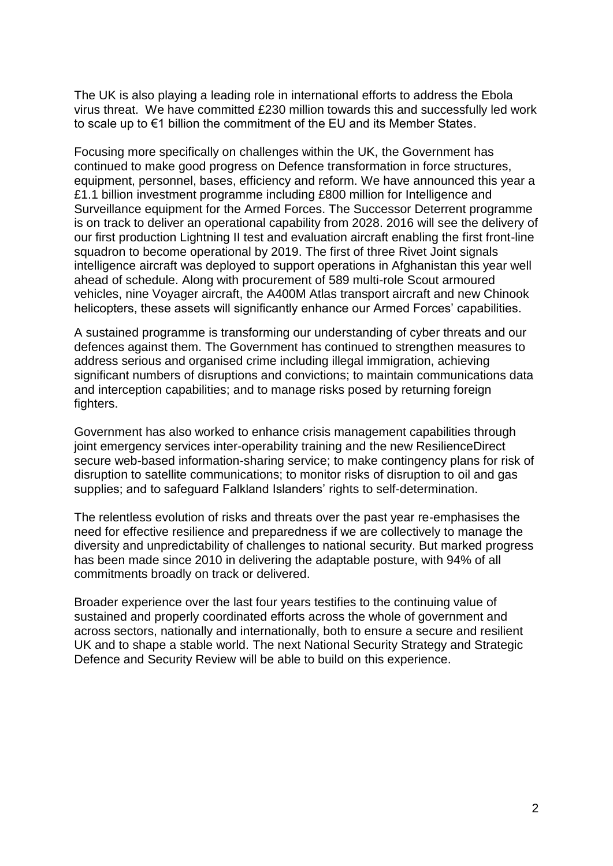The UK is also playing a leading role in international efforts to address the Ebola virus threat. We have committed £230 million towards this and successfully led work to scale up to €1 billion the commitment of the EU and its Member States.

Focusing more specifically on challenges within the UK, the Government has continued to make good progress on Defence transformation in force structures, equipment, personnel, bases, efficiency and reform. We have announced this year a £1.1 billion investment programme including £800 million for Intelligence and Surveillance equipment for the Armed Forces. The Successor Deterrent programme is on track to deliver an operational capability from 2028. 2016 will see the delivery of our first production Lightning II test and evaluation aircraft enabling the first front-line squadron to become operational by 2019. The first of three Rivet Joint signals intelligence aircraft was deployed to support operations in Afghanistan this year well ahead of schedule. Along with procurement of 589 multi-role Scout armoured vehicles, nine Voyager aircraft, the A400M Atlas transport aircraft and new Chinook helicopters, these assets will significantly enhance our Armed Forces' capabilities.

A sustained programme is transforming our understanding of cyber threats and our defences against them. The Government has continued to strengthen measures to address serious and organised crime including illegal immigration, achieving significant numbers of disruptions and convictions; to maintain communications data and interception capabilities; and to manage risks posed by returning foreign fighters.

Government has also worked to enhance crisis management capabilities through joint emergency services inter-operability training and the new ResilienceDirect secure web-based information-sharing service; to make contingency plans for risk of disruption to satellite communications; to monitor risks of disruption to oil and gas supplies; and to safeguard Falkland Islanders' rights to self-determination.

The relentless evolution of risks and threats over the past year re-emphasises the need for effective resilience and preparedness if we are collectively to manage the diversity and unpredictability of challenges to national security. But marked progress has been made since 2010 in delivering the adaptable posture, with 94% of all commitments broadly on track or delivered.

Broader experience over the last four years testifies to the continuing value of sustained and properly coordinated efforts across the whole of government and across sectors, nationally and internationally, both to ensure a secure and resilient UK and to shape a stable world. The next National Security Strategy and Strategic Defence and Security Review will be able to build on this experience.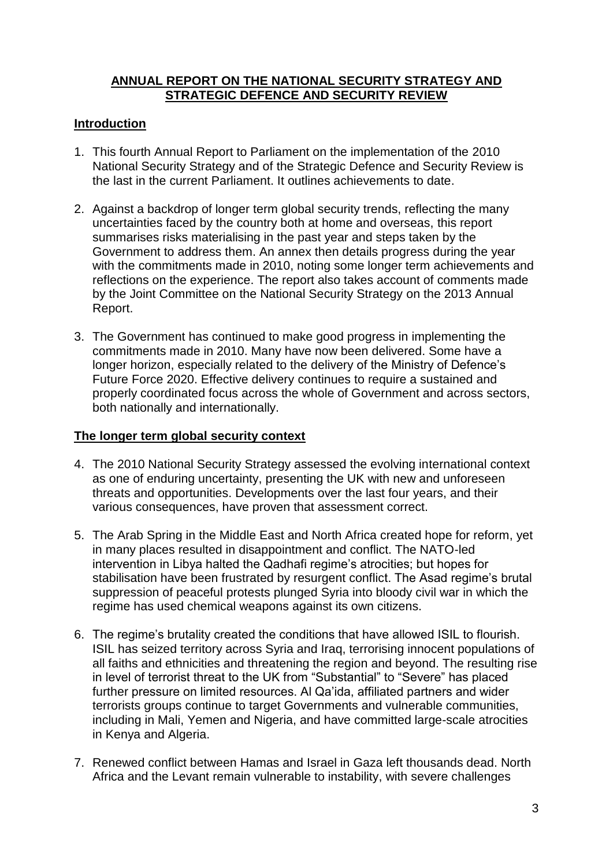# **ANNUAL REPORT ON THE NATIONAL SECURITY STRATEGY AND STRATEGIC DEFENCE AND SECURITY REVIEW**

# **Introduction**

- 1. This fourth Annual Report to Parliament on the implementation of the 2010 National Security Strategy and of the Strategic Defence and Security Review is the last in the current Parliament. It outlines achievements to date.
- 2. Against a backdrop of longer term global security trends, reflecting the many uncertainties faced by the country both at home and overseas, this report summarises risks materialising in the past year and steps taken by the Government to address them. An annex then details progress during the year with the commitments made in 2010, noting some longer term achievements and reflections on the experience. The report also takes account of comments made by the Joint Committee on the National Security Strategy on the 2013 Annual Report.
- 3. The Government has continued to make good progress in implementing the commitments made in 2010. Many have now been delivered. Some have a longer horizon, especially related to the delivery of the Ministry of Defence's Future Force 2020. Effective delivery continues to require a sustained and properly coordinated focus across the whole of Government and across sectors, both nationally and internationally.

## **The longer term global security context**

- 4. The 2010 National Security Strategy assessed the evolving international context as one of enduring uncertainty, presenting the UK with new and unforeseen threats and opportunities. Developments over the last four years, and their various consequences, have proven that assessment correct.
- 5. The Arab Spring in the Middle East and North Africa created hope for reform, yet in many places resulted in disappointment and conflict. The NATO-led intervention in Libya halted the Qadhafi regime's atrocities; but hopes for stabilisation have been frustrated by resurgent conflict. The Asad regime"s brutal suppression of peaceful protests plunged Syria into bloody civil war in which the regime has used chemical weapons against its own citizens.
- 6. The regime"s brutality created the conditions that have allowed ISIL to flourish. ISIL has seized territory across Syria and Iraq, terrorising innocent populations of all faiths and ethnicities and threatening the region and beyond. The resulting rise in level of terrorist threat to the UK from "Substantial" to "Severe" has placed further pressure on limited resources. Al Qa"ida, affiliated partners and wider terrorists groups continue to target Governments and vulnerable communities, including in Mali, Yemen and Nigeria, and have committed large-scale atrocities in Kenya and Algeria.
- 7. Renewed conflict between Hamas and Israel in Gaza left thousands dead. North Africa and the Levant remain vulnerable to instability, with severe challenges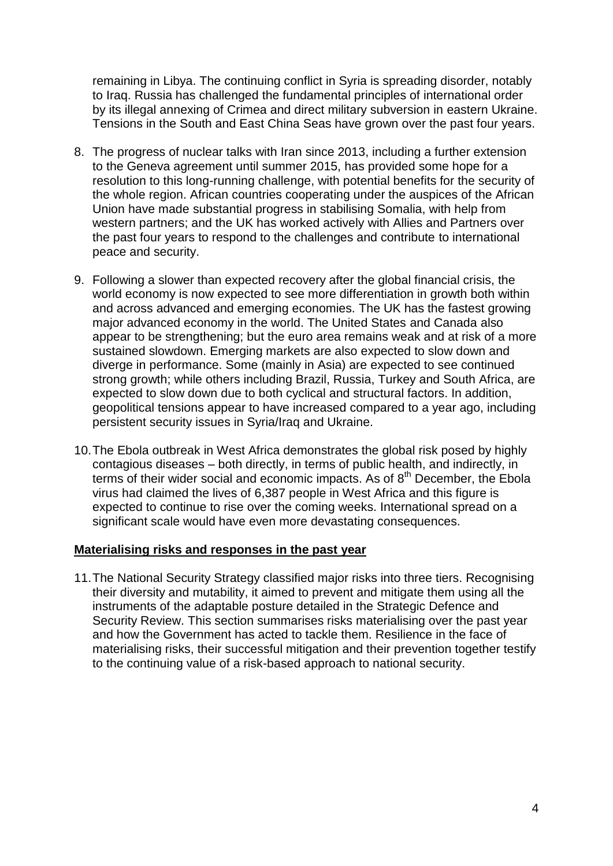remaining in Libya. The continuing conflict in Syria is spreading disorder, notably to Iraq. Russia has challenged the fundamental principles of international order by its illegal annexing of Crimea and direct military subversion in eastern Ukraine. Tensions in the South and East China Seas have grown over the past four years.

- 8. The progress of nuclear talks with Iran since 2013, including a further extension to the Geneva agreement until summer 2015, has provided some hope for a resolution to this long-running challenge, with potential benefits for the security of the whole region. African countries cooperating under the auspices of the African Union have made substantial progress in stabilising Somalia, with help from western partners; and the UK has worked actively with Allies and Partners over the past four years to respond to the challenges and contribute to international peace and security.
- 9. Following a slower than expected recovery after the global financial crisis, the world economy is now expected to see more differentiation in growth both within and across advanced and emerging economies. The UK has the fastest growing major advanced economy in the world. The United States and Canada also appear to be strengthening; but the euro area remains weak and at risk of a more sustained slowdown. Emerging markets are also expected to slow down and diverge in performance. Some (mainly in Asia) are expected to see continued strong growth; while others including Brazil, Russia, Turkey and South Africa, are expected to slow down due to both cyclical and structural factors. In addition, geopolitical tensions appear to have increased compared to a year ago, including persistent security issues in Syria/Iraq and Ukraine.
- 10.The Ebola outbreak in West Africa demonstrates the global risk posed by highly contagious diseases – both directly, in terms of public health, and indirectly, in terms of their wider social and economic impacts. As of 8<sup>th</sup> December, the Ebola virus had claimed the lives of 6,387 people in West Africa and this figure is expected to continue to rise over the coming weeks. International spread on a significant scale would have even more devastating consequences.

#### **Materialising risks and responses in the past year**

11.The National Security Strategy classified major risks into three tiers. Recognising their diversity and mutability, it aimed to prevent and mitigate them using all the instruments of the adaptable posture detailed in the Strategic Defence and Security Review. This section summarises risks materialising over the past year and how the Government has acted to tackle them. Resilience in the face of materialising risks, their successful mitigation and their prevention together testify to the continuing value of a risk-based approach to national security.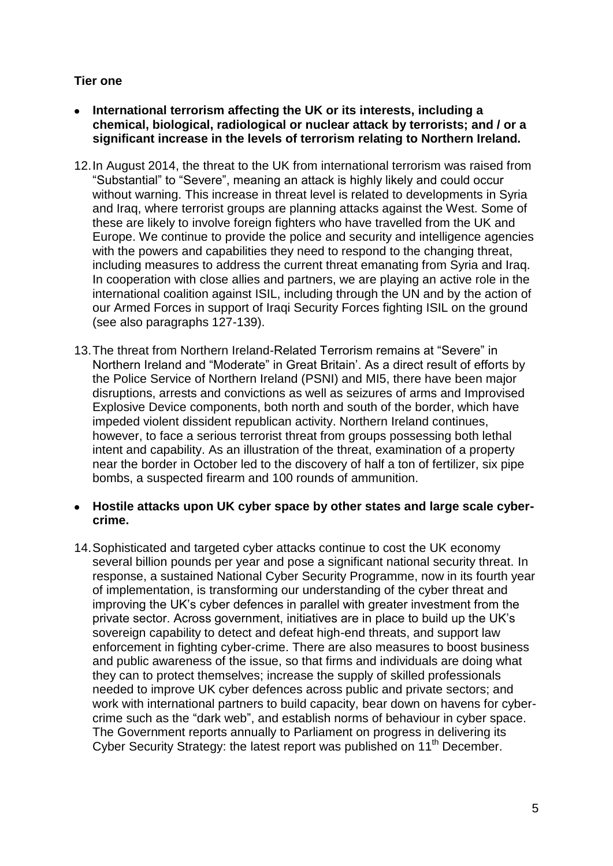# **Tier one**

- **International terrorism affecting the UK or its interests, including a chemical, biological, radiological or nuclear attack by terrorists; and / or a significant increase in the levels of terrorism relating to Northern Ireland.**
- 12.In August 2014, the threat to the UK from international terrorism was raised from "Substantial" to "Severe", meaning an attack is highly likely and could occur without warning. This increase in threat level is related to developments in Syria and Iraq, where terrorist groups are planning attacks against the West. Some of these are likely to involve foreign fighters who have travelled from the UK and Europe. We continue to provide the police and security and intelligence agencies with the powers and capabilities they need to respond to the changing threat, including measures to address the current threat emanating from Syria and Iraq. In cooperation with close allies and partners, we are playing an active role in the international coalition against ISIL, including through the UN and by the action of our Armed Forces in support of Iraqi Security Forces fighting ISIL on the ground (see also paragraphs 127-139).
- 13.The threat from Northern Ireland-Related Terrorism remains at "Severe" in Northern Ireland and "Moderate" in Great Britain". As a direct result of efforts by the Police Service of Northern Ireland (PSNI) and MI5, there have been major disruptions, arrests and convictions as well as seizures of arms and Improvised Explosive Device components, both north and south of the border, which have impeded violent dissident republican activity. Northern Ireland continues, however, to face a serious terrorist threat from groups possessing both lethal intent and capability. As an illustration of the threat, examination of a property near the border in October led to the discovery of half a ton of fertilizer, six pipe bombs, a suspected firearm and 100 rounds of ammunition.

## **Hostile attacks upon UK cyber space by other states and large scale cybercrime.**

14.Sophisticated and targeted cyber attacks continue to cost the UK economy several billion pounds per year and pose a significant national security threat. In response, a sustained National Cyber Security Programme, now in its fourth year of implementation, is transforming our understanding of the cyber threat and improving the UK"s cyber defences in parallel with greater investment from the private sector. Across government, initiatives are in place to build up the UK"s sovereign capability to detect and defeat high-end threats, and support law enforcement in fighting cyber-crime. There are also measures to boost business and public awareness of the issue, so that firms and individuals are doing what they can to protect themselves; increase the supply of skilled professionals needed to improve UK cyber defences across public and private sectors; and work with international partners to build capacity, bear down on havens for cybercrime such as the "dark web", and establish norms of behaviour in cyber space. The Government reports annually to Parliament on progress in delivering its Cyber Security Strategy: the latest report was published on 11<sup>th</sup> December.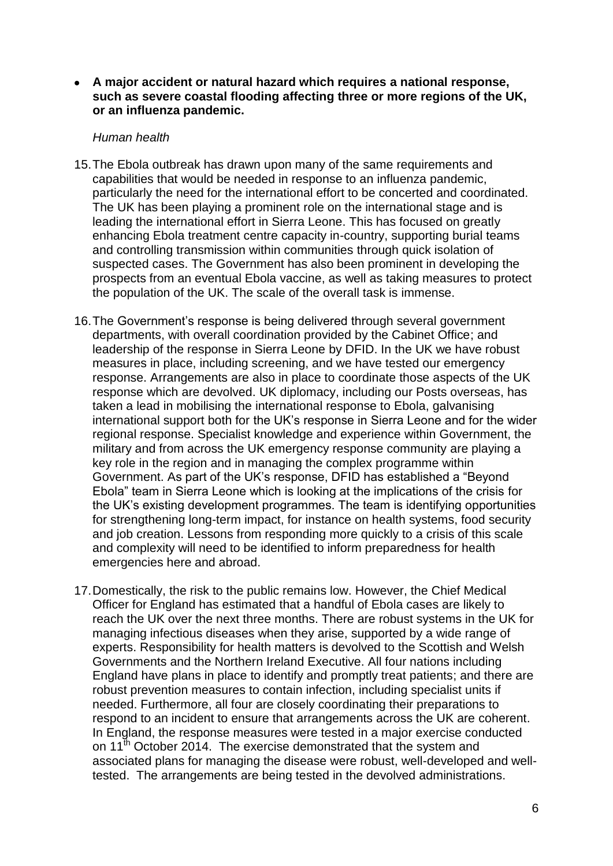**A major accident or natural hazard which requires a national response, such as severe coastal flooding affecting three or more regions of the UK, or an influenza pandemic.**

#### *Human health*

- 15.The Ebola outbreak has drawn upon many of the same requirements and capabilities that would be needed in response to an influenza pandemic, particularly the need for the international effort to be concerted and coordinated. The UK has been playing a prominent role on the international stage and is leading the international effort in Sierra Leone. This has focused on greatly enhancing Ebola treatment centre capacity in-country, supporting burial teams and controlling transmission within communities through quick isolation of suspected cases. The Government has also been prominent in developing the prospects from an eventual Ebola vaccine, as well as taking measures to protect the population of the UK. The scale of the overall task is immense.
- 16.The Government"s response is being delivered through several government departments, with overall coordination provided by the Cabinet Office; and leadership of the response in Sierra Leone by DFID. In the UK we have robust measures in place, including screening, and we have tested our emergency response. Arrangements are also in place to coordinate those aspects of the UK response which are devolved. UK diplomacy, including our Posts overseas, has taken a lead in mobilising the international response to Ebola, galvanising international support both for the UK"s response in Sierra Leone and for the wider regional response. Specialist knowledge and experience within Government, the military and from across the UK emergency response community are playing a key role in the region and in managing the complex programme within Government. As part of the UK"s response, DFID has established a "Beyond Ebola" team in Sierra Leone which is looking at the implications of the crisis for the UK"s existing development programmes. The team is identifying opportunities for strengthening long-term impact, for instance on health systems, food security and job creation. Lessons from responding more quickly to a crisis of this scale and complexity will need to be identified to inform preparedness for health emergencies here and abroad.
- 17.Domestically, the risk to the public remains low. However, the Chief Medical Officer for England has estimated that a handful of Ebola cases are likely to reach the UK over the next three months. There are robust systems in the UK for managing infectious diseases when they arise, supported by a wide range of experts. Responsibility for health matters is devolved to the Scottish and Welsh Governments and the Northern Ireland Executive. All four nations including England have plans in place to identify and promptly treat patients; and there are robust prevention measures to contain infection, including specialist units if needed. Furthermore, all four are closely coordinating their preparations to respond to an incident to ensure that arrangements across the UK are coherent. In England, the response measures were tested in a major exercise conducted on 11<sup>th</sup> October 2014. The exercise demonstrated that the system and associated plans for managing the disease were robust, well-developed and welltested. The arrangements are being tested in the devolved administrations.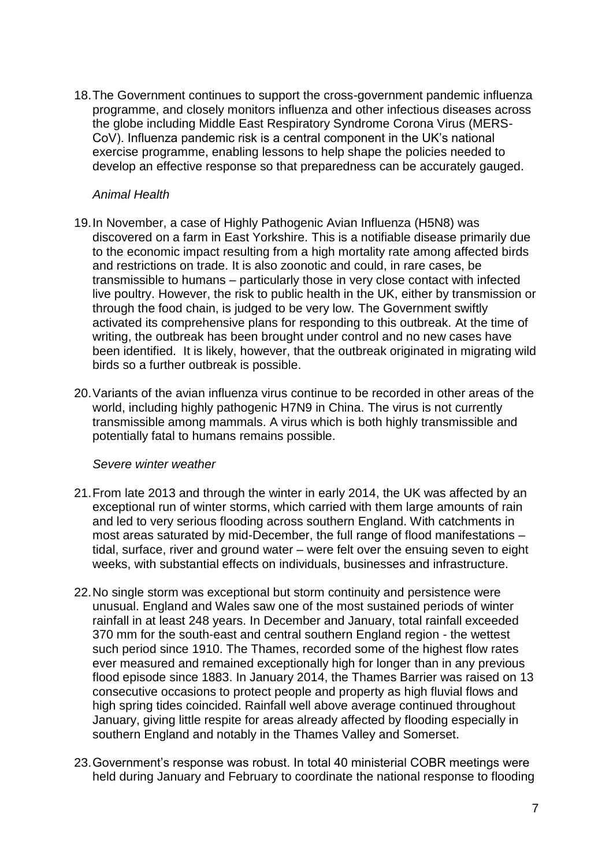18.The Government continues to support the cross-government pandemic influenza programme, and closely monitors influenza and other infectious diseases across the globe including Middle East Respiratory Syndrome Corona Virus (MERS-CoV). Influenza pandemic risk is a central component in the UK"s national exercise programme, enabling lessons to help shape the policies needed to develop an effective response so that preparedness can be accurately gauged.

## *Animal Health*

- 19.In November, a case of Highly Pathogenic Avian Influenza (H5N8) was discovered on a farm in East Yorkshire. This is a notifiable disease primarily due to the economic impact resulting from a high mortality rate among affected birds and restrictions on trade. It is also zoonotic and could, in rare cases, be transmissible to humans – particularly those in very close contact with infected live poultry. However, the risk to public health in the UK, either by transmission or through the food chain, is judged to be very low. The Government swiftly activated its comprehensive plans for responding to this outbreak. At the time of writing, the outbreak has been brought under control and no new cases have been identified. It is likely, however, that the outbreak originated in migrating wild birds so a further outbreak is possible.
- 20.Variants of the avian influenza virus continue to be recorded in other areas of the world, including highly pathogenic H7N9 in China. The virus is not currently transmissible among mammals. A virus which is both highly transmissible and potentially fatal to humans remains possible.

#### *Severe winter weather*

- 21.From late 2013 and through the winter in early 2014, the UK was affected by an exceptional run of winter storms, which carried with them large amounts of rain and led to very serious flooding across southern England. With catchments in most areas saturated by mid-December, the full range of flood manifestations – tidal, surface, river and ground water – were felt over the ensuing seven to eight weeks, with substantial effects on individuals, businesses and infrastructure.
- 22.No single storm was exceptional but storm continuity and persistence were unusual. England and Wales saw one of the most sustained periods of winter rainfall in at least 248 years. In December and January, total rainfall exceeded 370 mm for the south-east and central southern England region - the wettest such period since 1910. The Thames, recorded some of the highest flow rates ever measured and remained exceptionally high for longer than in any previous flood episode since 1883. In January 2014, the Thames Barrier was raised on 13 consecutive occasions to protect people and property as high fluvial flows and high spring tides coincided. Rainfall well above average continued throughout January, giving little respite for areas already affected by flooding especially in southern England and notably in the Thames Valley and Somerset.
- 23.Government"s response was robust. In total 40 ministerial COBR meetings were held during January and February to coordinate the national response to flooding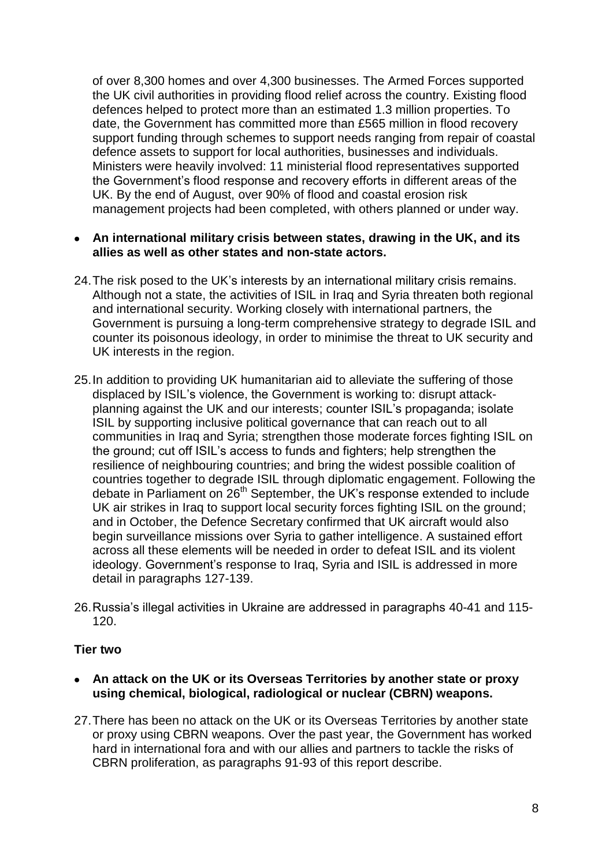of over 8,300 homes and over 4,300 businesses. The Armed Forces supported the UK civil authorities in providing flood relief across the country. Existing flood defences helped to protect more than an estimated 1.3 million properties. To date, the Government has committed more than £565 million in flood recovery support funding through schemes to support needs ranging from repair of coastal defence assets to support for local authorities, businesses and individuals. Ministers were heavily involved: 11 ministerial flood representatives supported the Government"s flood response and recovery efforts in different areas of the UK. By the end of August, over 90% of flood and coastal erosion risk management projects had been completed, with others planned or under way.

## **An international military crisis between states, drawing in the UK, and its allies as well as other states and non-state actors.**

- 24.The risk posed to the UK"s interests by an international military crisis remains. Although not a state, the activities of ISIL in Iraq and Syria threaten both regional and international security. Working closely with international partners, the Government is pursuing a long-term comprehensive strategy to degrade ISIL and counter its poisonous ideology, in order to minimise the threat to UK security and UK interests in the region.
- 25.In addition to providing UK humanitarian aid to alleviate the suffering of those displaced by ISIL"s violence, the Government is working to: disrupt attackplanning against the UK and our interests; counter ISIL"s propaganda; isolate ISIL by supporting inclusive political governance that can reach out to all communities in Iraq and Syria; strengthen those moderate forces fighting ISIL on the ground; cut off ISIL"s access to funds and fighters; help strengthen the resilience of neighbouring countries; and bring the widest possible coalition of countries together to degrade ISIL through diplomatic engagement. Following the debate in Parliament on 26<sup>th</sup> September, the UK's response extended to include UK air strikes in Iraq to support local security forces fighting ISIL on the ground; and in October, the Defence Secretary confirmed that UK aircraft would also begin surveillance missions over Syria to gather intelligence. A sustained effort across all these elements will be needed in order to defeat ISIL and its violent ideology. Government's response to Iraq, Syria and ISIL is addressed in more detail in paragraphs 127-139.
- 26.Russia"s illegal activities in Ukraine are addressed in paragraphs 40-41 and 115- 120.

## **Tier two**

- **An attack on the UK or its Overseas Territories by another state or proxy using chemical, biological, radiological or nuclear (CBRN) weapons.**
- 27.There has been no attack on the UK or its Overseas Territories by another state or proxy using CBRN weapons. Over the past year, the Government has worked hard in international fora and with our allies and partners to tackle the risks of CBRN proliferation, as paragraphs 91-93 of this report describe.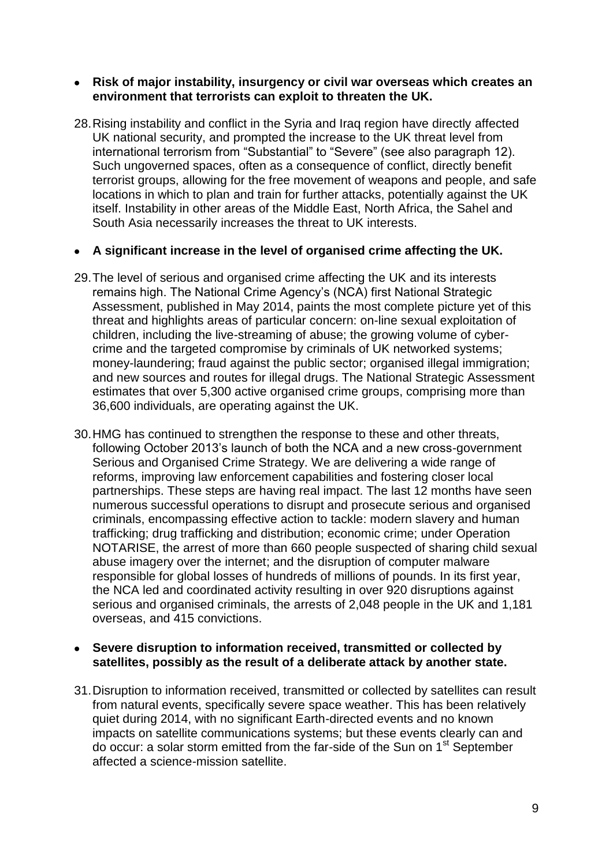#### **Risk of major instability, insurgency or civil war overseas which creates an environment that terrorists can exploit to threaten the UK.**

28.Rising instability and conflict in the Syria and Iraq region have directly affected UK national security, and prompted the increase to the UK threat level from international terrorism from "Substantial" to "Severe" (see also paragraph 12). Such ungoverned spaces, often as a consequence of conflict, directly benefit terrorist groups, allowing for the free movement of weapons and people, and safe locations in which to plan and train for further attacks, potentially against the UK itself. Instability in other areas of the Middle East, North Africa, the Sahel and South Asia necessarily increases the threat to UK interests.

## **A significant increase in the level of organised crime affecting the UK.**

- 29.The level of serious and organised crime affecting the UK and its interests remains high. The National Crime Agency"s (NCA) first National Strategic Assessment, published in May 2014, paints the most complete picture yet of this threat and highlights areas of particular concern: on-line sexual exploitation of children, including the live-streaming of abuse; the growing volume of cybercrime and the targeted compromise by criminals of UK networked systems; money-laundering; fraud against the public sector; organised illegal immigration; and new sources and routes for illegal drugs. The National Strategic Assessment estimates that over 5,300 active organised crime groups, comprising more than 36,600 individuals, are operating against the UK.
- 30.HMG has continued to strengthen the response to these and other threats, following October 2013"s launch of both the NCA and a new cross-government Serious and Organised Crime Strategy. We are delivering a wide range of reforms, improving law enforcement capabilities and fostering closer local partnerships. These steps are having real impact. The last 12 months have seen numerous successful operations to disrupt and prosecute serious and organised criminals, encompassing effective action to tackle: modern slavery and human trafficking; drug trafficking and distribution; economic crime; under Operation NOTARISE, the arrest of more than 660 people suspected of sharing child sexual abuse imagery over the internet; and the disruption of computer malware responsible for global losses of hundreds of millions of pounds. In its first year, the NCA led and coordinated activity resulting in over 920 disruptions against serious and organised criminals, the arrests of 2,048 people in the UK and 1,181 overseas, and 415 convictions.

## **Severe disruption to information received, transmitted or collected by satellites, possibly as the result of a deliberate attack by another state.**

31.Disruption to information received, transmitted or collected by satellites can result from natural events, specifically severe space weather. This has been relatively quiet during 2014, with no significant Earth-directed events and no known impacts on satellite communications systems; but these events clearly can and do occur: a solar storm emitted from the far-side of the Sun on 1<sup>st</sup> September affected a science-mission satellite.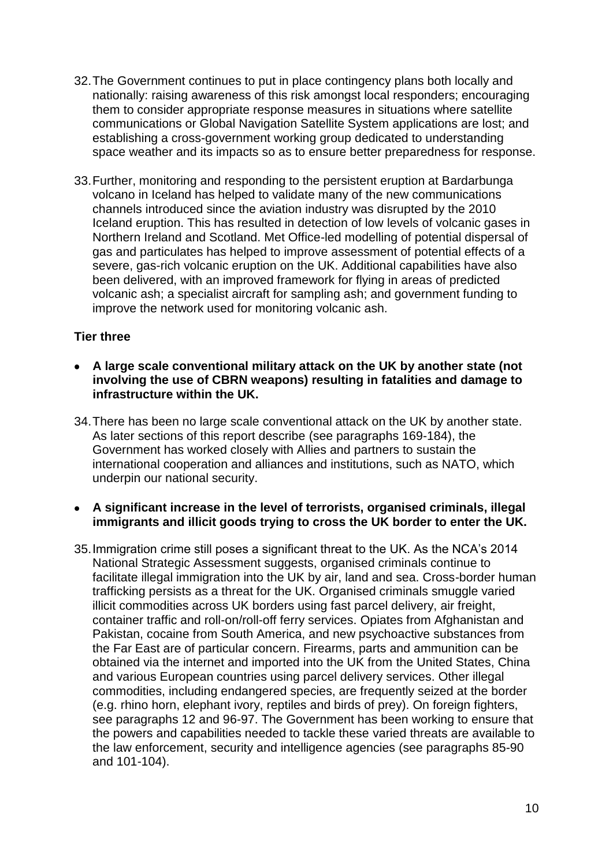- 32.The Government continues to put in place contingency plans both locally and nationally: raising awareness of this risk amongst local responders; encouraging them to consider appropriate response measures in situations where satellite communications or Global Navigation Satellite System applications are lost; and establishing a cross-government working group dedicated to understanding space weather and its impacts so as to ensure better preparedness for response.
- 33.Further, monitoring and responding to the persistent eruption at Bardarbunga volcano in Iceland has helped to validate many of the new communications channels introduced since the aviation industry was disrupted by the 2010 Iceland eruption. This has resulted in detection of low levels of volcanic gases in Northern Ireland and Scotland. Met Office-led modelling of potential dispersal of gas and particulates has helped to improve assessment of potential effects of a severe, gas-rich volcanic eruption on the UK. Additional capabilities have also been delivered, with an improved framework for flying in areas of predicted volcanic ash; a specialist aircraft for sampling ash; and government funding to improve the network used for monitoring volcanic ash.

# **Tier three**

- **A large scale conventional military attack on the UK by another state (not involving the use of CBRN weapons) resulting in fatalities and damage to infrastructure within the UK.**
- 34.There has been no large scale conventional attack on the UK by another state. As later sections of this report describe (see paragraphs 169-184), the Government has worked closely with Allies and partners to sustain the international cooperation and alliances and institutions, such as NATO, which underpin our national security.
- **A significant increase in the level of terrorists, organised criminals, illegal immigrants and illicit goods trying to cross the UK border to enter the UK.**
- 35.Immigration crime still poses a significant threat to the UK. As the NCA"s 2014 National Strategic Assessment suggests, organised criminals continue to facilitate illegal immigration into the UK by air, land and sea. Cross-border human trafficking persists as a threat for the UK. Organised criminals smuggle varied illicit commodities across UK borders using fast parcel delivery, air freight, container traffic and roll-on/roll-off ferry services. Opiates from Afghanistan and Pakistan, cocaine from South America, and new psychoactive substances from the Far East are of particular concern. Firearms, parts and ammunition can be obtained via the internet and imported into the UK from the United States, China and various European countries using parcel delivery services. Other illegal commodities, including endangered species, are frequently seized at the border (e.g. rhino horn, elephant ivory, reptiles and birds of prey). On foreign fighters, see paragraphs 12 and 96-97. The Government has been working to ensure that the powers and capabilities needed to tackle these varied threats are available to the law enforcement, security and intelligence agencies (see paragraphs 85-90 and 101-104).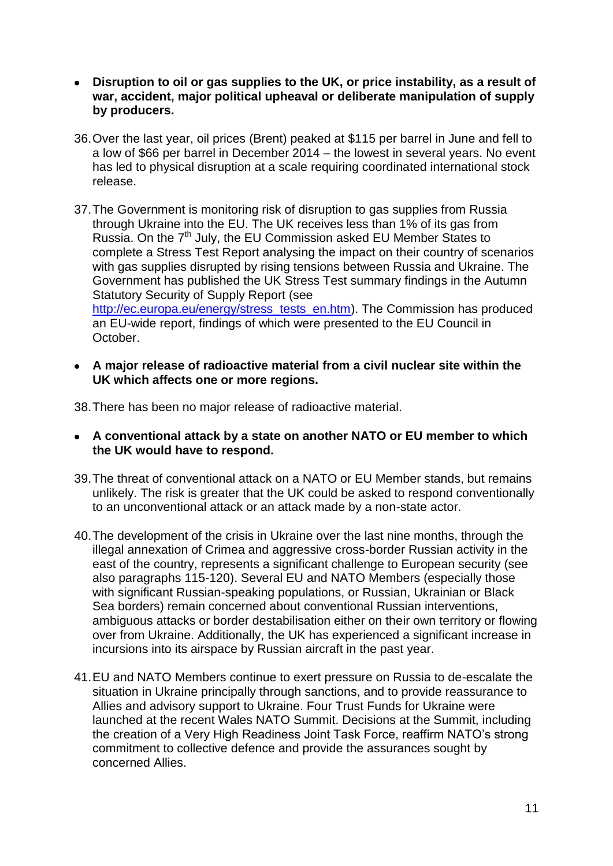- **Disruption to oil or gas supplies to the UK, or price instability, as a result of war, accident, major political upheaval or deliberate manipulation of supply by producers.**
- 36.Over the last year, oil prices (Brent) peaked at \$115 per barrel in June and fell to a low of \$66 per barrel in December 2014 – the lowest in several years. No event has led to physical disruption at a scale requiring coordinated international stock release.
- 37.The Government is monitoring risk of disruption to gas supplies from Russia through Ukraine into the EU. The UK receives less than 1% of its gas from Russia. On the 7<sup>th</sup> July, the EU Commission asked EU Member States to complete a Stress Test Report analysing the impact on their country of scenarios with gas supplies disrupted by rising tensions between Russia and Ukraine. The Government has published the UK Stress Test summary findings in the Autumn Statutory Security of Supply Report (see [http://ec.europa.eu/energy/stress\\_tests\\_en.htm\)](http://ec.europa.eu/energy/stress_tests_en.htm). The Commission has produced an EU-wide report, findings of which were presented to the EU Council in October.
- **A major release of radioactive material from a civil nuclear site within the UK which affects one or more regions.**

38.There has been no major release of radioactive material.

- **A conventional attack by a state on another NATO or EU member to which the UK would have to respond.**
- 39.The threat of conventional attack on a NATO or EU Member stands, but remains unlikely. The risk is greater that the UK could be asked to respond conventionally to an unconventional attack or an attack made by a non-state actor.
- 40.The development of the crisis in Ukraine over the last nine months, through the illegal annexation of Crimea and aggressive cross-border Russian activity in the east of the country, represents a significant challenge to European security (see also paragraphs 115-120). Several EU and NATO Members (especially those with significant Russian-speaking populations, or Russian, Ukrainian or Black Sea borders) remain concerned about conventional Russian interventions, ambiguous attacks or border destabilisation either on their own territory or flowing over from Ukraine. Additionally, the UK has experienced a significant increase in incursions into its airspace by Russian aircraft in the past year.
- 41.EU and NATO Members continue to exert pressure on Russia to de-escalate the situation in Ukraine principally through sanctions, and to provide reassurance to Allies and advisory support to Ukraine. Four Trust Funds for Ukraine were launched at the recent Wales NATO Summit. Decisions at the Summit, including the creation of a Very High Readiness Joint Task Force, reaffirm NATO"s strong commitment to collective defence and provide the assurances sought by concerned Allies.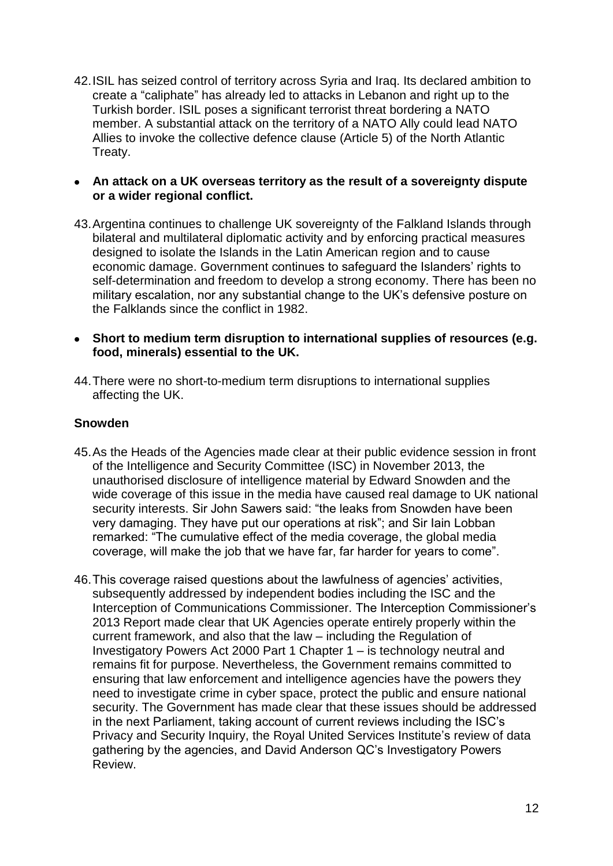42.ISIL has seized control of territory across Syria and Iraq. Its declared ambition to create a "caliphate" has already led to attacks in Lebanon and right up to the Turkish border. ISIL poses a significant terrorist threat bordering a NATO member. A substantial attack on the territory of a NATO Ally could lead NATO Allies to invoke the collective defence clause (Article 5) of the North Atlantic Treaty.

## **An attack on a UK overseas territory as the result of a sovereignty dispute or a wider regional conflict.**

- 43.Argentina continues to challenge UK sovereignty of the Falkland Islands through bilateral and multilateral diplomatic activity and by enforcing practical measures designed to isolate the Islands in the Latin American region and to cause economic damage. Government continues to safeguard the Islanders' rights to self-determination and freedom to develop a strong economy. There has been no military escalation, nor any substantial change to the UK"s defensive posture on the Falklands since the conflict in 1982.
- **Short to medium term disruption to international supplies of resources (e.g. food, minerals) essential to the UK.**
- 44.There were no short-to-medium term disruptions to international supplies affecting the UK.

# **Snowden**

- 45.As the Heads of the Agencies made clear at their public evidence session in front of the Intelligence and Security Committee (ISC) in November 2013, the unauthorised disclosure of intelligence material by Edward Snowden and the wide coverage of this issue in the media have caused real damage to UK national security interests. Sir John Sawers said: "the leaks from Snowden have been very damaging. They have put our operations at risk"; and Sir Iain Lobban remarked: "The cumulative effect of the media coverage, the global media coverage, will make the job that we have far, far harder for years to come".
- 46. This coverage raised questions about the lawfulness of agencies' activities, subsequently addressed by independent bodies including the ISC and the Interception of Communications Commissioner. The Interception Commissioner"s 2013 Report made clear that UK Agencies operate entirely properly within the current framework, and also that the law – including the Regulation of Investigatory Powers Act 2000 Part 1 Chapter 1 – is technology neutral and remains fit for purpose. Nevertheless, the Government remains committed to ensuring that law enforcement and intelligence agencies have the powers they need to investigate crime in cyber space, protect the public and ensure national security. The Government has made clear that these issues should be addressed in the next Parliament, taking account of current reviews including the ISC"s Privacy and Security Inquiry, the Royal United Services Institute's review of data gathering by the agencies, and David Anderson QC"s Investigatory Powers Review.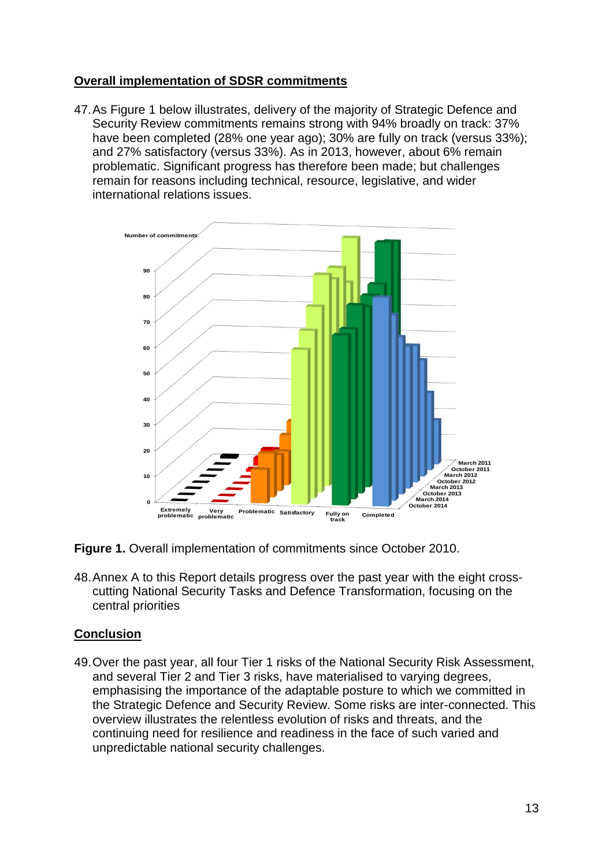# **Overall implementation of SDSR commitments**

47.As Figure 1 below illustrates, delivery of the majority of Strategic Defence and Security Review commitments remains strong with 94% broadly on track: 37% have been completed (28% one year ago); 30% are fully on track (versus 33%); and 27% satisfactory (versus 33%). As in 2013, however, about 6% remain problematic. Significant progress has therefore been made; but challenges remain for reasons including technical, resource, legislative, and wider international relations issues.



**Figure 1.** Overall implementation of commitments since October 2010.

48.Annex A to this Report details progress over the past year with the eight crosscutting National Security Tasks and Defence Transformation, focusing on the central priorities

# **Conclusion**

49.Over the past year, all four Tier 1 risks of the National Security Risk Assessment, and several Tier 2 and Tier 3 risks, have materialised to varying degrees, emphasising the importance of the adaptable posture to which we committed in the Strategic Defence and Security Review. Some risks are inter-connected. This overview illustrates the relentless evolution of risks and threats, and the continuing need for resilience and readiness in the face of such varied and unpredictable national security challenges.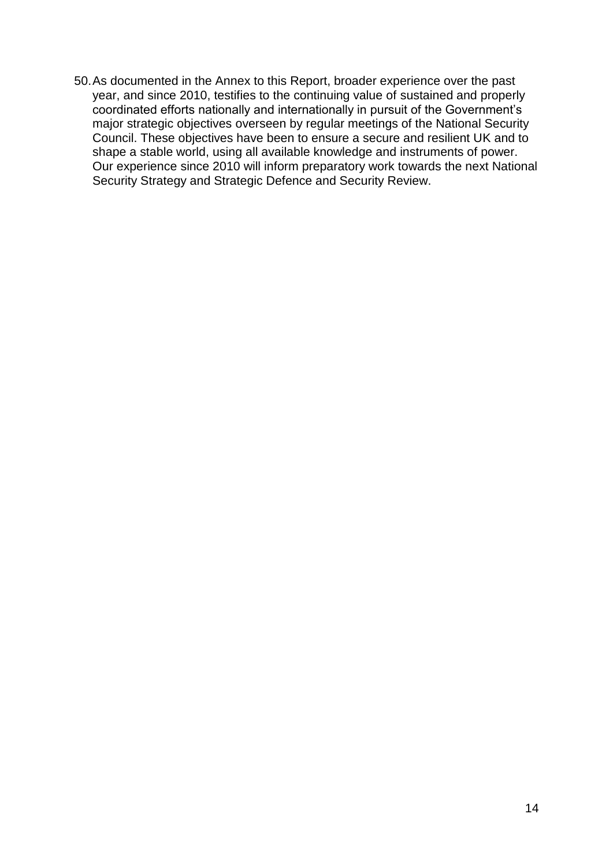50.As documented in the Annex to this Report, broader experience over the past year, and since 2010, testifies to the continuing value of sustained and properly coordinated efforts nationally and internationally in pursuit of the Government's major strategic objectives overseen by regular meetings of the National Security Council. These objectives have been to ensure a secure and resilient UK and to shape a stable world, using all available knowledge and instruments of power. Our experience since 2010 will inform preparatory work towards the next National Security Strategy and Strategic Defence and Security Review.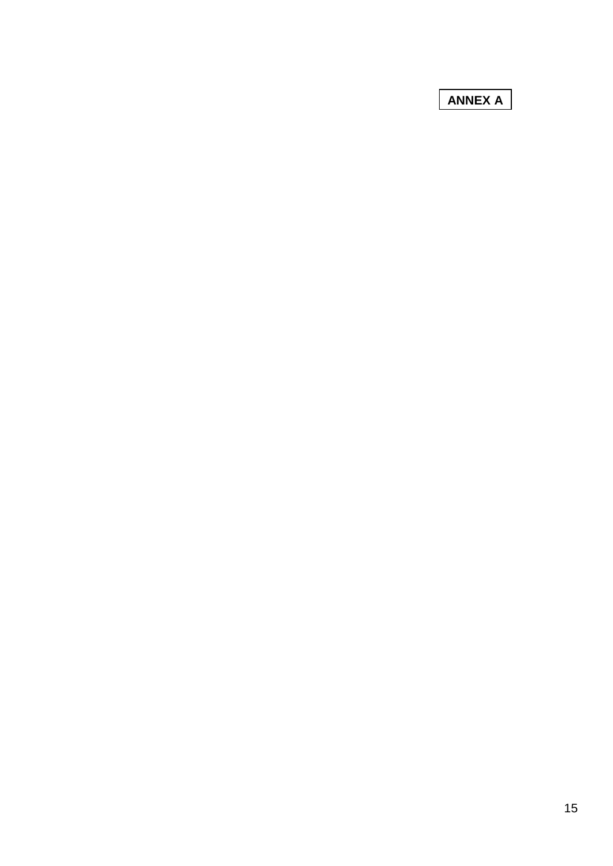**ANNEX A**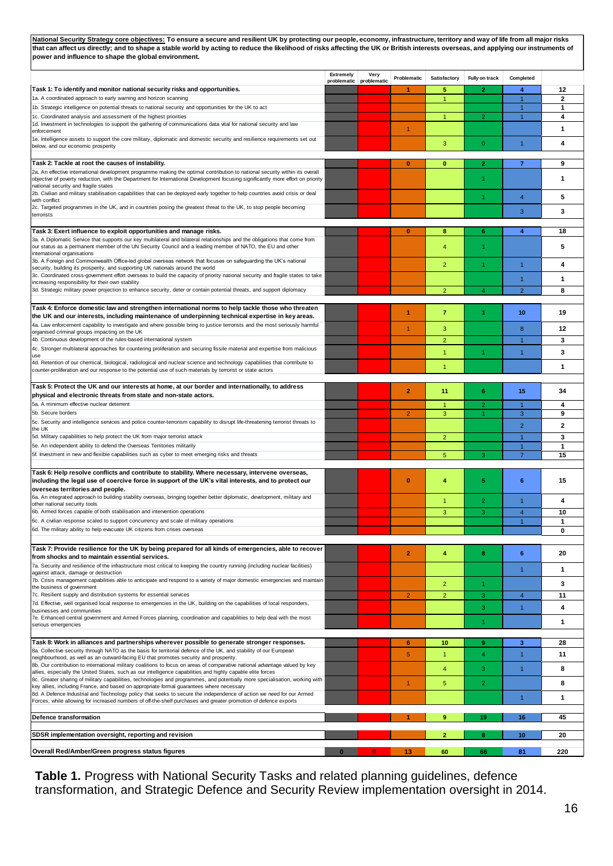**National Security Strategy core objectives: To ensure a secure and resilient UK by protecting our people, economy, infrastructure, territory and way of life from all major risks that can affect us directly; and to shape a stable world by acting to reduce the likelihood of risks affecting the UK or British interests overseas, and applying our instruments of power and influence to shape the global environment.** 

|                                                                                                                                                                                                                                          | <b>Extremely</b><br>problematic | Very<br>problematic | Problematic    | Satisfactory   | Fully on track | Completed                        |                |
|------------------------------------------------------------------------------------------------------------------------------------------------------------------------------------------------------------------------------------------|---------------------------------|---------------------|----------------|----------------|----------------|----------------------------------|----------------|
| Task 1: To identify and monitor national security risks and opportunities.                                                                                                                                                               |                                 |                     | $\mathbf{1}$   | 5              | 2              | 4                                | 12             |
| 1a. A coordinated approach to early warning and horizon scanning                                                                                                                                                                         |                                 |                     |                | $\mathbf{1}$   |                | $\mathbf{1}$                     | $\overline{2}$ |
| 1b. Strategic intelligence on potential threats to national security and opportunities for the UK to act<br>1c. Coordinated analysis and assessment of the highest priorities                                                            |                                 |                     |                | $\mathbf{1}$   | $\overline{2}$ | $\mathbf{1}$<br>$\mathbf{1}$     | 1<br>4         |
| 1d. Investment in technologies to support the gathering of communications data vital for national security and law                                                                                                                       |                                 |                     | $\overline{1}$ |                |                |                                  | 1              |
| enforcement<br>1e. Intelligence assets to support the core military, diplomatic and domestic security and resilience requirements set out                                                                                                |                                 |                     |                |                |                |                                  |                |
| below, and our economic prosperity                                                                                                                                                                                                       |                                 |                     |                | 3              | $\overline{0}$ | $\overline{1}$                   | 4              |
| Task 2: Tackle at root the causes of instability.                                                                                                                                                                                        |                                 |                     | $\bf{0}$       | $\mathbf{0}$   | $\overline{2}$ | $\overline{7}$                   | 9              |
| 2a. An effective international development programme making the optimal contribution to national security within its overall                                                                                                             |                                 |                     |                |                |                |                                  |                |
| objective of poverty reduction, with the Department for International Development focusing significantly more effort on priority<br>national security and fragile states                                                                 |                                 |                     |                |                | 1              |                                  | $\mathbf{1}$   |
| 2b. Civilian and military stabilisation capabilities that can be deployed early together to help countries avoid crisis or deal<br>with conflict                                                                                         |                                 |                     |                |                | 1              | $\overline{4}$                   | 5              |
| 2c. Targeted programmes in the UK, and in countries posing the greatest threat to the UK, to stop people becoming                                                                                                                        |                                 |                     |                |                |                | 3                                | 3              |
| terrorists                                                                                                                                                                                                                               |                                 |                     |                |                |                |                                  |                |
| Task 3: Exert influence to exploit opportunities and manage risks.                                                                                                                                                                       |                                 |                     | $\bf{0}$       | 8              | 6              | 4                                | 18             |
| 3a. A Diplomatic Service that supports our key multilateral and bilateral relationships and the obligations that come from<br>our status as a permanent member of the UN Security Council and a leading member of NATO, the EU and other |                                 |                     |                | $\overline{4}$ | 1              |                                  | 5              |
| international organisations                                                                                                                                                                                                              |                                 |                     |                |                |                |                                  |                |
| 3b. A Foreign and Commonwealth Office-led global overseas network that focuses on safeguarding the UK's national<br>security, building its prosperity, and supporting UK nationals around the world                                      |                                 |                     |                | $\overline{2}$ | 1              | $\overline{1}$                   | 4              |
| 3c. Coordinated cross-government effort overseas to build the capacity of priority national security and fragile states to take<br>increasing responsibility for their own stability                                                     |                                 |                     |                |                |                | $\overline{1}$                   | 1              |
| 3d. Strategic military power projection to enhance security, deter or contain potential threats, and support diplomacy                                                                                                                   |                                 |                     |                | $\overline{2}$ | 4              | $\overline{2}$                   | 8              |
|                                                                                                                                                                                                                                          |                                 |                     |                |                |                |                                  |                |
| Task 4: Enforce domestic law and strengthen international norms to help tackle those who threaten<br>the UK and our interests, including maintenance of underpinning technical expertise in key areas.                                   |                                 |                     | 1              | $\overline{7}$ | 1              | 10                               | 19             |
| 4a. Law enforcement capability to investigate and where possible bring to justice terrorists and the most seriously harmful<br>organised criminal groups impacting on the UK                                                             |                                 |                     | 1              | 3              |                | 8                                | 12             |
| 4b. Continuous development of the rules-based international system                                                                                                                                                                       |                                 |                     |                | $\overline{2}$ |                | $\overline{1}$                   | 3              |
| 4c. Stronger multilateral approaches for countering proliferation and securing fissile material and expertise from malicious                                                                                                             |                                 |                     |                | 1              | 1              | $\overline{1}$                   | 3              |
| use<br>4d. Retention of our chemical, biological, radiological and nuclear science and technology capabilities that contribute to                                                                                                        |                                 |                     |                | 1              |                |                                  | 1              |
| counter-proliferation and our response to the potential use of such materials by terrorist or state actors                                                                                                                               |                                 |                     |                |                |                |                                  |                |
| Task 5: Protect the UK and our interests at home, at our border and internationally, to address                                                                                                                                          |                                 |                     | $\overline{2}$ | 11             | 6              | 15                               | 34             |
| physical and electronic threats from state and non-state actors.<br>5a. A minimum effective nuclear deterrent                                                                                                                            |                                 |                     |                | $\mathbf{1}$   | $\overline{2}$ | $\overline{1}$                   |                |
| 5b. Secure borders                                                                                                                                                                                                                       |                                 |                     | $\overline{2}$ | 3              |                | 3                                | 4<br>9         |
| 5c. Security and intelligence services and police counter-terrorism capability to disrupt life-threatening terrorist threats to                                                                                                          |                                 |                     |                |                |                | $\overline{2}$                   | $\mathbf{2}$   |
| the UK<br>5d. Military capabilities to help protect the UK from major terrorist attack                                                                                                                                                   |                                 |                     |                | $\overline{2}$ |                | $\mathbf{1}$                     | 3              |
| 5e. An independent ability to defend the Overseas Territories militarily                                                                                                                                                                 |                                 |                     |                |                |                | 1                                | $\mathbf{1}$   |
| 5f. Investment in new and flexible capabilities such as cyber to meet emerging risks and threats                                                                                                                                         |                                 |                     |                | 5              | 3              | $\overline{7}$                   | 15             |
| Task 6: Help resolve conflicts and contribute to stability. Where necessary, intervene overseas,                                                                                                                                         |                                 |                     |                |                |                |                                  |                |
| including the legal use of coercive force in support of the UK's vital interests, and to protect our                                                                                                                                     |                                 |                     | $\bf{0}$       | 4              | 5              | 6                                | 15             |
| overseas territories and people.<br>6a. An integrated approach to building stability overseas, bringing together better diplomatic, development, military and                                                                            |                                 |                     |                |                | $\overline{2}$ | $\overline{1}$                   | 4              |
| other national security tools<br>6b. Armed forces capable of both stabilisation and intervention operations                                                                                                                              |                                 |                     |                | 1              | 3              |                                  | 10             |
| 6c. A civilian response scaled to support concurrency and scale of military operations                                                                                                                                                   |                                 |                     |                | 3              |                | $\overline{4}$<br>$\overline{1}$ | 1              |
| 6d. The military ability to help evacuate UK citizens from crises overseas                                                                                                                                                               |                                 |                     |                |                |                |                                  | 0              |
|                                                                                                                                                                                                                                          |                                 |                     |                |                |                |                                  |                |
| Task 7: Provide resilience for the UK by being prepared for all kinds of emergencies, able to recover<br>from shocks and to maintain essential services.                                                                                 |                                 |                     | $\overline{2}$ | 4              | 8              | 6                                | 20             |
| 7a. Security and resilience of the infrastructure most critical to keeping the country running (including nuclear facilities)                                                                                                            |                                 |                     |                |                |                | $\overline{1}$                   | $\mathbf{1}$   |
| against attack, damage or destruction<br>7b. Crisis management capabilities able to anticipate and respond to a variety of major domestic emergencies and maintain                                                                       |                                 |                     |                | $\overline{2}$ | 1              |                                  | 3              |
| the business of government<br>7c. Resilient supply and distribution systems for essential services                                                                                                                                       |                                 |                     | $\overline{2}$ | $\overline{2}$ | 3              | $\overline{4}$                   | 11             |
| 7d. Effective, well organised local response to emergencies in the UK, building on the capabilities of local responders,                                                                                                                 |                                 |                     |                |                | 3              | $\overline{1}$                   | 4              |
| businesses and communities<br>7e. Enhanced central government and Armed Forces planning, coordination and capabilities to help deal with the most                                                                                        |                                 |                     |                |                |                |                                  |                |
| serious emergencies                                                                                                                                                                                                                      |                                 |                     |                |                | 1              |                                  | 1              |
| Task 8: Work in alliances and partnerships wherever possible to generate stronger responses.                                                                                                                                             |                                 |                     | 6              | 10             | 9              | 3                                | 28             |
| 8a. Collective security through NATO as the basis for territorial defence of the UK, and stability of our European                                                                                                                       |                                 |                     | 5 <sup>5</sup> | $\mathbf{1}$   | 4              | $\overline{1}$                   | 11             |
| neighbourhood, as well as an outward-facing EU that promotes security and prosperity.<br>8b. Our contribution to international military coalitions to focus on areas of comparative national advantage valued by key                     |                                 |                     |                |                |                |                                  |                |
| allies, especially the United States, such as our intelligence capabilities and highly capable elite forces                                                                                                                              |                                 |                     |                | $\overline{4}$ | 3              | $\overline{1}$                   | 8              |
| 8c. Greater sharing of military capabilities, technologies and programmes, and potentially more specialisation, working with<br>key allies, including France, and based on appropriate formal guarantees where necessary                 |                                 |                     | 1              | 5              | $\overline{2}$ |                                  | 8              |
| 8d. A Defence Industrial and Technology policy that seeks to secure the independence of action we need for our Armed<br>Forces, while allowing for increased numbers of off-the-shelf purchases and greater promotion of defence exports |                                 |                     |                |                |                | $\overline{1}$                   | 1              |
|                                                                                                                                                                                                                                          |                                 |                     |                |                |                |                                  |                |
| Defence transformation                                                                                                                                                                                                                   |                                 |                     |                | 9              | 19             | 16                               | 45             |
| SDSR implementation oversight, reporting and revision                                                                                                                                                                                    |                                 |                     |                | $\overline{2}$ | 8              | 10                               | 20             |
| Overall Red/Amber/Green progress status figures                                                                                                                                                                                          |                                 |                     |                | 60             | 66             | 81                               | 220            |
|                                                                                                                                                                                                                                          |                                 |                     |                |                |                |                                  |                |
| Table 1. Progress with National Security Tasks and related planning guidelines, defence<br>transformation, and Strategic Defence and Security Review implementation oversight in 2014.                                                   |                                 |                     |                |                |                |                                  |                |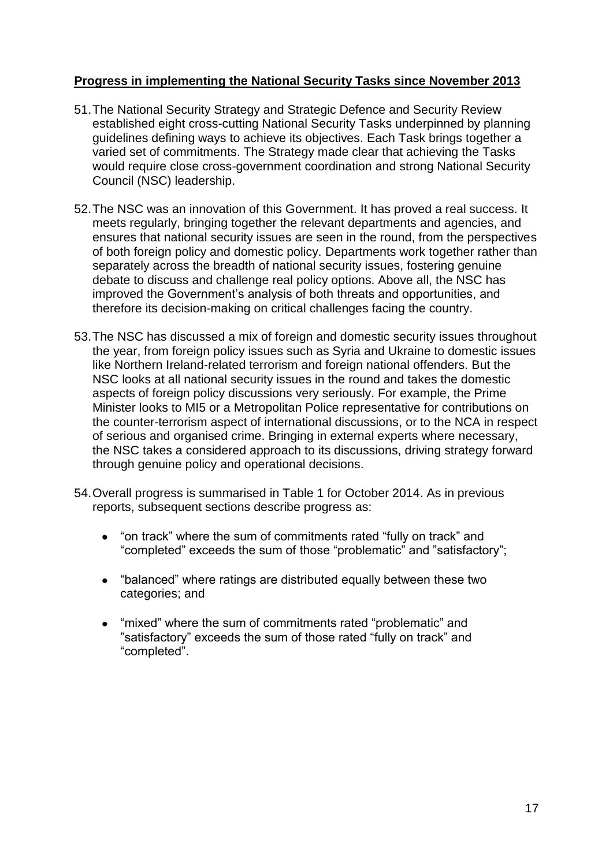# **Progress in implementing the National Security Tasks since November 2013**

- 51.The National Security Strategy and Strategic Defence and Security Review established eight cross-cutting National Security Tasks underpinned by planning guidelines defining ways to achieve its objectives. Each Task brings together a varied set of commitments. The Strategy made clear that achieving the Tasks would require close cross-government coordination and strong National Security Council (NSC) leadership.
- 52.The NSC was an innovation of this Government. It has proved a real success. It meets regularly, bringing together the relevant departments and agencies, and ensures that national security issues are seen in the round, from the perspectives of both foreign policy and domestic policy. Departments work together rather than separately across the breadth of national security issues, fostering genuine debate to discuss and challenge real policy options. Above all, the NSC has improved the Government's analysis of both threats and opportunities, and therefore its decision-making on critical challenges facing the country.
- 53.The NSC has discussed a mix of foreign and domestic security issues throughout the year, from foreign policy issues such as Syria and Ukraine to domestic issues like Northern Ireland-related terrorism and foreign national offenders. But the NSC looks at all national security issues in the round and takes the domestic aspects of foreign policy discussions very seriously. For example, the Prime Minister looks to MI5 or a Metropolitan Police representative for contributions on the counter-terrorism aspect of international discussions, or to the NCA in respect of serious and organised crime. Bringing in external experts where necessary, the NSC takes a considered approach to its discussions, driving strategy forward through genuine policy and operational decisions.
- 54.Overall progress is summarised in Table 1 for October 2014. As in previous reports, subsequent sections describe progress as:
	- "on track" where the sum of commitments rated "fully on track" and  $\bullet$ "completed" exceeds the sum of those "problematic" and "satisfactory";
	- "balanced" where ratings are distributed equally between these two categories; and
	- "mixed" where the sum of commitments rated "problematic" and "satisfactory" exceeds the sum of those rated "fully on track" and "completed".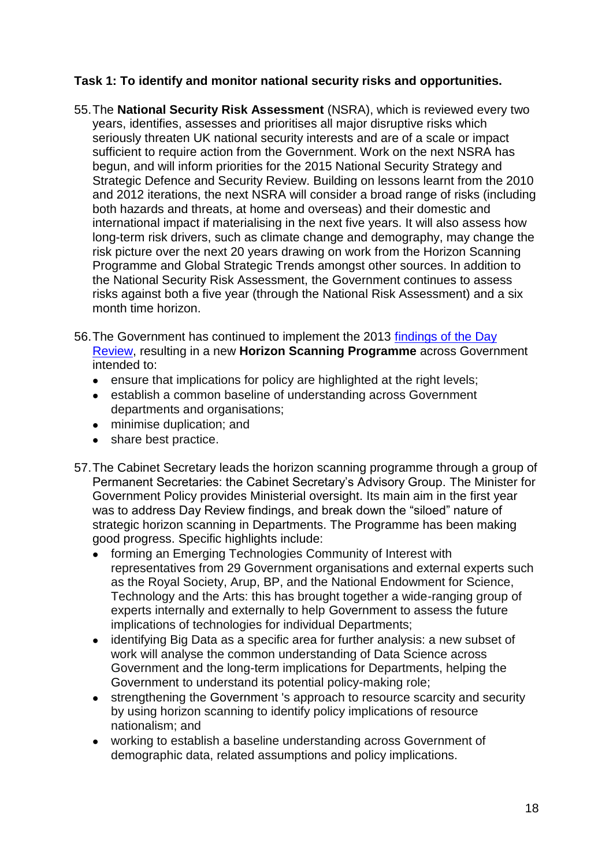# **Task 1: To identify and monitor national security risks and opportunities.**

- 55.The **National Security Risk Assessment** (NSRA), which is reviewed every two years, identifies, assesses and prioritises all major disruptive risks which seriously threaten UK national security interests and are of a scale or impact sufficient to require action from the Government. Work on the next NSRA has begun, and will inform priorities for the 2015 National Security Strategy and Strategic Defence and Security Review. Building on lessons learnt from the 2010 and 2012 iterations, the next NSRA will consider a broad range of risks (including both hazards and threats, at home and overseas) and their domestic and international impact if materialising in the next five years. It will also assess how long-term risk drivers, such as climate change and demography, may change the risk picture over the next 20 years drawing on work from the Horizon Scanning Programme and Global Strategic Trends amongst other sources. In addition to the National Security Risk Assessment, the Government continues to assess risks against both a five year (through the National Risk Assessment) and a six month time horizon.
- 56.The Government has continued to implement the 2013 [findings of the Day](https://www.gov.uk/government/publications/review-of-cross-government-horizon-scanning)  [Review,](https://www.gov.uk/government/publications/review-of-cross-government-horizon-scanning) resulting in a new **Horizon Scanning Programme** across Government intended to:
	- ensure that implications for policy are highlighted at the right levels;
	- establish a common baseline of understanding across Government departments and organisations;
	- minimise duplication; and
	- share best practice.
- 57.The Cabinet Secretary leads the horizon scanning programme through a group of Permanent Secretaries: the Cabinet Secretary"s Advisory Group. The Minister for Government Policy provides Ministerial oversight. Its main aim in the first year was to address Day Review findings, and break down the "siloed" nature of strategic horizon scanning in Departments. The Programme has been making good progress. Specific highlights include:
	- forming an Emerging Technologies Community of Interest with representatives from 29 Government organisations and external experts such as the Royal Society, Arup, BP, and the National Endowment for Science, Technology and the Arts: this has brought together a wide-ranging group of experts internally and externally to help Government to assess the future implications of technologies for individual Departments;
	- identifying Big Data as a specific area for further analysis: a new subset of work will analyse the common understanding of Data Science across Government and the long-term implications for Departments, helping the Government to understand its potential policy-making role;
	- strengthening the Government 's approach to resource scarcity and security by using horizon scanning to identify policy implications of resource nationalism; and
	- working to establish a baseline understanding across Government of demographic data, related assumptions and policy implications.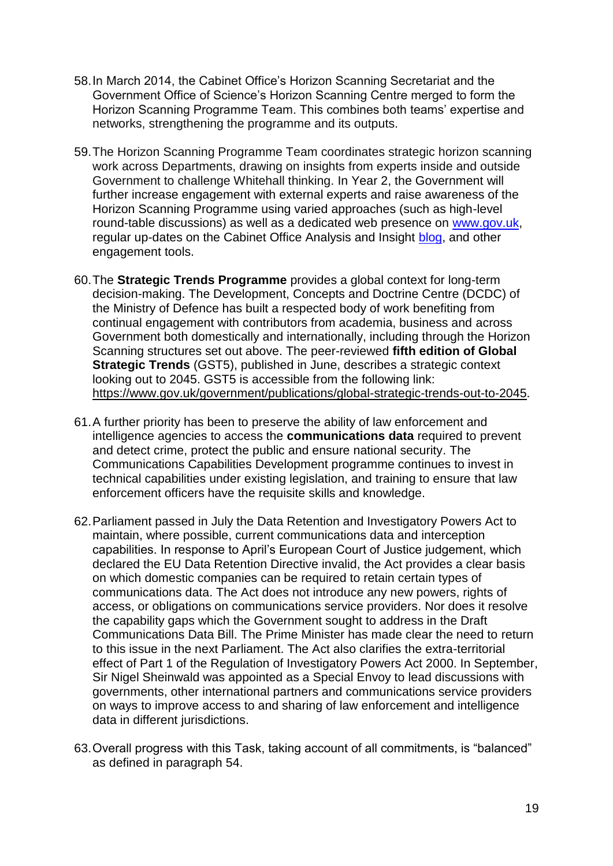- 58.In March 2014, the Cabinet Office"s Horizon Scanning Secretariat and the Government Office of Science"s Horizon Scanning Centre merged to form the Horizon Scanning Programme Team. This combines both teams" expertise and networks, strengthening the programme and its outputs.
- 59.The Horizon Scanning Programme Team coordinates strategic horizon scanning work across Departments, drawing on insights from experts inside and outside Government to challenge Whitehall thinking. In Year 2, the Government will further increase engagement with external experts and raise awareness of the Horizon Scanning Programme using varied approaches (such as high-level round-table discussions) as well as a dedicated web presence on [www.gov.uk,](http://www.gov.uk/) regular up-dates on the Cabinet Office Analysis and Insight [blog,](https://coanalysis.blog.gov.uk/category/analysis-and-insight/horizonscanning/) and other engagement tools.
- 60.The **Strategic Trends Programme** provides a global context for long-term decision-making. The Development, Concepts and Doctrine Centre (DCDC) of the Ministry of Defence has built a respected body of work benefiting from continual engagement with contributors from academia, business and across Government both domestically and internationally, including through the Horizon Scanning structures set out above. The peer-reviewed **fifth edition of Global Strategic Trends** (GST5), published in June, describes a strategic context looking out to 2045. GST5 is accessible from the following link: [https://www.gov.uk/government/publications/global-strategic-trends-out-to-2045.](https://www.gov.uk/government/publications/global-strategic-trends-out-to-2045)
- 61.A further priority has been to preserve the ability of law enforcement and intelligence agencies to access the **communications data** required to prevent and detect crime, protect the public and ensure national security. The Communications Capabilities Development programme continues to invest in technical capabilities under existing legislation, and training to ensure that law enforcement officers have the requisite skills and knowledge.
- 62.Parliament passed in July the Data Retention and Investigatory Powers Act to maintain, where possible, current communications data and interception capabilities. In response to April"s European Court of Justice judgement, which declared the EU Data Retention Directive invalid, the Act provides a clear basis on which domestic companies can be required to retain certain types of communications data. The Act does not introduce any new powers, rights of access, or obligations on communications service providers. Nor does it resolve the capability gaps which the Government sought to address in the Draft Communications Data Bill. The Prime Minister has made clear the need to return to this issue in the next Parliament. The Act also clarifies the extra-territorial effect of Part 1 of the Regulation of Investigatory Powers Act 2000. In September, Sir Nigel Sheinwald was appointed as a Special Envoy to lead discussions with governments, other international partners and communications service providers on ways to improve access to and sharing of law enforcement and intelligence data in different jurisdictions.
- 63.Overall progress with this Task, taking account of all commitments, is "balanced" as defined in paragraph 54.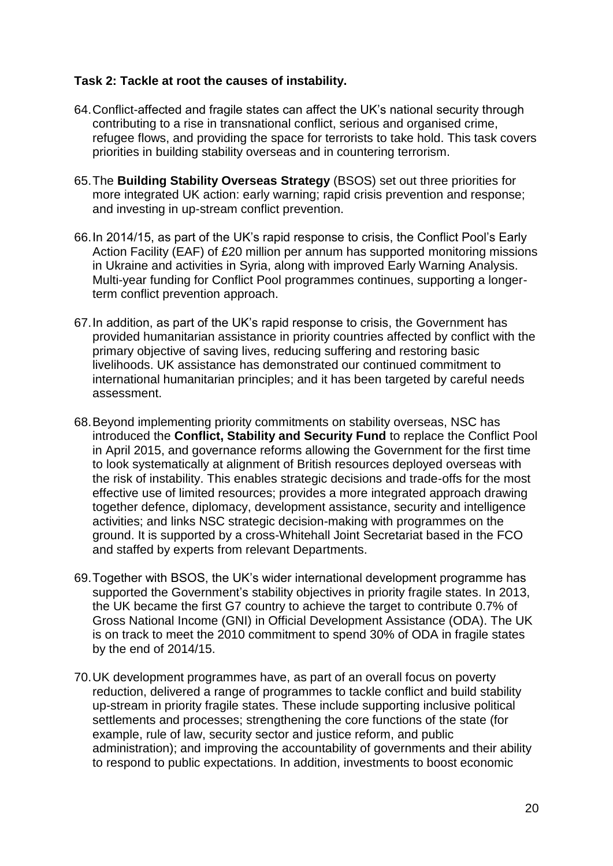## **Task 2: Tackle at root the causes of instability.**

- 64.Conflict-affected and fragile states can affect the UK"s national security through contributing to a rise in transnational conflict, serious and organised crime, refugee flows, and providing the space for terrorists to take hold. This task covers priorities in building stability overseas and in countering terrorism.
- 65.The **Building Stability Overseas Strategy** (BSOS) set out three priorities for more integrated UK action: early warning; rapid crisis prevention and response; and investing in up-stream conflict prevention.
- 66.In 2014/15, as part of the UK"s rapid response to crisis, the Conflict Pool"s Early Action Facility (EAF) of £20 million per annum has supported monitoring missions in Ukraine and activities in Syria, along with improved Early Warning Analysis. Multi-year funding for Conflict Pool programmes continues, supporting a longerterm conflict prevention approach.
- 67.In addition, as part of the UK"s rapid response to crisis, the Government has provided humanitarian assistance in priority countries affected by conflict with the primary objective of saving lives, reducing suffering and restoring basic livelihoods. UK assistance has demonstrated our continued commitment to international humanitarian principles; and it has been targeted by careful needs assessment.
- 68.Beyond implementing priority commitments on stability overseas, NSC has introduced the **Conflict, Stability and Security Fund** to replace the Conflict Pool in April 2015, and governance reforms allowing the Government for the first time to look systematically at alignment of British resources deployed overseas with the risk of instability. This enables strategic decisions and trade-offs for the most effective use of limited resources; provides a more integrated approach drawing together defence, diplomacy, development assistance, security and intelligence activities; and links NSC strategic decision-making with programmes on the ground. It is supported by a cross-Whitehall Joint Secretariat based in the FCO and staffed by experts from relevant Departments.
- 69.Together with BSOS, the UK"s wider international development programme has supported the Government's stability objectives in priority fragile states. In 2013, the UK became the first G7 country to achieve the target to contribute 0.7% of Gross National Income (GNI) in Official Development Assistance (ODA). The UK is on track to meet the 2010 commitment to spend 30% of ODA in fragile states by the end of 2014/15.
- 70.UK development programmes have, as part of an overall focus on poverty reduction, delivered a range of programmes to tackle conflict and build stability up-stream in priority fragile states. These include supporting inclusive political settlements and processes; strengthening the core functions of the state (for example, rule of law, security sector and justice reform, and public administration); and improving the accountability of governments and their ability to respond to public expectations. In addition, investments to boost economic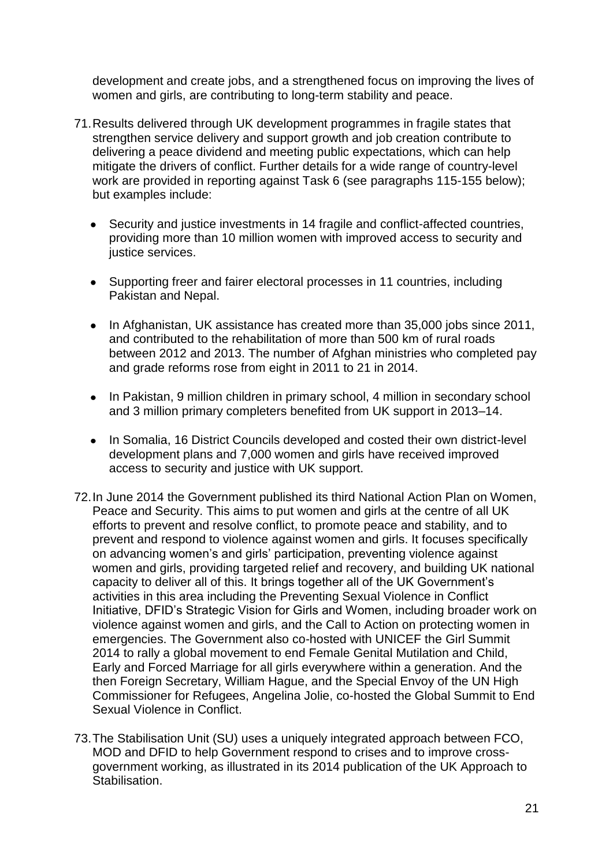development and create jobs, and a strengthened focus on improving the lives of women and girls, are contributing to long-term stability and peace.

- 71.Results delivered through UK development programmes in fragile states that strengthen service delivery and support growth and job creation contribute to delivering a peace dividend and meeting public expectations, which can help mitigate the drivers of conflict. Further details for a wide range of country-level work are provided in reporting against Task 6 (see paragraphs 115-155 below); but examples include:
	- Security and justice investments in 14 fragile and conflict-affected countries, providing more than 10 million women with improved access to security and justice services.
	- Supporting freer and fairer electoral processes in 11 countries, including Pakistan and Nepal.
	- In Afghanistan, UK assistance has created more than 35,000 jobs since 2011, and contributed to the rehabilitation of more than 500 km of rural roads between 2012 and 2013. The number of Afghan ministries who completed pay and grade reforms rose from eight in 2011 to 21 in 2014.
	- In Pakistan, 9 million children in primary school, 4 million in secondary school and 3 million primary completers benefited from UK support in 2013–14.
	- In Somalia, 16 District Councils developed and costed their own district-level development plans and 7,000 women and girls have received improved access to security and justice with UK support.
- 72.In June 2014 the Government published its third National Action Plan on Women, Peace and Security. This aims to put women and girls at the centre of all UK efforts to prevent and resolve conflict, to promote peace and stability, and to prevent and respond to violence against women and girls. It focuses specifically on advancing women"s and girls" participation, preventing violence against women and girls, providing targeted relief and recovery, and building UK national capacity to deliver all of this. It brings together all of the UK Government"s activities in this area including the Preventing Sexual Violence in Conflict Initiative, DFID"s Strategic Vision for Girls and Women, including broader work on violence against women and girls, and the Call to Action on protecting women in emergencies. The Government also co-hosted with UNICEF the Girl Summit 2014 to rally a global movement to end Female Genital Mutilation and Child, Early and Forced Marriage for all girls everywhere within a generation. And the then Foreign Secretary, William Hague, and the Special Envoy of the UN High Commissioner for Refugees, Angelina Jolie, co-hosted the Global Summit to End Sexual Violence in Conflict.
- 73.The Stabilisation Unit (SU) uses a uniquely integrated approach between FCO, MOD and DFID to help Government respond to crises and to improve crossgovernment working, as illustrated in its 2014 publication of the UK Approach to Stabilisation.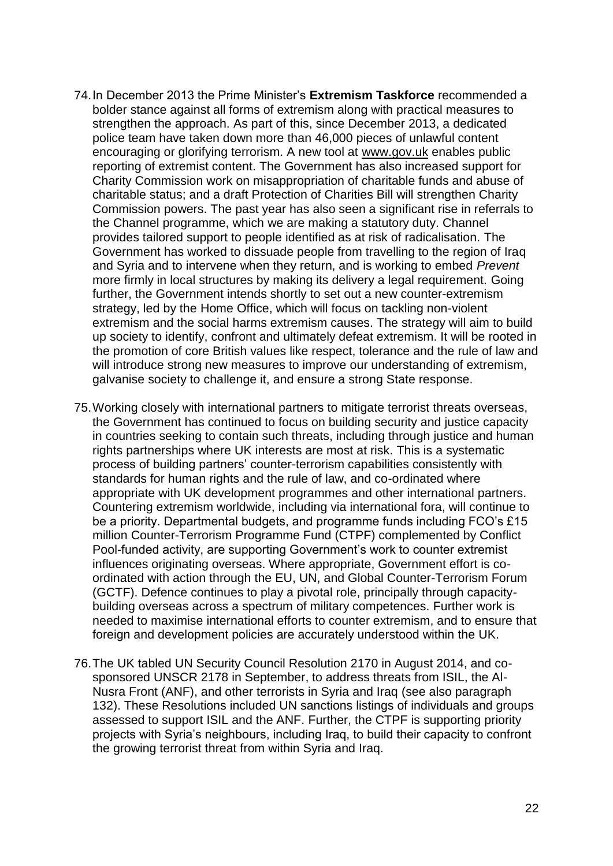- 74.In December 2013 the Prime Minister"s **Extremism Taskforce** recommended a bolder stance against all forms of extremism along with practical measures to strengthen the approach. As part of this, since December 2013, a dedicated police team have taken down more than 46,000 pieces of unlawful content encouraging or glorifying terrorism. A new tool at [www.gov.uk](http://www.gov.uk/) enables public reporting of extremist content. The Government has also increased support for Charity Commission work on misappropriation of charitable funds and abuse of charitable status; and a draft Protection of Charities Bill will strengthen Charity Commission powers. The past year has also seen a significant rise in referrals to the Channel programme, which we are making a statutory duty. Channel provides tailored support to people identified as at risk of radicalisation. The Government has worked to dissuade people from travelling to the region of Iraq and Syria and to intervene when they return, and is working to embed *Prevent* more firmly in local structures by making its delivery a legal requirement. Going further, the Government intends shortly to set out a new counter-extremism strategy, led by the Home Office, which will focus on tackling non-violent extremism and the social harms extremism causes. The strategy will aim to build up society to identify, confront and ultimately defeat extremism. It will be rooted in the promotion of core British values like respect, tolerance and the rule of law and will introduce strong new measures to improve our understanding of extremism, galvanise society to challenge it, and ensure a strong State response.
- 75.Working closely with international partners to mitigate terrorist threats overseas, the Government has continued to focus on building security and justice capacity in countries seeking to contain such threats, including through justice and human rights partnerships where UK interests are most at risk. This is a systematic process of building partners" counter-terrorism capabilities consistently with standards for human rights and the rule of law, and co-ordinated where appropriate with UK development programmes and other international partners. Countering extremism worldwide, including via international fora, will continue to be a priority. Departmental budgets, and programme funds including FCO"s £15 million Counter-Terrorism Programme Fund (CTPF) complemented by Conflict Pool-funded activity, are supporting Government"s work to counter extremist influences originating overseas. Where appropriate, Government effort is coordinated with action through the EU, UN, and Global Counter-Terrorism Forum (GCTF). Defence continues to play a pivotal role, principally through capacitybuilding overseas across a spectrum of military competences. Further work is needed to maximise international efforts to counter extremism, and to ensure that foreign and development policies are accurately understood within the UK.
- 76.The UK tabled UN Security Council Resolution 2170 in August 2014, and cosponsored UNSCR 2178 in September, to address threats from ISIL, the Al-Nusra Front (ANF), and other terrorists in Syria and Iraq (see also paragraph 132). These Resolutions included UN sanctions listings of individuals and groups assessed to support ISIL and the ANF. Further, the CTPF is supporting priority projects with Syria"s neighbours, including Iraq, to build their capacity to confront the growing terrorist threat from within Syria and Iraq.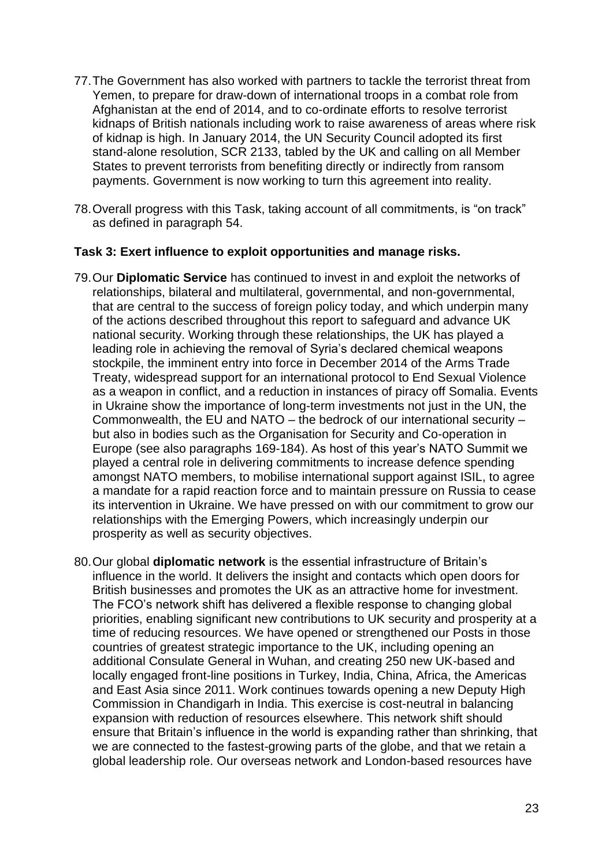- 77.The Government has also worked with partners to tackle the terrorist threat from Yemen, to prepare for draw-down of international troops in a combat role from Afghanistan at the end of 2014, and to co-ordinate efforts to resolve terrorist kidnaps of British nationals including work to raise awareness of areas where risk of kidnap is high. In January 2014, the UN Security Council adopted its first stand-alone resolution, SCR 2133, tabled by the UK and calling on all Member States to prevent terrorists from benefiting directly or indirectly from ransom payments. Government is now working to turn this agreement into reality.
- 78.Overall progress with this Task, taking account of all commitments, is "on track" as defined in paragraph 54.

#### **Task 3: Exert influence to exploit opportunities and manage risks.**

- 79.Our **Diplomatic Service** has continued to invest in and exploit the networks of relationships, bilateral and multilateral, governmental, and non-governmental, that are central to the success of foreign policy today, and which underpin many of the actions described throughout this report to safeguard and advance UK national security. Working through these relationships, the UK has played a leading role in achieving the removal of Syria"s declared chemical weapons stockpile, the imminent entry into force in December 2014 of the Arms Trade Treaty, widespread support for an international protocol to End Sexual Violence as a weapon in conflict, and a reduction in instances of piracy off Somalia. Events in Ukraine show the importance of long-term investments not just in the UN, the Commonwealth, the EU and NATO – the bedrock of our international security – but also in bodies such as the Organisation for Security and Co-operation in Europe (see also paragraphs 169-184). As host of this year"s NATO Summit we played a central role in delivering commitments to increase defence spending amongst NATO members, to mobilise international support against ISIL, to agree a mandate for a rapid reaction force and to maintain pressure on Russia to cease its intervention in Ukraine. We have pressed on with our commitment to grow our relationships with the Emerging Powers, which increasingly underpin our prosperity as well as security objectives.
- 80.Our global **diplomatic network** is the essential infrastructure of Britain"s influence in the world. It delivers the insight and contacts which open doors for British businesses and promotes the UK as an attractive home for investment. The FCO"s network shift has delivered a flexible response to changing global priorities, enabling significant new contributions to UK security and prosperity at a time of reducing resources. We have opened or strengthened our Posts in those countries of greatest strategic importance to the UK, including opening an additional Consulate General in Wuhan, and creating 250 new UK-based and locally engaged front-line positions in Turkey, India, China, Africa, the Americas and East Asia since 2011. Work continues towards opening a new Deputy High Commission in Chandigarh in India. This exercise is cost-neutral in balancing expansion with reduction of resources elsewhere. This network shift should ensure that Britain"s influence in the world is expanding rather than shrinking, that we are connected to the fastest-growing parts of the globe, and that we retain a global leadership role. Our overseas network and London-based resources have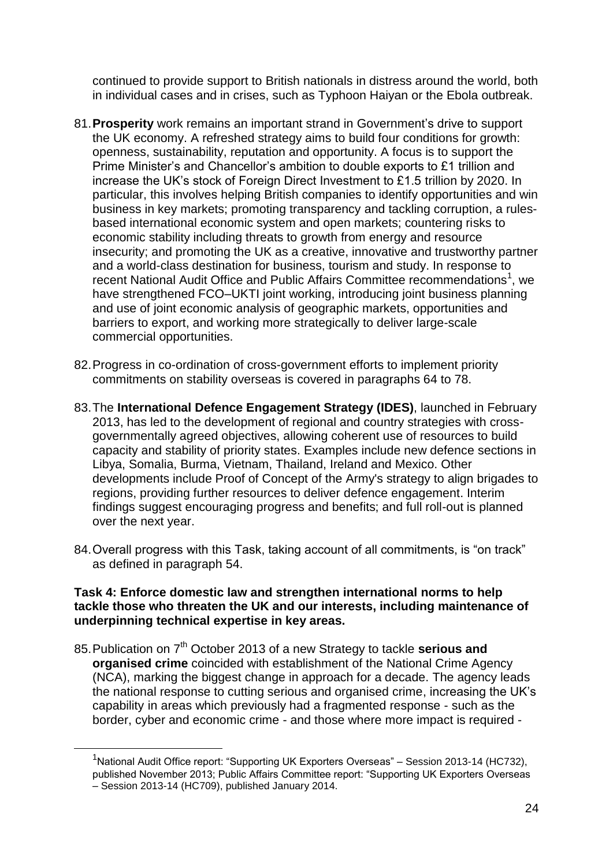continued to provide support to British nationals in distress around the world, both in individual cases and in crises, such as Typhoon Haiyan or the Ebola outbreak.

- 81.**Prosperity** work remains an important strand in Government"s drive to support the UK economy. A refreshed strategy aims to build four conditions for growth: openness, sustainability, reputation and opportunity. A focus is to support the Prime Minister"s and Chancellor"s ambition to double exports to £1 trillion and increase the UK"s stock of Foreign Direct Investment to £1.5 trillion by 2020. In particular, this involves helping British companies to identify opportunities and win business in key markets; promoting transparency and tackling corruption, a rulesbased international economic system and open markets; countering risks to economic stability including threats to growth from energy and resource insecurity; and promoting the UK as a creative, innovative and trustworthy partner and a world-class destination for business, tourism and study. In response to recent National Audit Office and Public Affairs Committee recommendations<sup>1</sup>, we have strengthened FCO–UKTI joint working, introducing joint business planning and use of joint economic analysis of geographic markets, opportunities and barriers to export, and working more strategically to deliver large-scale commercial opportunities.
- 82.Progress in co-ordination of cross-government efforts to implement priority commitments on stability overseas is covered in paragraphs 64 to 78.
- 83.The **International Defence Engagement Strategy (IDES)**, launched in February 2013, has led to the development of regional and country strategies with crossgovernmentally agreed objectives, allowing coherent use of resources to build capacity and stability of priority states. Examples include new defence sections in Libya, Somalia, Burma, Vietnam, Thailand, Ireland and Mexico. Other developments include Proof of Concept of the Army's strategy to align brigades to regions, providing further resources to deliver defence engagement. Interim findings suggest encouraging progress and benefits; and full roll-out is planned over the next year.
- 84.Overall progress with this Task, taking account of all commitments, is "on track" as defined in paragraph 54.

#### **Task 4: Enforce domestic law and strengthen international norms to help tackle those who threaten the UK and our interests, including maintenance of underpinning technical expertise in key areas.**

85.Publication on 7th October 2013 of a new Strategy to tackle **serious and organised crime** coincided with establishment of the National Crime Agency (NCA), marking the biggest change in approach for a decade. The agency leads the national response to cutting serious and organised crime, increasing the UK"s capability in areas which previously had a fragmented response - such as the border, cyber and economic crime - and those where more impact is required -

1

<sup>&</sup>lt;sup>1</sup>National Audit Office report: "Supporting UK Exporters Overseas" - Session 2013-14 (HC732), published November 2013; Public Affairs Committee report: "Supporting UK Exporters Overseas – Session 2013-14 (HC709), published January 2014.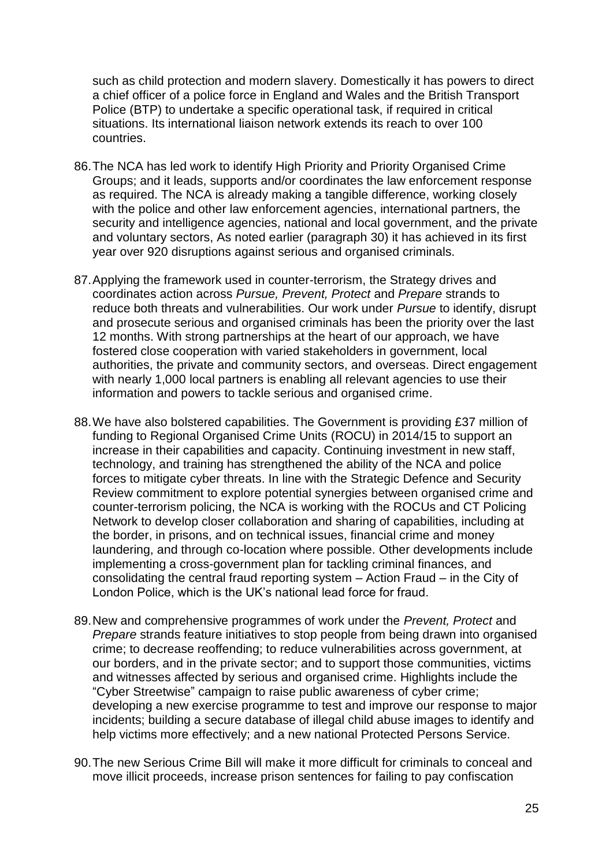such as child protection and modern slavery. Domestically it has powers to direct a chief officer of a police force in England and Wales and the British Transport Police (BTP) to undertake a specific operational task, if required in critical situations. Its international liaison network extends its reach to over 100 countries.

- 86.The NCA has led work to identify High Priority and Priority Organised Crime Groups; and it leads, supports and/or coordinates the law enforcement response as required. The NCA is already making a tangible difference, working closely with the police and other law enforcement agencies, international partners, the security and intelligence agencies, national and local government, and the private and voluntary sectors, As noted earlier (paragraph 30) it has achieved in its first year over 920 disruptions against serious and organised criminals.
- 87.Applying the framework used in counter-terrorism, the Strategy drives and coordinates action across *Pursue, Prevent, Protect* and *Prepare* strands to reduce both threats and vulnerabilities. Our work under *Pursue* to identify, disrupt and prosecute serious and organised criminals has been the priority over the last 12 months. With strong partnerships at the heart of our approach, we have fostered close cooperation with varied stakeholders in government, local authorities, the private and community sectors, and overseas. Direct engagement with nearly 1,000 local partners is enabling all relevant agencies to use their information and powers to tackle serious and organised crime.
- 88.We have also bolstered capabilities. The Government is providing £37 million of funding to Regional Organised Crime Units (ROCU) in 2014/15 to support an increase in their capabilities and capacity. Continuing investment in new staff, technology, and training has strengthened the ability of the NCA and police forces to mitigate cyber threats. In line with the Strategic Defence and Security Review commitment to explore potential synergies between organised crime and counter-terrorism policing, the NCA is working with the ROCUs and CT Policing Network to develop closer collaboration and sharing of capabilities, including at the border, in prisons, and on technical issues, financial crime and money laundering, and through co-location where possible. Other developments include implementing a cross-government plan for tackling criminal finances, and consolidating the central fraud reporting system – Action Fraud – in the City of London Police, which is the UK"s national lead force for fraud.
- 89.New and comprehensive programmes of work under the *Prevent, Protect* and *Prepare* strands feature initiatives to stop people from being drawn into organised crime; to decrease reoffending; to reduce vulnerabilities across government, at our borders, and in the private sector; and to support those communities, victims and witnesses affected by serious and organised crime. Highlights include the "Cyber Streetwise" campaign to raise public awareness of cyber crime; developing a new exercise programme to test and improve our response to major incidents; building a secure database of illegal child abuse images to identify and help victims more effectively; and a new national Protected Persons Service.
- 90.The new Serious Crime Bill will make it more difficult for criminals to conceal and move illicit proceeds, increase prison sentences for failing to pay confiscation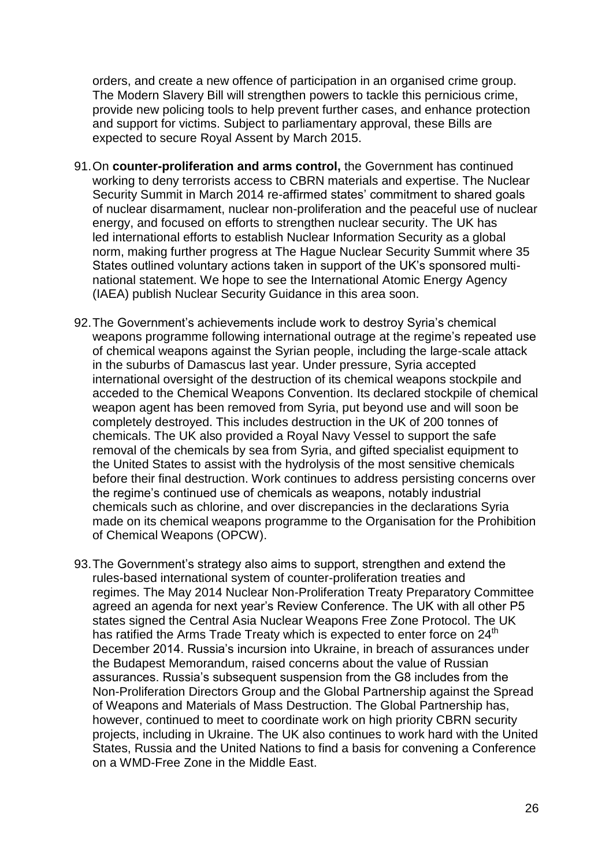orders, and create a new offence of participation in an organised crime group. The Modern Slavery Bill will strengthen powers to tackle this pernicious crime, provide new policing tools to help prevent further cases, and enhance protection and support for victims. Subject to parliamentary approval, these Bills are expected to secure Royal Assent by March 2015.

- 91.On **counter-proliferation and arms control,** the Government has continued working to deny terrorists access to CBRN materials and expertise. The Nuclear Security Summit in March 2014 re-affirmed states' commitment to shared goals of nuclear disarmament, nuclear non-proliferation and the peaceful use of nuclear energy, and focused on efforts to strengthen nuclear security. The UK has led international efforts to establish Nuclear Information Security as a global norm, making further progress at The Hague Nuclear Security Summit where 35 States outlined voluntary actions taken in support of the UK"s sponsored multinational statement. We hope to see the International Atomic Energy Agency (IAEA) publish Nuclear Security Guidance in this area soon.
- 92.The Government"s achievements include work to destroy Syria"s chemical weapons programme following international outrage at the regime's repeated use of chemical weapons against the Syrian people, including the large-scale attack in the suburbs of Damascus last year. Under pressure, Syria accepted international oversight of the destruction of its chemical weapons stockpile and acceded to the Chemical Weapons Convention. Its declared stockpile of chemical weapon agent has been removed from Syria, put beyond use and will soon be completely destroyed. This includes destruction in the UK of 200 tonnes of chemicals. The UK also provided a Royal Navy Vessel to support the safe removal of the chemicals by sea from Syria, and gifted specialist equipment to the United States to assist with the hydrolysis of the most sensitive chemicals before their final destruction. Work continues to address persisting concerns over the regime"s continued use of chemicals as weapons, notably industrial chemicals such as chlorine, and over discrepancies in the declarations Syria made on its chemical weapons programme to the Organisation for the Prohibition of Chemical Weapons (OPCW).
- 93. The Government's strategy also aims to support, strengthen and extend the rules-based international system of counter-proliferation treaties and regimes. The May 2014 Nuclear Non-Proliferation Treaty Preparatory Committee agreed an agenda for next year"s Review Conference. The UK with all other P5 states signed the Central Asia Nuclear Weapons Free Zone Protocol. The UK has ratified the Arms Trade Treaty which is expected to enter force on 24<sup>th</sup> December 2014. Russia"s incursion into Ukraine, in breach of assurances under the Budapest Memorandum, raised concerns about the value of Russian assurances. Russia"s subsequent suspension from the G8 includes from the Non-Proliferation Directors Group and the Global Partnership against the Spread of Weapons and Materials of Mass Destruction. The Global Partnership has, however, continued to meet to coordinate work on high priority CBRN security projects, including in Ukraine. The UK also continues to work hard with the United States, Russia and the United Nations to find a basis for convening a Conference on a WMD-Free Zone in the Middle East.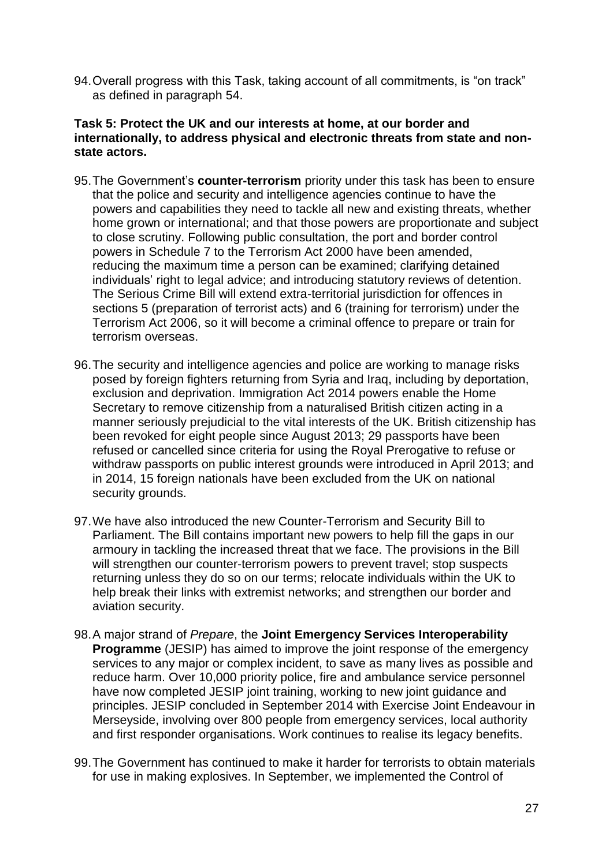94.Overall progress with this Task, taking account of all commitments, is "on track" as defined in paragraph 54.

## **Task 5: Protect the UK and our interests at home, at our border and internationally, to address physical and electronic threats from state and nonstate actors.**

- 95. The Government's **counter-terrorism** priority under this task has been to ensure that the police and security and intelligence agencies continue to have the powers and capabilities they need to tackle all new and existing threats, whether home grown or international; and that those powers are proportionate and subject to close scrutiny. Following public consultation, the port and border control powers in Schedule 7 to the Terrorism Act 2000 have been amended, reducing the maximum time a person can be examined; clarifying detained individuals" right to legal advice; and introducing statutory reviews of detention. The Serious Crime Bill will extend extra-territorial jurisdiction for offences in sections 5 (preparation of terrorist acts) and 6 (training for terrorism) under the Terrorism Act 2006, so it will become a criminal offence to prepare or train for terrorism overseas.
- 96.The security and intelligence agencies and police are working to manage risks posed by foreign fighters returning from Syria and Iraq, including by deportation, exclusion and deprivation. Immigration Act 2014 powers enable the Home Secretary to remove citizenship from a naturalised British citizen acting in a manner seriously prejudicial to the vital interests of the UK. British citizenship has been revoked for eight people since August 2013; 29 passports have been refused or cancelled since criteria for using the Royal Prerogative to refuse or withdraw passports on public interest grounds were introduced in April 2013; and in 2014, 15 foreign nationals have been excluded from the UK on national security grounds.
- 97.We have also introduced the new Counter-Terrorism and Security Bill to Parliament. The Bill contains important new powers to help fill the gaps in our armoury in tackling the increased threat that we face. The provisions in the Bill will strengthen our counter-terrorism powers to prevent travel; stop suspects returning unless they do so on our terms; relocate individuals within the UK to help break their links with extremist networks; and strengthen our border and aviation security.
- 98.A major strand of *Prepare*, the **Joint Emergency Services Interoperability Programme** (JESIP) has aimed to improve the joint response of the emergency services to any major or complex incident, to save as many lives as possible and reduce harm. Over 10,000 priority police, fire and ambulance service personnel have now completed JESIP joint training, working to new joint guidance and principles. JESIP concluded in September 2014 with Exercise Joint Endeavour in Merseyside, involving over 800 people from emergency services, local authority and first responder organisations. Work continues to realise its legacy benefits.
- 99.The Government has continued to make it harder for terrorists to obtain materials for use in making explosives. In September, we implemented the Control of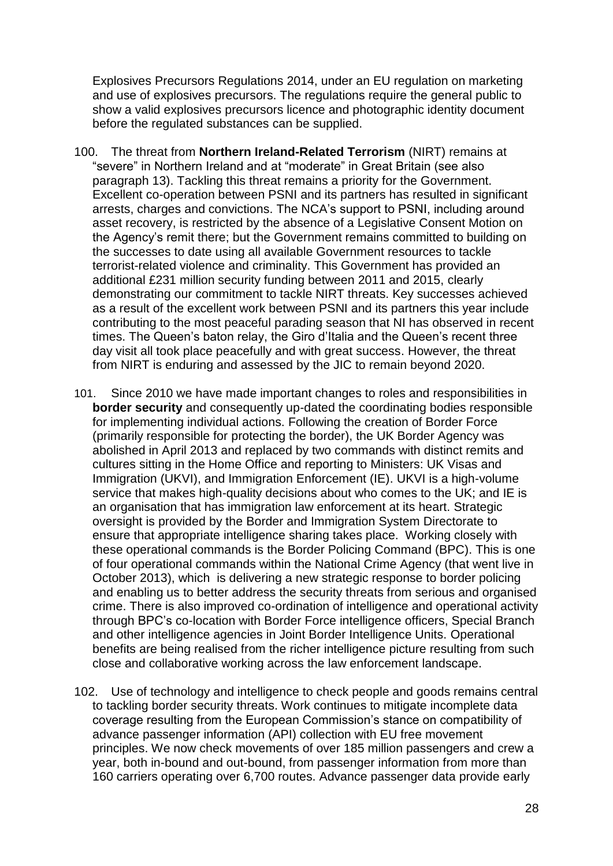Explosives Precursors Regulations 2014, under an EU regulation on marketing and use of explosives precursors. The regulations require the general public to show a valid explosives precursors licence and photographic identity document before the regulated substances can be supplied.

- 100. The threat from **Northern Ireland-Related Terrorism** (NIRT) remains at "severe" in Northern Ireland and at "moderate" in Great Britain (see also paragraph 13). Tackling this threat remains a priority for the Government. Excellent co-operation between PSNI and its partners has resulted in significant arrests, charges and convictions. The NCA"s support to PSNI, including around asset recovery, is restricted by the absence of a Legislative Consent Motion on the Agency"s remit there; but the Government remains committed to building on the successes to date using all available Government resources to tackle terrorist-related violence and criminality. This Government has provided an additional £231 million security funding between 2011 and 2015, clearly demonstrating our commitment to tackle NIRT threats. Key successes achieved as a result of the excellent work between PSNI and its partners this year include contributing to the most peaceful parading season that NI has observed in recent times. The Queen's baton relay, the Giro d'Italia and the Queen's recent three day visit all took place peacefully and with great success. However, the threat from NIRT is enduring and assessed by the JIC to remain beyond 2020.
- 101. Since 2010 we have made important changes to roles and responsibilities in **border security** and consequently up-dated the coordinating bodies responsible for implementing individual actions. Following the creation of Border Force (primarily responsible for protecting the border), the UK Border Agency was abolished in April 2013 and replaced by two commands with distinct remits and cultures sitting in the Home Office and reporting to Ministers: UK Visas and Immigration (UKVI), and Immigration Enforcement (IE). UKVI is a high-volume service that makes high-quality decisions about who comes to the UK; and IE is an organisation that has immigration law enforcement at its heart. Strategic oversight is provided by the Border and Immigration System Directorate to ensure that appropriate intelligence sharing takes place. Working closely with these operational commands is the Border Policing Command (BPC). This is one of four operational commands within the National Crime Agency (that went live in October 2013), which is delivering a new strategic response to border policing and enabling us to better address the security threats from serious and organised crime. There is also improved co-ordination of intelligence and operational activity through BPC"s co-location with Border Force intelligence officers, Special Branch and other intelligence agencies in Joint Border Intelligence Units. Operational benefits are being realised from the richer intelligence picture resulting from such close and collaborative working across the law enforcement landscape.
- 102. Use of technology and intelligence to check people and goods remains central to tackling border security threats. Work continues to mitigate incomplete data coverage resulting from the European Commission's stance on compatibility of advance passenger information (API) collection with EU free movement principles. We now check movements of over 185 million passengers and crew a year, both in-bound and out-bound, from passenger information from more than 160 carriers operating over 6,700 routes. Advance passenger data provide early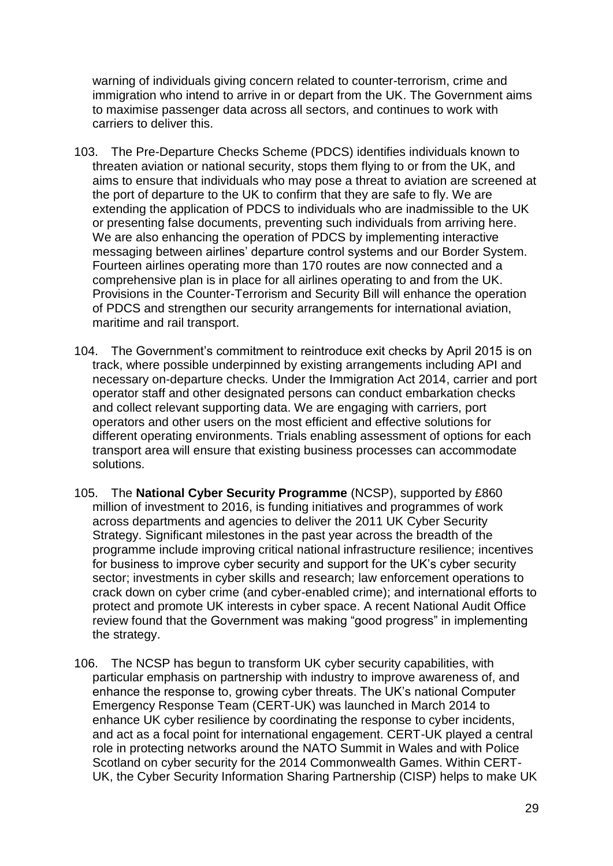warning of individuals giving concern related to counter-terrorism, crime and immigration who intend to arrive in or depart from the UK. The Government aims to maximise passenger data across all sectors, and continues to work with carriers to deliver this.

- 103. The Pre-Departure Checks Scheme (PDCS) identifies individuals known to threaten aviation or national security, stops them flying to or from the UK, and aims to ensure that individuals who may pose a threat to aviation are screened at the port of departure to the UK to confirm that they are safe to fly. We are extending the application of PDCS to individuals who are inadmissible to the UK or presenting false documents, preventing such individuals from arriving here. We are also enhancing the operation of PDCS by implementing interactive messaging between airlines" departure control systems and our Border System. Fourteen airlines operating more than 170 routes are now connected and a comprehensive plan is in place for all airlines operating to and from the UK. Provisions in the Counter-Terrorism and Security Bill will enhance the operation of PDCS and strengthen our security arrangements for international aviation, maritime and rail transport.
- 104. The Government"s commitment to reintroduce exit checks by April 2015 is on track, where possible underpinned by existing arrangements including API and necessary on-departure checks. Under the Immigration Act 2014, carrier and port operator staff and other designated persons can conduct embarkation checks and collect relevant supporting data. We are engaging with carriers, port operators and other users on the most efficient and effective solutions for different operating environments. Trials enabling assessment of options for each transport area will ensure that existing business processes can accommodate solutions.
- 105. The **National Cyber Security Programme** (NCSP), supported by £860 million of investment to 2016, is funding initiatives and programmes of work across departments and agencies to deliver the 2011 UK Cyber Security Strategy. Significant milestones in the past year across the breadth of the programme include improving critical national infrastructure resilience; incentives for business to improve cyber security and support for the UK's cyber security sector; investments in cyber skills and research; law enforcement operations to crack down on cyber crime (and cyber-enabled crime); and international efforts to protect and promote UK interests in cyber space. A recent National Audit Office review found that the Government was making "good progress" in implementing the strategy.
- 106. The NCSP has begun to transform UK cyber security capabilities, with particular emphasis on partnership with industry to improve awareness of, and enhance the response to, growing cyber threats. The UK"s national Computer Emergency Response Team (CERT-UK) was launched in March 2014 to enhance UK cyber resilience by coordinating the response to cyber incidents, and act as a focal point for international engagement. CERT-UK played a central role in protecting networks around the NATO Summit in Wales and with Police Scotland on cyber security for the 2014 Commonwealth Games. Within CERT-UK, the Cyber Security Information Sharing Partnership (CISP) helps to make UK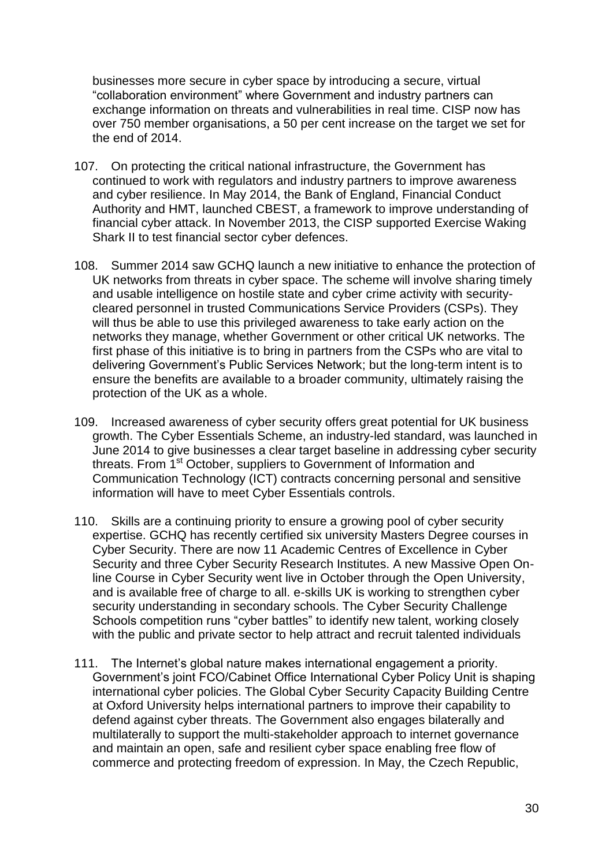businesses more secure in cyber space by introducing a secure, virtual "collaboration environment" where Government and industry partners can exchange information on threats and vulnerabilities in real time. CISP now has over 750 member organisations, a 50 per cent increase on the target we set for the end of 2014.

- 107. On protecting the critical national infrastructure, the Government has continued to work with regulators and industry partners to improve awareness and cyber resilience. In May 2014, the Bank of England, Financial Conduct Authority and HMT, launched CBEST, a framework to improve understanding of financial cyber attack. In November 2013, the CISP supported Exercise Waking Shark II to test financial sector cyber defences.
- 108. Summer 2014 saw GCHQ launch a new initiative to enhance the protection of UK networks from threats in cyber space. The scheme will involve sharing timely and usable intelligence on hostile state and cyber crime activity with securitycleared personnel in trusted Communications Service Providers (CSPs). They will thus be able to use this privileged awareness to take early action on the networks they manage, whether Government or other critical UK networks. The first phase of this initiative is to bring in partners from the CSPs who are vital to delivering Government"s Public Services Network; but the long-term intent is to ensure the benefits are available to a broader community, ultimately raising the protection of the UK as a whole.
- 109. Increased awareness of cyber security offers great potential for UK business growth. The Cyber Essentials Scheme, an industry-led standard, was launched in June 2014 to give businesses a clear target baseline in addressing cyber security threats. From 1<sup>st</sup> October, suppliers to Government of Information and Communication Technology (ICT) contracts concerning personal and sensitive information will have to meet Cyber Essentials controls.
- 110. Skills are a continuing priority to ensure a growing pool of cyber security expertise. GCHQ has recently certified six university Masters Degree courses in Cyber Security. There are now 11 Academic Centres of Excellence in Cyber Security and three Cyber Security Research Institutes. A new Massive Open Online Course in Cyber Security went live in October through the Open University, and is available free of charge to all. e-skills UK is working to strengthen cyber security understanding in secondary schools. The Cyber Security Challenge Schools competition runs "cyber battles" to identify new talent, working closely with the public and private sector to help attract and recruit talented individuals
- 111. The Internet's global nature makes international engagement a priority. Government"s joint FCO/Cabinet Office International Cyber Policy Unit is shaping international cyber policies. The Global Cyber Security Capacity Building Centre at Oxford University helps international partners to improve their capability to defend against cyber threats. The Government also engages bilaterally and multilaterally to support the multi-stakeholder approach to internet governance and maintain an open, safe and resilient cyber space enabling free flow of commerce and protecting freedom of expression. In May, the Czech Republic,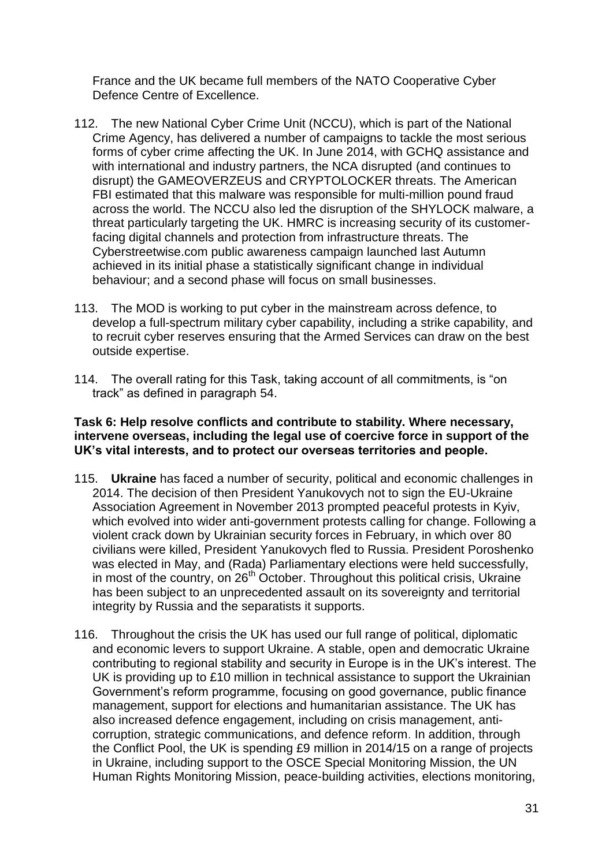France and the UK became full members of the NATO Cooperative Cyber Defence Centre of Excellence.

- 112. The new National Cyber Crime Unit (NCCU), which is part of the National Crime Agency, has delivered a number of campaigns to tackle the most serious forms of cyber crime affecting the UK. In June 2014, with GCHQ assistance and with international and industry partners, the NCA disrupted (and continues to disrupt) the GAMEOVERZEUS and CRYPTOLOCKER threats. The American FBI estimated that this malware was responsible for multi-million pound fraud across the world. The NCCU also led the disruption of the SHYLOCK malware, a threat particularly targeting the UK. HMRC is increasing security of its customerfacing digital channels and protection from infrastructure threats. The Cyberstreetwise.com public awareness campaign launched last Autumn achieved in its initial phase a statistically significant change in individual behaviour; and a second phase will focus on small businesses.
- 113. The MOD is working to put cyber in the mainstream across defence, to develop a full-spectrum military cyber capability, including a strike capability, and to recruit cyber reserves ensuring that the Armed Services can draw on the best outside expertise.
- 114. The overall rating for this Task, taking account of all commitments, is "on track" as defined in paragraph 54.

## **Task 6: Help resolve conflicts and contribute to stability. Where necessary, intervene overseas, including the legal use of coercive force in support of the UK's vital interests, and to protect our overseas territories and people.**

- 115. **Ukraine** has faced a number of security, political and economic challenges in 2014. The decision of then President Yanukovych not to sign the EU-Ukraine Association Agreement in November 2013 prompted peaceful protests in Kyiv, which evolved into wider anti-government protests calling for change. Following a violent crack down by Ukrainian security forces in February, in which over 80 civilians were killed, President Yanukovych fled to Russia. President Poroshenko was elected in May, and (Rada) Parliamentary elections were held successfully, in most of the country, on  $26<sup>th</sup>$  October. Throughout this political crisis, Ukraine has been subject to an unprecedented assault on its sovereignty and territorial integrity by Russia and the separatists it supports.
- 116. Throughout the crisis the UK has used our full range of political, diplomatic and economic levers to support Ukraine. A stable, open and democratic Ukraine contributing to regional stability and security in Europe is in the UK"s interest. The UK is providing up to £10 million in technical assistance to support the Ukrainian Government"s reform programme, focusing on good governance, public finance management, support for elections and humanitarian assistance. The UK has also increased defence engagement, including on crisis management, anticorruption, strategic communications, and defence reform. In addition, through the Conflict Pool, the UK is spending £9 million in 2014/15 on a range of projects in Ukraine, including support to the OSCE Special Monitoring Mission, the UN Human Rights Monitoring Mission, peace-building activities, elections monitoring,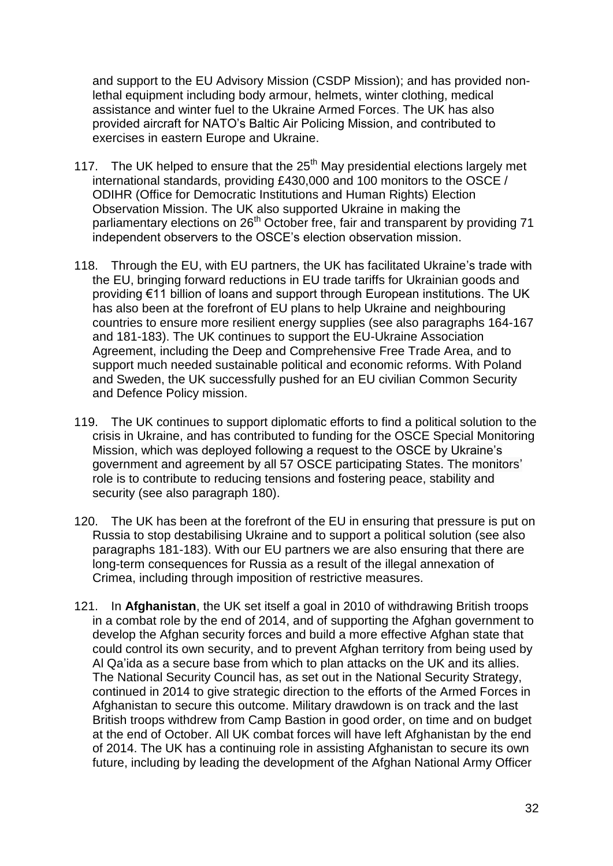and support to the EU Advisory Mission (CSDP Mission); and has provided nonlethal equipment including body armour, helmets, winter clothing, medical assistance and winter fuel to the Ukraine Armed Forces. The UK has also provided aircraft for NATO"s Baltic Air Policing Mission, and contributed to exercises in eastern Europe and Ukraine.

- 117. The UK helped to ensure that the  $25<sup>th</sup>$  May presidential elections largely met international standards, providing £430,000 and 100 monitors to the OSCE / ODIHR (Office for Democratic Institutions and Human Rights) Election Observation Mission. The UK also supported Ukraine in making the parliamentary elections on 26<sup>th</sup> October free, fair and transparent by providing 71 independent observers to the OSCE"s election observation mission.
- 118. Through the EU, with EU partners, the UK has facilitated Ukraine"s trade with the EU, bringing forward reductions in EU trade tariffs for Ukrainian goods and providing €11 billion of loans and support through European institutions. The UK has also been at the forefront of EU plans to help Ukraine and neighbouring countries to ensure more resilient energy supplies (see also paragraphs 164-167 and 181-183). The UK continues to support the EU-Ukraine Association Agreement, including the Deep and Comprehensive Free Trade Area, and to support much needed sustainable political and economic reforms. With Poland and Sweden, the UK successfully pushed for an EU civilian Common Security and Defence Policy mission.
- 119. The UK continues to support diplomatic efforts to find a political solution to the crisis in Ukraine, and has contributed to funding for the OSCE Special Monitoring Mission, which was deployed following a request to the OSCE by Ukraine"s government and agreement by all 57 OSCE participating States. The monitors" role is to contribute to reducing tensions and fostering peace, stability and security (see also paragraph 180).
- 120. The UK has been at the forefront of the EU in ensuring that pressure is put on Russia to stop destabilising Ukraine and to support a political solution (see also paragraphs 181-183). With our EU partners we are also ensuring that there are long-term consequences for Russia as a result of the illegal annexation of Crimea, including through imposition of restrictive measures.
- 121. In **Afghanistan**, the UK set itself a goal in 2010 of withdrawing British troops in a combat role by the end of 2014, and of supporting the Afghan government to develop the Afghan security forces and build a more effective Afghan state that could control its own security, and to prevent Afghan territory from being used by Al Qa"ida as a secure base from which to plan attacks on the UK and its allies. The National Security Council has, as set out in the National Security Strategy, continued in 2014 to give strategic direction to the efforts of the Armed Forces in Afghanistan to secure this outcome. Military drawdown is on track and the last British troops withdrew from Camp Bastion in good order, on time and on budget at the end of October. All UK combat forces will have left Afghanistan by the end of 2014. The UK has a continuing role in assisting Afghanistan to secure its own future, including by leading the development of the Afghan National Army Officer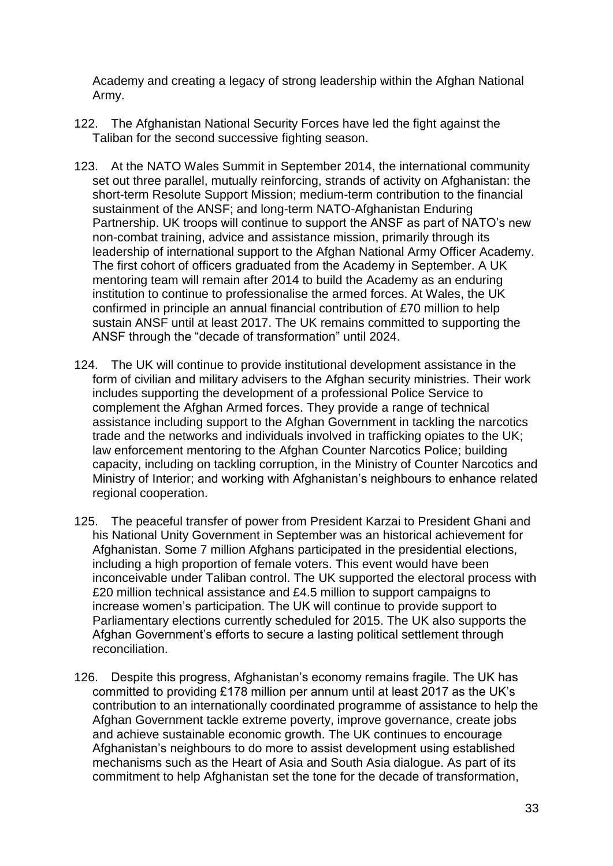Academy and creating a legacy of strong leadership within the Afghan National Army.

- 122. The Afghanistan National Security Forces have led the fight against the Taliban for the second successive fighting season.
- 123. At the NATO Wales Summit in September 2014, the international community set out three parallel, mutually reinforcing, strands of activity on Afghanistan: the short-term Resolute Support Mission; medium-term contribution to the financial sustainment of the ANSF; and long-term NATO-Afghanistan Enduring Partnership. UK troops will continue to support the ANSF as part of NATO"s new non-combat training, advice and assistance mission, primarily through its leadership of international support to the Afghan National Army Officer Academy. The first cohort of officers graduated from the Academy in September. A UK mentoring team will remain after 2014 to build the Academy as an enduring institution to continue to professionalise the armed forces. At Wales, the UK confirmed in principle an annual financial contribution of £70 million to help sustain ANSF until at least 2017. The UK remains committed to supporting the ANSF through the "decade of transformation" until 2024.
- 124. The UK will continue to provide institutional development assistance in the form of civilian and military advisers to the Afghan security ministries. Their work includes supporting the development of a professional Police Service to complement the Afghan Armed forces. They provide a range of technical assistance including support to the Afghan Government in tackling the narcotics trade and the networks and individuals involved in trafficking opiates to the UK; law enforcement mentoring to the Afghan Counter Narcotics Police; building capacity, including on tackling corruption, in the Ministry of Counter Narcotics and Ministry of Interior; and working with Afghanistan"s neighbours to enhance related regional cooperation.
- 125. The peaceful transfer of power from President Karzai to President Ghani and his National Unity Government in September was an historical achievement for Afghanistan. Some 7 million Afghans participated in the presidential elections, including a high proportion of female voters. This event would have been inconceivable under Taliban control. The UK supported the electoral process with £20 million technical assistance and £4.5 million to support campaigns to increase women"s participation. The UK will continue to provide support to Parliamentary elections currently scheduled for 2015. The UK also supports the Afghan Government"s efforts to secure a lasting political settlement through reconciliation.
- 126. Despite this progress, Afghanistan"s economy remains fragile. The UK has committed to providing £178 million per annum until at least 2017 as the UK"s contribution to an internationally coordinated programme of assistance to help the Afghan Government tackle extreme poverty, improve governance, create jobs and achieve sustainable economic growth. The UK continues to encourage Afghanistan"s neighbours to do more to assist development using established mechanisms such as the Heart of Asia and South Asia dialogue. As part of its commitment to help Afghanistan set the tone for the decade of transformation,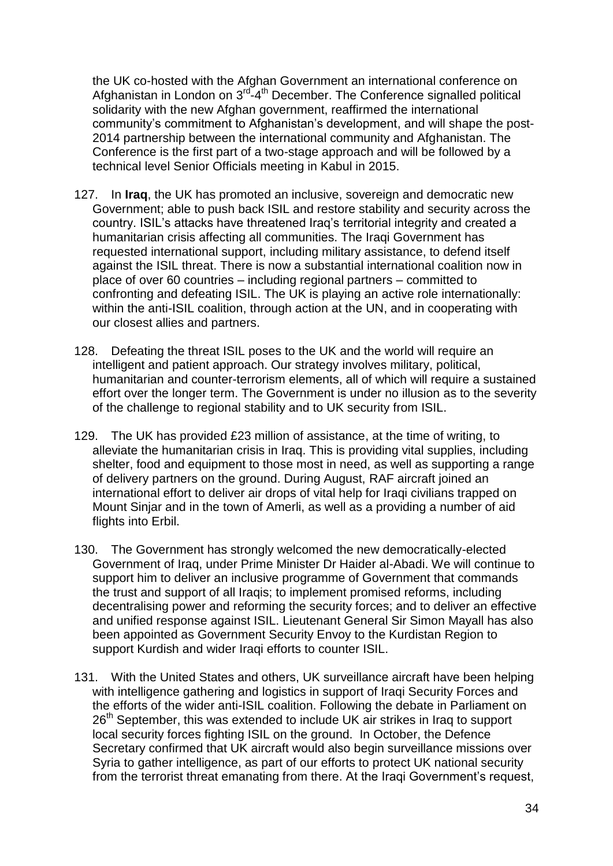the UK co-hosted with the Afghan Government an international conference on Afghanistan in London on 3<sup>rd-4th</sup> December. The Conference signalled political solidarity with the new Afghan government, reaffirmed the international community"s commitment to Afghanistan"s development, and will shape the post-2014 partnership between the international community and Afghanistan. The Conference is the first part of a two-stage approach and will be followed by a technical level Senior Officials meeting in Kabul in 2015.

- 127. In **Iraq**, the UK has promoted an inclusive, sovereign and democratic new Government; able to push back ISIL and restore stability and security across the country. ISIL"s attacks have threatened Iraq"s territorial integrity and created a humanitarian crisis affecting all communities. The Iraqi Government has requested international support, including military assistance, to defend itself against the ISIL threat. There is now a substantial international coalition now in place of over 60 countries – including regional partners – committed to confronting and defeating ISIL. The UK is playing an active role internationally: within the anti-ISIL coalition, through action at the UN, and in cooperating with our closest allies and partners.
- 128. Defeating the threat ISIL poses to the UK and the world will require an intelligent and patient approach. Our strategy involves military, political, humanitarian and counter-terrorism elements, all of which will require a sustained effort over the longer term. The Government is under no illusion as to the severity of the challenge to regional stability and to UK security from ISIL.
- 129. The UK has provided £23 million of assistance, at the time of writing, to alleviate the humanitarian crisis in Iraq. This is providing vital supplies, including shelter, food and equipment to those most in need, as well as supporting a range of delivery partners on the ground. During August, RAF aircraft joined an international effort to deliver air drops of vital help for Iraqi civilians trapped on Mount Sinjar and in the town of Amerli, as well as a providing a number of aid flights into Erbil.
- 130. The Government has strongly welcomed the new democratically-elected Government of Iraq, under Prime Minister Dr Haider al-Abadi. We will continue to support him to deliver an inclusive programme of Government that commands the trust and support of all Iraqis; to implement promised reforms, including decentralising power and reforming the security forces; and to deliver an effective and unified response against ISIL. Lieutenant General Sir Simon Mayall has also been appointed as Government Security Envoy to the Kurdistan Region to support Kurdish and wider Iraqi efforts to counter ISIL.
- 131. With the United States and others, UK surveillance aircraft have been helping with intelligence gathering and logistics in support of Iraqi Security Forces and the efforts of the wider anti-ISIL coalition. Following the debate in Parliament on 26<sup>th</sup> September, this was extended to include UK air strikes in Iraq to support local security forces fighting ISIL on the ground. In October, the Defence Secretary confirmed that UK aircraft would also begin surveillance missions over Syria to gather intelligence, as part of our efforts to protect UK national security from the terrorist threat emanating from there. At the Iraqi Government's request,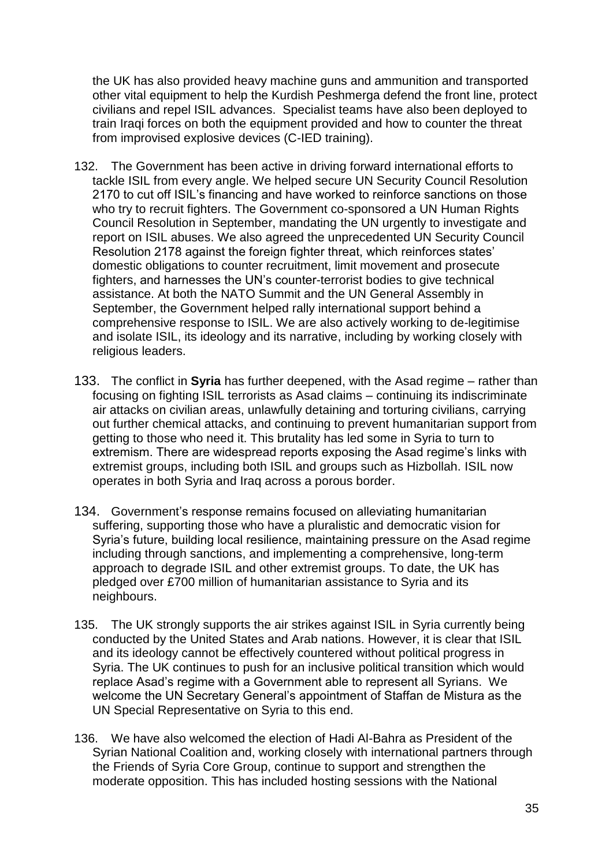the UK has also provided heavy machine guns and ammunition and transported other vital equipment to help the Kurdish Peshmerga defend the front line, protect civilians and repel ISIL advances. Specialist teams have also been deployed to train Iraqi forces on both the equipment provided and how to counter the threat from improvised explosive devices (C-IED training).

- 132. The Government has been active in driving forward international efforts to tackle ISIL from every angle. We helped secure UN Security Council Resolution 2170 to cut off ISIL"s financing and have worked to reinforce sanctions on those who try to recruit fighters. The Government co-sponsored a UN Human Rights Council Resolution in September, mandating the UN urgently to investigate and report on ISIL abuses. We also agreed the unprecedented UN Security Council Resolution 2178 against the foreign fighter threat, which reinforces states" domestic obligations to counter recruitment, limit movement and prosecute fighters, and harnesses the UN"s counter-terrorist bodies to give technical assistance. At both the NATO Summit and the UN General Assembly in September, the Government helped rally international support behind a comprehensive response to ISIL. We are also actively working to de-legitimise and isolate ISIL, its ideology and its narrative, including by working closely with religious leaders.
- 133. The conflict in **Syria** has further deepened, with the Asad regime rather than focusing on fighting ISIL terrorists as Asad claims – continuing its indiscriminate air attacks on civilian areas, unlawfully detaining and torturing civilians, carrying out further chemical attacks, and continuing to prevent humanitarian support from getting to those who need it. This brutality has led some in Syria to turn to extremism. There are widespread reports exposing the Asad regime's links with extremist groups, including both ISIL and groups such as Hizbollah. ISIL now operates in both Syria and Iraq across a porous border.
- 134. Government's response remains focused on alleviating humanitarian suffering, supporting those who have a pluralistic and democratic vision for Syria"s future, building local resilience, maintaining pressure on the Asad regime including through sanctions, and implementing a comprehensive, long-term approach to degrade ISIL and other extremist groups. To date, the UK has pledged over £700 million of humanitarian assistance to Syria and its neighbours.
- 135. The UK strongly supports the air strikes against ISIL in Syria currently being conducted by the United States and Arab nations. However, it is clear that ISIL and its ideology cannot be effectively countered without political progress in Syria. The UK continues to push for an inclusive political transition which would replace Asad"s regime with a Government able to represent all Syrians. We welcome the UN Secretary General"s appointment of Staffan de Mistura as the UN Special Representative on Syria to this end.
- 136. We have also welcomed the election of Hadi Al-Bahra as President of the Syrian National Coalition and, working closely with international partners through the Friends of Syria Core Group, continue to support and strengthen the moderate opposition. This has included hosting sessions with the National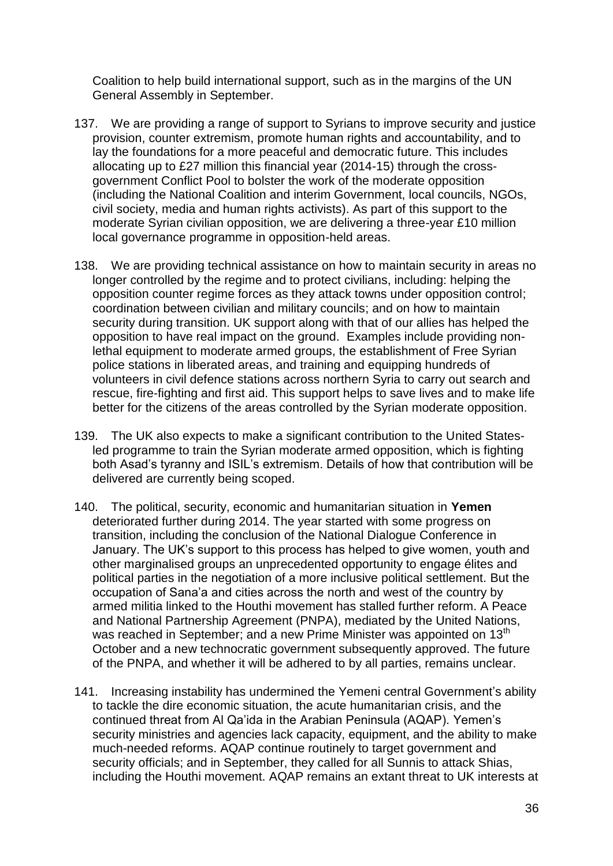Coalition to help build international support, such as in the margins of the UN General Assembly in September.

- 137. We are providing a range of support to Syrians to improve security and justice provision, counter extremism, promote human rights and accountability, and to lay the foundations for a more peaceful and democratic future. This includes allocating up to £27 million this financial year (2014-15) through the crossgovernment Conflict Pool to bolster the work of the moderate opposition (including the National Coalition and interim Government, local councils, NGOs, civil society, media and human rights activists). As part of this support to the moderate Syrian civilian opposition, we are delivering a three-year £10 million local governance programme in opposition-held areas.
- 138. We are providing technical assistance on how to maintain security in areas no longer controlled by the regime and to protect civilians, including: helping the opposition counter regime forces as they attack towns under opposition control; coordination between civilian and military councils; and on how to maintain security during transition. UK support along with that of our allies has helped the opposition to have real impact on the ground. Examples include providing nonlethal equipment to moderate armed groups, the establishment of Free Syrian police stations in liberated areas, and training and equipping hundreds of volunteers in civil defence stations across northern Syria to carry out search and rescue, fire-fighting and first aid. This support helps to save lives and to make life better for the citizens of the areas controlled by the Syrian moderate opposition.
- 139. The UK also expects to make a significant contribution to the United Statesled programme to train the Syrian moderate armed opposition, which is fighting both Asad"s tyranny and ISIL"s extremism. Details of how that contribution will be delivered are currently being scoped.
- 140. The political, security, economic and humanitarian situation in **Yemen** deteriorated further during 2014. The year started with some progress on transition, including the conclusion of the National Dialogue Conference in January. The UK"s support to this process has helped to give women, youth and other marginalised groups an unprecedented opportunity to engage élites and political parties in the negotiation of a more inclusive political settlement. But the occupation of Sana"a and cities across the north and west of the country by armed militia linked to the Houthi movement has stalled further reform. A Peace and National Partnership Agreement (PNPA), mediated by the United Nations, was reached in September; and a new Prime Minister was appointed on 13<sup>th</sup> October and a new technocratic government subsequently approved. The future of the PNPA, and whether it will be adhered to by all parties, remains unclear.
- 141. Increasing instability has undermined the Yemeni central Government's ability to tackle the dire economic situation, the acute humanitarian crisis, and the continued threat from Al Qa"ida in the Arabian Peninsula (AQAP). Yemen"s security ministries and agencies lack capacity, equipment, and the ability to make much-needed reforms. AQAP continue routinely to target government and security officials; and in September, they called for all Sunnis to attack Shias, including the Houthi movement. AQAP remains an extant threat to UK interests at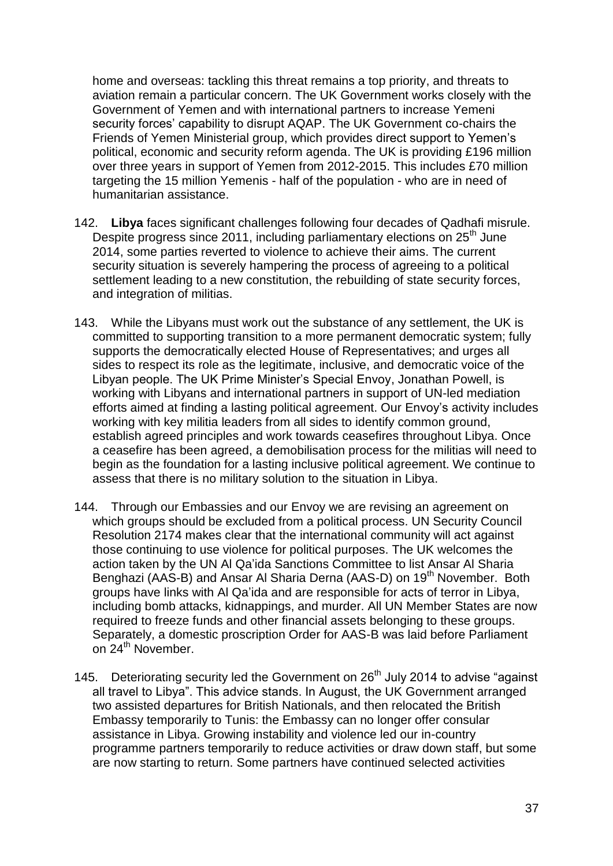home and overseas: tackling this threat remains a top priority, and threats to aviation remain a particular concern. The UK Government works closely with the Government of Yemen and with international partners to increase Yemeni security forces' capability to disrupt AQAP. The UK Government co-chairs the Friends of Yemen Ministerial group, which provides direct support to Yemen"s political, economic and security reform agenda. The UK is providing £196 million over three years in support of Yemen from 2012-2015. This includes £70 million targeting the 15 million Yemenis - half of the population - who are in need of humanitarian assistance.

- 142. **Libya** faces significant challenges following four decades of Qadhafi misrule. Despite progress since 2011, including parliamentary elections on 25<sup>th</sup> June 2014, some parties reverted to violence to achieve their aims. The current security situation is severely hampering the process of agreeing to a political settlement leading to a new constitution, the rebuilding of state security forces, and integration of militias.
- 143. While the Libyans must work out the substance of any settlement, the UK is committed to supporting transition to a more permanent democratic system; fully supports the democratically elected House of Representatives; and urges all sides to respect its role as the legitimate, inclusive, and democratic voice of the Libyan people. The UK Prime Minister"s Special Envoy, Jonathan Powell, is working with Libyans and international partners in support of UN-led mediation efforts aimed at finding a lasting political agreement. Our Envoy"s activity includes working with key militia leaders from all sides to identify common ground, establish agreed principles and work towards ceasefires throughout Libya. Once a ceasefire has been agreed, a demobilisation process for the militias will need to begin as the foundation for a lasting inclusive political agreement. We continue to assess that there is no military solution to the situation in Libya.
- 144. Through our Embassies and our Envoy we are revising an agreement on which groups should be excluded from a political process. UN Security Council Resolution 2174 makes clear that the international community will act against those continuing to use violence for political purposes. The UK welcomes the action taken by the UN Al Qa"ida Sanctions Committee to list Ansar Al Sharia Benghazi (AAS-B) and Ansar Al Sharia Derna (AAS-D) on 19<sup>th</sup> November. Both groups have links with Al Qa"ida and are responsible for acts of terror in Libya, including bomb attacks, kidnappings, and murder. All UN Member States are now required to freeze funds and other financial assets belonging to these groups. Separately, a domestic proscription Order for AAS-B was laid before Parliament on 24<sup>th</sup> November.
- 145. Deteriorating security led the Government on  $26<sup>th</sup>$  July 2014 to advise "against all travel to Libya". This advice stands. In August, the UK Government arranged two assisted departures for British Nationals, and then relocated the British Embassy temporarily to Tunis: the Embassy can no longer offer consular assistance in Libya. Growing instability and violence led our in-country programme partners temporarily to reduce activities or draw down staff, but some are now starting to return. Some partners have continued selected activities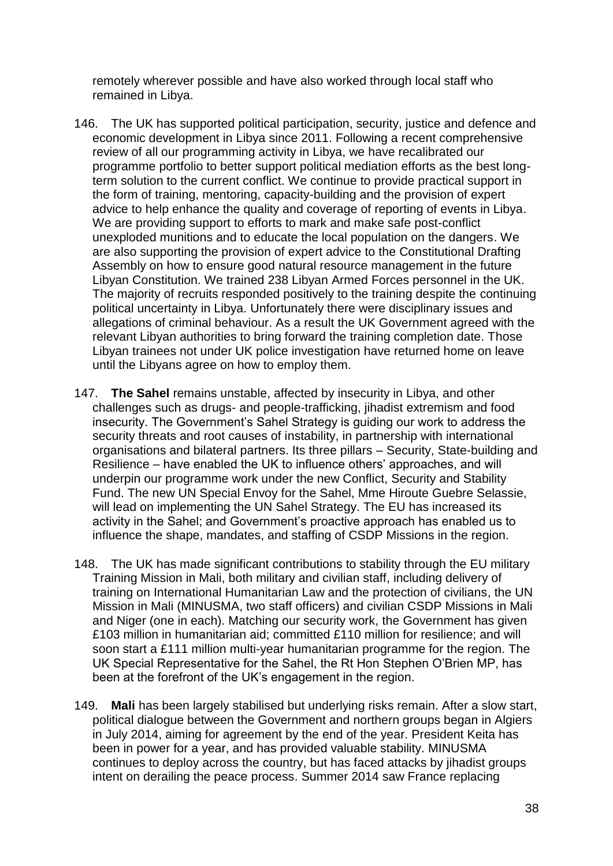remotely wherever possible and have also worked through local staff who remained in Libya.

- 146. The UK has supported political participation, security, justice and defence and economic development in Libya since 2011. Following a recent comprehensive review of all our programming activity in Libya, we have recalibrated our programme portfolio to better support political mediation efforts as the best longterm solution to the current conflict. We continue to provide practical support in the form of training, mentoring, capacity-building and the provision of expert advice to help enhance the quality and coverage of reporting of events in Libya. We are providing support to efforts to mark and make safe post-conflict unexploded munitions and to educate the local population on the dangers. We are also supporting the provision of expert advice to the Constitutional Drafting Assembly on how to ensure good natural resource management in the future Libyan Constitution. We trained 238 Libyan Armed Forces personnel in the UK. The majority of recruits responded positively to the training despite the continuing political uncertainty in Libya. Unfortunately there were disciplinary issues and allegations of criminal behaviour. As a result the UK Government agreed with the relevant Libyan authorities to bring forward the training completion date. Those Libyan trainees not under UK police investigation have returned home on leave until the Libyans agree on how to employ them.
- 147. **The Sahel** remains unstable, affected by insecurity in Libya, and other challenges such as drugs- and people-trafficking, jihadist extremism and food insecurity. The Government's Sahel Strategy is guiding our work to address the security threats and root causes of instability, in partnership with international organisations and bilateral partners. Its three pillars – Security, State-building and Resilience – have enabled the UK to influence others" approaches, and will underpin our programme work under the new Conflict, Security and Stability Fund. The new UN Special Envoy for the Sahel, Mme Hiroute Guebre Selassie, will lead on implementing the UN Sahel Strategy. The EU has increased its activity in the Sahel; and Government"s proactive approach has enabled us to influence the shape, mandates, and staffing of CSDP Missions in the region.
- 148. The UK has made significant contributions to stability through the EU military Training Mission in Mali, both military and civilian staff, including delivery of training on International Humanitarian Law and the protection of civilians, the UN Mission in Mali (MINUSMA, two staff officers) and civilian CSDP Missions in Mali and Niger (one in each). Matching our security work, the Government has given £103 million in humanitarian aid; committed £110 million for resilience; and will soon start a £111 million multi-year humanitarian programme for the region. The UK Special Representative for the Sahel, the Rt Hon Stephen O"Brien MP, has been at the forefront of the UK"s engagement in the region.
- 149. **Mali** has been largely stabilised but underlying risks remain. After a slow start, political dialogue between the Government and northern groups began in Algiers in July 2014, aiming for agreement by the end of the year. President Keita has been in power for a year, and has provided valuable stability. MINUSMA continues to deploy across the country, but has faced attacks by jihadist groups intent on derailing the peace process. Summer 2014 saw France replacing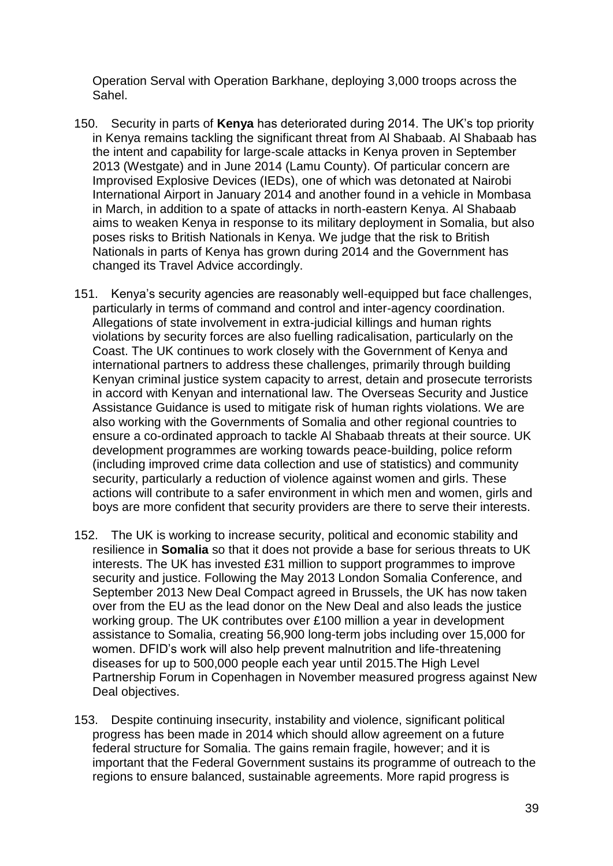Operation Serval with Operation Barkhane, deploying 3,000 troops across the Sahel.

- 150. Security in parts of **Kenya** has deteriorated during 2014. The UK"s top priority in Kenya remains tackling the significant threat from Al Shabaab. Al Shabaab has the intent and capability for large-scale attacks in Kenya proven in September 2013 (Westgate) and in June 2014 (Lamu County). Of particular concern are Improvised Explosive Devices (IEDs), one of which was detonated at Nairobi International Airport in January 2014 and another found in a vehicle in Mombasa in March, in addition to a spate of attacks in north-eastern Kenya. Al Shabaab aims to weaken Kenya in response to its military deployment in Somalia, but also poses risks to British Nationals in Kenya. We judge that the risk to British Nationals in parts of Kenya has grown during 2014 and the Government has changed its Travel Advice accordingly.
- 151. Kenya"s security agencies are reasonably well-equipped but face challenges, particularly in terms of command and control and inter-agency coordination. Allegations of state involvement in extra-judicial killings and human rights violations by security forces are also fuelling radicalisation, particularly on the Coast. The UK continues to work closely with the Government of Kenya and international partners to address these challenges, primarily through building Kenyan criminal justice system capacity to arrest, detain and prosecute terrorists in accord with Kenyan and international law. The Overseas Security and Justice Assistance Guidance is used to mitigate risk of human rights violations. We are also working with the Governments of Somalia and other regional countries to ensure a co-ordinated approach to tackle Al Shabaab threats at their source. UK development programmes are working towards peace-building, police reform (including improved crime data collection and use of statistics) and community security, particularly a reduction of violence against women and girls. These actions will contribute to a safer environment in which men and women, girls and boys are more confident that security providers are there to serve their interests.
- 152. The UK is working to increase security, political and economic stability and resilience in **Somalia** so that it does not provide a base for serious threats to UK interests. The UK has invested £31 million to support programmes to improve security and justice. Following the May 2013 London Somalia Conference, and September 2013 New Deal Compact agreed in Brussels, the UK has now taken over from the EU as the lead donor on the New Deal and also leads the justice working group. The UK contributes over £100 million a year in development assistance to Somalia, creating 56,900 long-term jobs including over 15,000 for women. DFID"s work will also help prevent malnutrition and life-threatening diseases for up to 500,000 people each year until 2015.The High Level Partnership Forum in Copenhagen in November measured progress against New Deal objectives.
- 153. Despite continuing insecurity, instability and violence, significant political progress has been made in 2014 which should allow agreement on a future federal structure for Somalia. The gains remain fragile, however; and it is important that the Federal Government sustains its programme of outreach to the regions to ensure balanced, sustainable agreements. More rapid progress is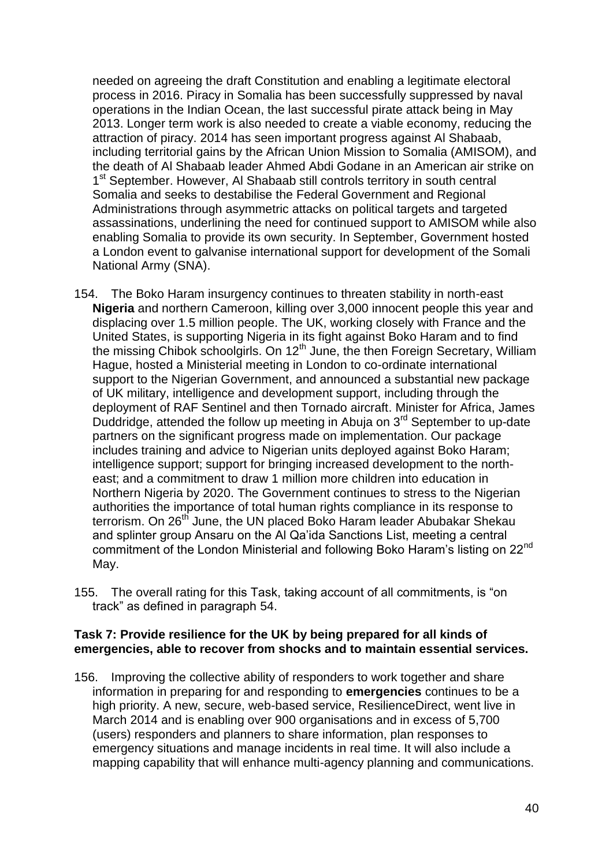needed on agreeing the draft Constitution and enabling a legitimate electoral process in 2016. Piracy in Somalia has been successfully suppressed by naval operations in the Indian Ocean, the last successful pirate attack being in May 2013. Longer term work is also needed to create a viable economy, reducing the attraction of piracy. 2014 has seen important progress against Al Shabaab, including territorial gains by the African Union Mission to Somalia (AMISOM), and the death of Al Shabaab leader Ahmed Abdi Godane in an American air strike on 1<sup>st</sup> September. However, AI Shabaab still controls territory in south central Somalia and seeks to destabilise the Federal Government and Regional Administrations through asymmetric attacks on political targets and targeted assassinations, underlining the need for continued support to AMISOM while also enabling Somalia to provide its own security. In September, Government hosted a London event to galvanise international support for development of the Somali National Army (SNA).

- 154. The Boko Haram insurgency continues to threaten stability in north-east **Nigeria** and northern Cameroon, killing over 3,000 innocent people this year and displacing over 1.5 million people. The UK, working closely with France and the United States, is supporting Nigeria in its fight against Boko Haram and to find the missing Chibok schoolgirls. On 12<sup>th</sup> June, the then Foreign Secretary, William Hague, hosted a Ministerial meeting in London to co-ordinate international support to the Nigerian Government, and announced a substantial new package of UK military, intelligence and development support, including through the deployment of RAF Sentinel and then Tornado aircraft. Minister for Africa, James Duddridge, attended the follow up meeting in Abuja on 3<sup>rd</sup> September to up-date partners on the significant progress made on implementation. Our package includes training and advice to Nigerian units deployed against Boko Haram; intelligence support; support for bringing increased development to the northeast; and a commitment to draw 1 million more children into education in Northern Nigeria by 2020. The Government continues to stress to the Nigerian authorities the importance of total human rights compliance in its response to terrorism. On 26<sup>th</sup> June, the UN placed Boko Haram leader Abubakar Shekau and splinter group Ansaru on the Al Qa"ida Sanctions List, meeting a central commitment of the London Ministerial and following Boko Haram's listing on 22<sup>nd</sup> May.
- 155. The overall rating for this Task, taking account of all commitments, is "on track" as defined in paragraph 54.

## **Task 7: Provide resilience for the UK by being prepared for all kinds of emergencies, able to recover from shocks and to maintain essential services.**

156. Improving the collective ability of responders to work together and share information in preparing for and responding to **emergencies** continues to be a high priority. A new, secure, web-based service, ResilienceDirect, went live in March 2014 and is enabling over 900 organisations and in excess of 5,700 (users) responders and planners to share information, plan responses to emergency situations and manage incidents in real time. It will also include a mapping capability that will enhance multi-agency planning and communications.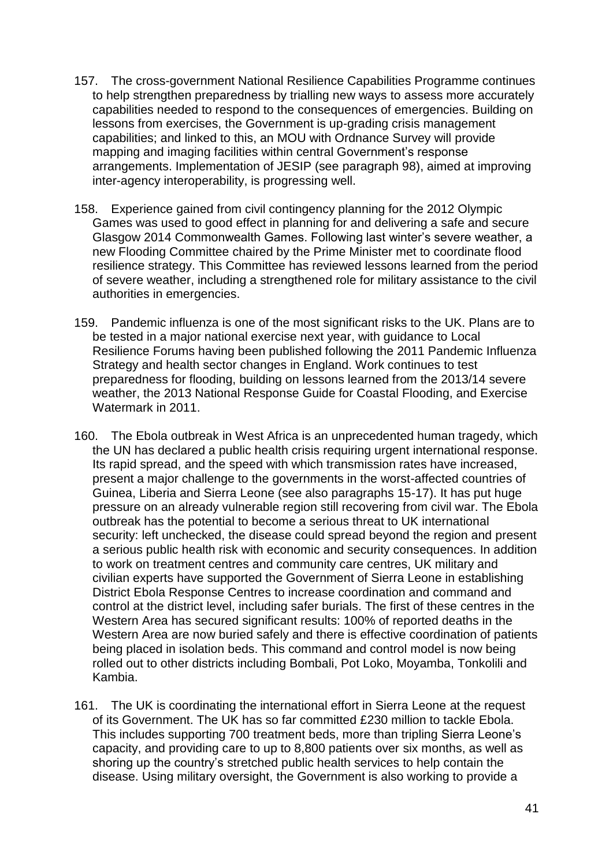- 157. The cross-government National Resilience Capabilities Programme continues to help strengthen preparedness by trialling new ways to assess more accurately capabilities needed to respond to the consequences of emergencies. Building on lessons from exercises, the Government is up-grading crisis management capabilities; and linked to this, an MOU with Ordnance Survey will provide mapping and imaging facilities within central Government's response arrangements. Implementation of JESIP (see paragraph 98), aimed at improving inter-agency interoperability, is progressing well.
- 158. Experience gained from civil contingency planning for the 2012 Olympic Games was used to good effect in planning for and delivering a safe and secure Glasgow 2014 Commonwealth Games. Following last winter"s severe weather, a new Flooding Committee chaired by the Prime Minister met to coordinate flood resilience strategy. This Committee has reviewed lessons learned from the period of severe weather, including a strengthened role for military assistance to the civil authorities in emergencies.
- 159. Pandemic influenza is one of the most significant risks to the UK. Plans are to be tested in a major national exercise next year, with guidance to Local Resilience Forums having been published following the 2011 Pandemic Influenza Strategy and health sector changes in England. Work continues to test preparedness for flooding, building on lessons learned from the 2013/14 severe weather, the 2013 National Response Guide for Coastal Flooding, and Exercise Watermark in 2011.
- 160. The Ebola outbreak in West Africa is an unprecedented human tragedy, which the UN has declared a public health crisis requiring urgent international response. Its rapid spread, and the speed with which transmission rates have increased, present a major challenge to the governments in the worst-affected countries of Guinea, Liberia and Sierra Leone (see also paragraphs 15-17). It has put huge pressure on an already vulnerable region still recovering from civil war. The Ebola outbreak has the potential to become a serious threat to UK international security: left unchecked, the disease could spread beyond the region and present a serious public health risk with economic and security consequences. In addition to work on treatment centres and community care centres, UK military and civilian experts have supported the Government of Sierra Leone in establishing District Ebola Response Centres to increase coordination and command and control at the district level, including safer burials. The first of these centres in the Western Area has secured significant results: 100% of reported deaths in the Western Area are now buried safely and there is effective coordination of patients being placed in isolation beds. This command and control model is now being rolled out to other districts including Bombali, Pot Loko, Moyamba, Tonkolili and Kambia.
- 161. The UK is coordinating the international effort in Sierra Leone at the request of its Government. The UK has so far committed £230 million to tackle Ebola. This includes supporting 700 treatment beds, more than tripling Sierra Leone"s capacity, and providing care to up to 8,800 patients over six months, as well as shoring up the country's stretched public health services to help contain the disease. Using military oversight, the Government is also working to provide a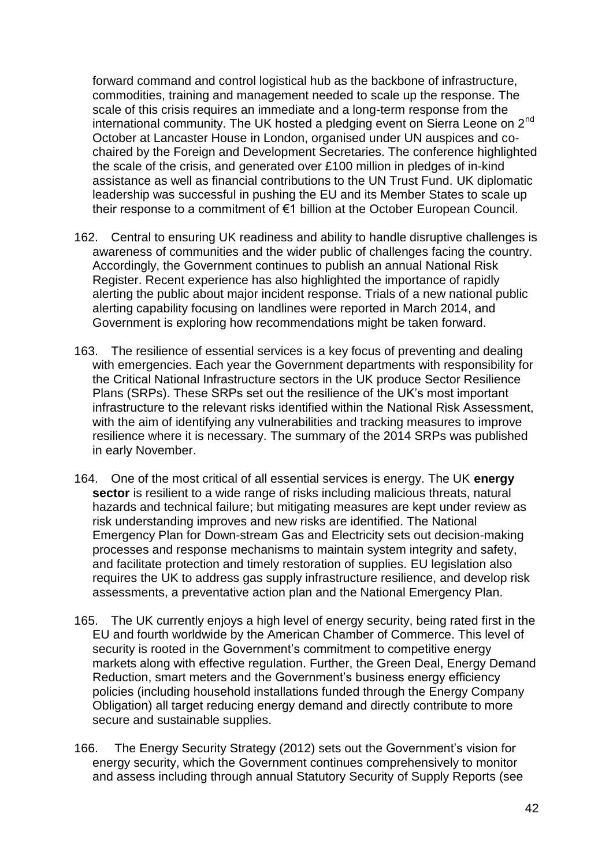forward command and control logistical hub as the backbone of infrastructure, commodities, training and management needed to scale up the response. The scale of this crisis requires an immediate and a long-term response from the international community. The UK hosted a pledging event on Sierra Leone on 2<sup>nd</sup> October at Lancaster House in London, organised under UN auspices and cochaired by the Foreign and Development Secretaries. The conference highlighted the scale of the crisis, and generated over £100 million in pledges of in-kind assistance as well as financial contributions to the UN Trust Fund. UK diplomatic leadership was successful in pushing the EU and its Member States to scale up their response to a commitment of €1 billion at the October European Council.

- 162. Central to ensuring UK readiness and ability to handle disruptive challenges is awareness of communities and the wider public of challenges facing the country. Accordingly, the Government continues to publish an annual National Risk Register. Recent experience has also highlighted the importance of rapidly alerting the public about major incident response. Trials of a new national public alerting capability focusing on landlines were reported in March 2014, and Government is exploring how recommendations might be taken forward.
- 163. The resilience of essential services is a key focus of preventing and dealing with emergencies. Each year the Government departments with responsibility for the Critical National Infrastructure sectors in the UK produce Sector Resilience Plans (SRPs). These SRPs set out the resilience of the UK"s most important infrastructure to the relevant risks identified within the National Risk Assessment, with the aim of identifying any vulnerabilities and tracking measures to improve resilience where it is necessary. The summary of the 2014 SRPs was published in early November.
- 164. One of the most critical of all essential services is energy. The UK **energy sector** is resilient to a wide range of risks including malicious threats, natural hazards and technical failure; but mitigating measures are kept under review as risk understanding improves and new risks are identified. The National Emergency Plan for Down-stream Gas and Electricity sets out decision-making processes and response mechanisms to maintain system integrity and safety, and facilitate protection and timely restoration of supplies. EU legislation also requires the UK to address gas supply infrastructure resilience, and develop risk assessments, a preventative action plan and the National Emergency Plan.
- 165. The UK currently enjoys a high level of energy security, being rated first in the EU and fourth worldwide by the American Chamber of Commerce. This level of security is rooted in the Government's commitment to competitive energy markets along with effective regulation. Further, the Green Deal, Energy Demand Reduction, smart meters and the Government"s business energy efficiency policies (including household installations funded through the Energy Company Obligation) all target reducing energy demand and directly contribute to more secure and sustainable supplies.
- 166. The Energy Security Strategy (2012) sets out the Government"s vision for energy security, which the Government continues comprehensively to monitor and assess including through annual Statutory Security of Supply Reports (see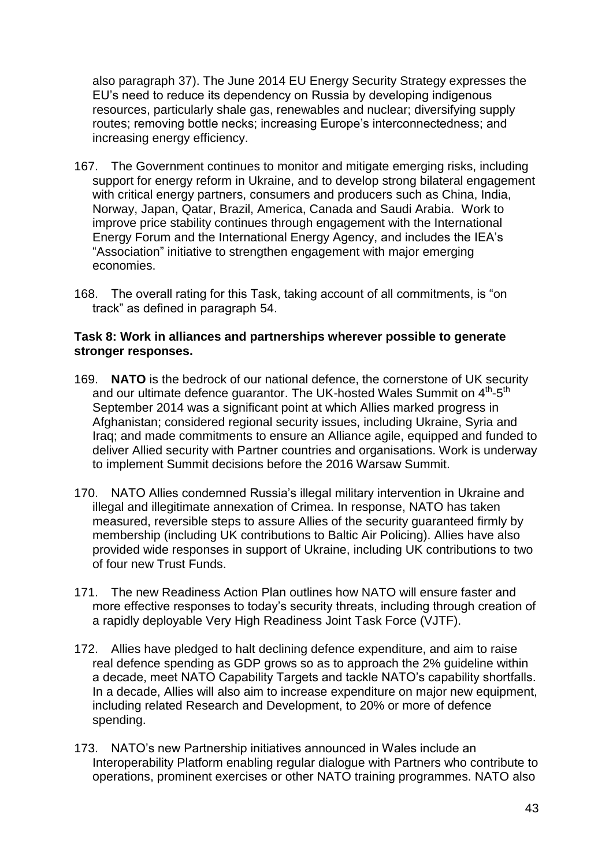also paragraph 37). The June 2014 EU Energy Security Strategy expresses the EU"s need to reduce its dependency on Russia by developing indigenous resources, particularly shale gas, renewables and nuclear; diversifying supply routes; removing bottle necks; increasing Europe"s interconnectedness; and increasing energy efficiency.

- 167. The Government continues to monitor and mitigate emerging risks, including support for energy reform in Ukraine, and to develop strong bilateral engagement with critical energy partners, consumers and producers such as China, India, Norway, Japan, Qatar, Brazil, America, Canada and Saudi Arabia. Work to improve price stability continues through engagement with the International Energy Forum and the International Energy Agency, and includes the IEA"s "Association" initiative to strengthen engagement with major emerging economies.
- 168. The overall rating for this Task, taking account of all commitments, is "on track" as defined in paragraph 54.

## **Task 8: Work in alliances and partnerships wherever possible to generate stronger responses.**

- 169. **NATO** is the bedrock of our national defence, the cornerstone of UK security and our ultimate defence guarantor. The UK-hosted Wales Summit on  $4^{\text{th}}$ -5<sup>th</sup> September 2014 was a significant point at which Allies marked progress in Afghanistan; considered regional security issues, including Ukraine, Syria and Iraq; and made commitments to ensure an Alliance agile, equipped and funded to deliver Allied security with Partner countries and organisations. Work is underway to implement Summit decisions before the 2016 Warsaw Summit.
- 170. NATO Allies condemned Russia"s illegal military intervention in Ukraine and illegal and illegitimate annexation of Crimea. In response, NATO has taken measured, reversible steps to assure Allies of the security guaranteed firmly by membership (including UK contributions to Baltic Air Policing). Allies have also provided wide responses in support of Ukraine, including UK contributions to two of four new Trust Funds.
- 171. The new Readiness Action Plan outlines how NATO will ensure faster and more effective responses to today"s security threats, including through creation of a rapidly deployable Very High Readiness Joint Task Force (VJTF).
- 172. Allies have pledged to halt declining defence expenditure, and aim to raise real defence spending as GDP grows so as to approach the 2% guideline within a decade, meet NATO Capability Targets and tackle NATO"s capability shortfalls. In a decade, Allies will also aim to increase expenditure on major new equipment, including related Research and Development, to 20% or more of defence spending.
- 173. NATO"s new Partnership initiatives announced in Wales include an Interoperability Platform enabling regular dialogue with Partners who contribute to operations, prominent exercises or other NATO training programmes. NATO also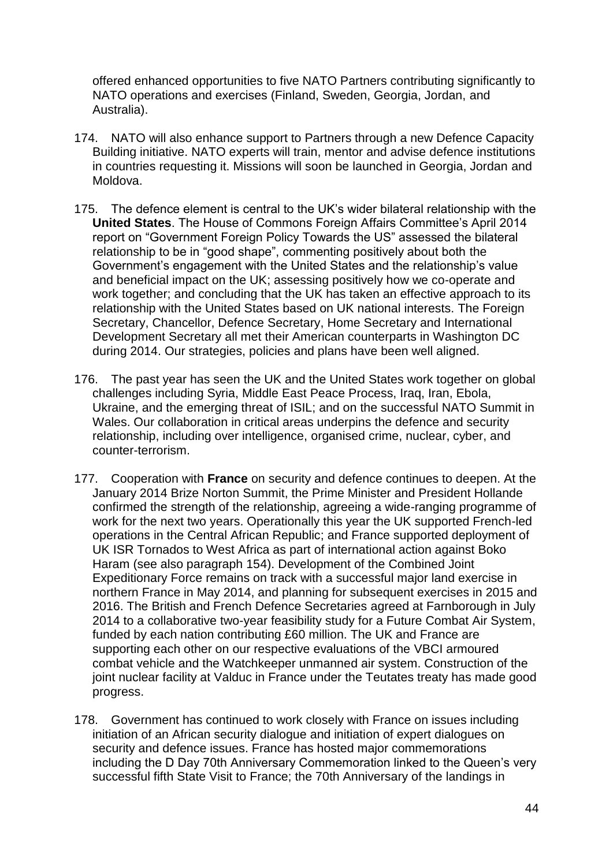offered enhanced opportunities to five NATO Partners contributing significantly to NATO operations and exercises (Finland, Sweden, Georgia, Jordan, and Australia).

- 174. NATO will also enhance support to Partners through a new Defence Capacity Building initiative. NATO experts will train, mentor and advise defence institutions in countries requesting it. Missions will soon be launched in Georgia, Jordan and Moldova.
- 175. The defence element is central to the UK"s wider bilateral relationship with the **United States**. The House of Commons Foreign Affairs Committee"s April 2014 report on "Government Foreign Policy Towards the US" assessed the bilateral relationship to be in "good shape", commenting positively about both the Government"s engagement with the United States and the relationship"s value and beneficial impact on the UK; assessing positively how we co-operate and work together; and concluding that the UK has taken an effective approach to its relationship with the United States based on UK national interests. The Foreign Secretary, Chancellor, Defence Secretary, Home Secretary and International Development Secretary all met their American counterparts in Washington DC during 2014. Our strategies, policies and plans have been well aligned.
- 176. The past year has seen the UK and the United States work together on global challenges including Syria, Middle East Peace Process, Iraq, Iran, Ebola, Ukraine, and the emerging threat of ISIL; and on the successful NATO Summit in Wales. Our collaboration in critical areas underpins the defence and security relationship, including over intelligence, organised crime, nuclear, cyber, and counter-terrorism.
- 177. Cooperation with **France** on security and defence continues to deepen. At the January 2014 Brize Norton Summit, the Prime Minister and President Hollande confirmed the strength of the relationship, agreeing a wide-ranging programme of work for the next two years. Operationally this year the UK supported French-led operations in the Central African Republic; and France supported deployment of UK ISR Tornados to West Africa as part of international action against Boko Haram (see also paragraph 154). Development of the Combined Joint Expeditionary Force remains on track with a successful major land exercise in northern France in May 2014, and planning for subsequent exercises in 2015 and 2016. The British and French Defence Secretaries agreed at Farnborough in July 2014 to a collaborative two-year feasibility study for a Future Combat Air System, funded by each nation contributing £60 million. The UK and France are supporting each other on our respective evaluations of the VBCI armoured combat vehicle and the Watchkeeper unmanned air system. Construction of the joint nuclear facility at Valduc in France under the Teutates treaty has made good progress.
- 178. Government has continued to work closely with France on issues including initiation of an African security dialogue and initiation of expert dialogues on security and defence issues. France has hosted major commemorations including the D Day 70th Anniversary Commemoration linked to the Queen's very successful fifth State Visit to France; the 70th Anniversary of the landings in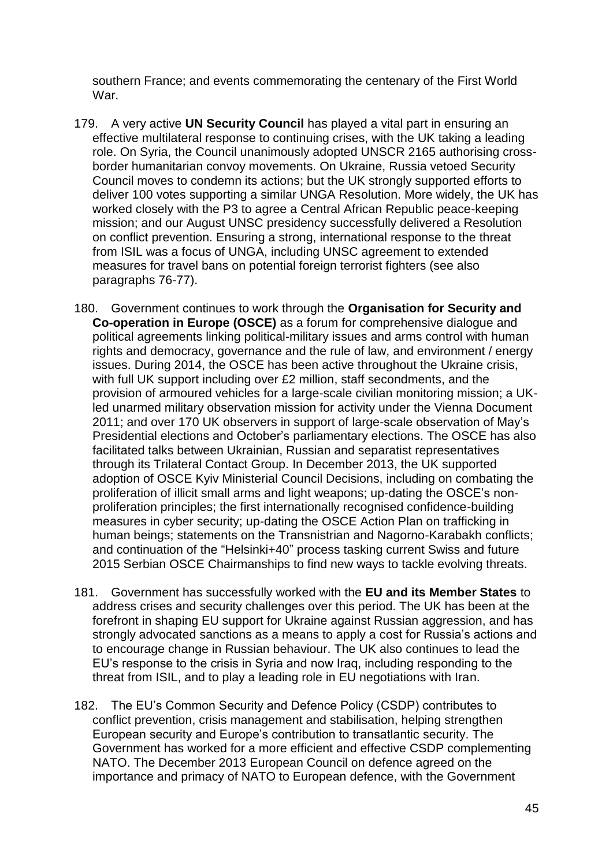southern France; and events commemorating the centenary of the First World War.

- 179. A very active **UN Security Council** has played a vital part in ensuring an effective multilateral response to continuing crises, with the UK taking a leading role. On Syria, the Council unanimously adopted UNSCR 2165 authorising crossborder humanitarian convoy movements. On Ukraine, Russia vetoed Security Council moves to condemn its actions; but the UK strongly supported efforts to deliver 100 votes supporting a similar UNGA Resolution. More widely, the UK has worked closely with the P3 to agree a Central African Republic peace-keeping mission; and our August UNSC presidency successfully delivered a Resolution on conflict prevention. Ensuring a strong, international response to the threat from ISIL was a focus of UNGA, including UNSC agreement to extended measures for travel bans on potential foreign terrorist fighters (see also paragraphs 76-77).
- 180. Government continues to work through the **Organisation for Security and Co-operation in Europe (OSCE)** as a forum for comprehensive dialogue and political agreements linking political-military issues and arms control with human rights and democracy, governance and the rule of law, and environment / energy issues. During 2014, the OSCE has been active throughout the Ukraine crisis, with full UK support including over £2 million, staff secondments, and the provision of armoured vehicles for a large-scale civilian monitoring mission; a UKled unarmed military observation mission for activity under the Vienna Document 2011; and over 170 UK observers in support of large-scale observation of May"s Presidential elections and October"s parliamentary elections. The OSCE has also facilitated talks between Ukrainian, Russian and separatist representatives through its Trilateral Contact Group. In December 2013, the UK supported adoption of OSCE Kyiv Ministerial Council Decisions, including on combating the proliferation of illicit small arms and light weapons; up-dating the OSCE"s nonproliferation principles; the first internationally recognised confidence-building measures in cyber security; up-dating the OSCE Action Plan on trafficking in human beings; statements on the Transnistrian and Nagorno-Karabakh conflicts; and continuation of the "Helsinki+40" process tasking current Swiss and future 2015 Serbian OSCE Chairmanships to find new ways to tackle evolving threats.
- 181. Government has successfully worked with the **EU and its Member States** to address crises and security challenges over this period. The UK has been at the forefront in shaping EU support for Ukraine against Russian aggression, and has strongly advocated sanctions as a means to apply a cost for Russia's actions and to encourage change in Russian behaviour. The UK also continues to lead the EU"s response to the crisis in Syria and now Iraq, including responding to the threat from ISIL, and to play a leading role in EU negotiations with Iran.
- 182. The EU"s Common Security and Defence Policy (CSDP) contributes to conflict prevention, crisis management and stabilisation, helping strengthen European security and Europe"s contribution to transatlantic security. The Government has worked for a more efficient and effective CSDP complementing NATO. The December 2013 European Council on defence agreed on the importance and primacy of NATO to European defence, with the Government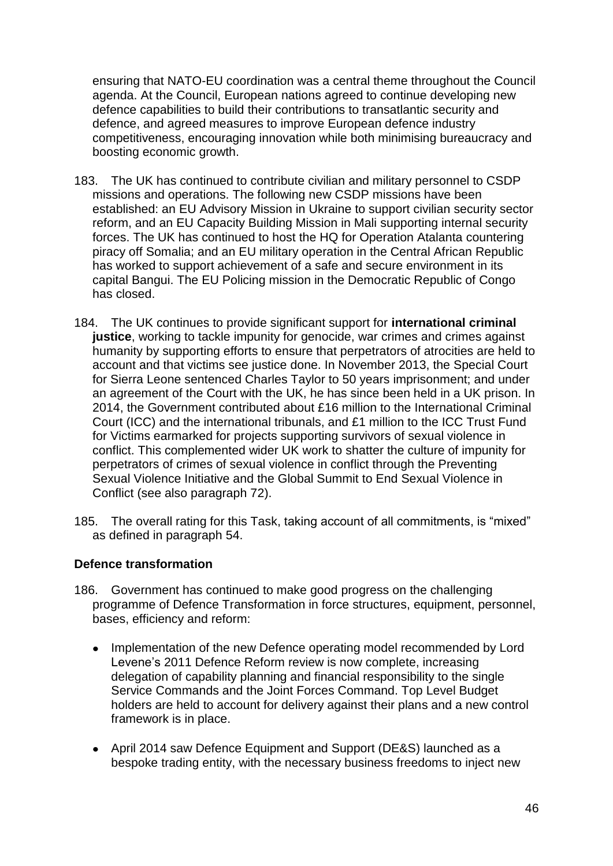ensuring that NATO-EU coordination was a central theme throughout the Council agenda. At the Council, European nations agreed to continue developing new defence capabilities to build their contributions to transatlantic security and defence, and agreed measures to improve European defence industry competitiveness, encouraging innovation while both minimising bureaucracy and boosting economic growth.

- 183. The UK has continued to contribute civilian and military personnel to CSDP missions and operations. The following new CSDP missions have been established: an EU Advisory Mission in Ukraine to support civilian security sector reform, and an EU Capacity Building Mission in Mali supporting internal security forces. The UK has continued to host the HQ for Operation Atalanta countering piracy off Somalia; and an EU military operation in the Central African Republic has worked to support achievement of a safe and secure environment in its capital Bangui. The EU Policing mission in the Democratic Republic of Congo has closed.
- 184. The UK continues to provide significant support for **international criminal justice**, working to tackle impunity for genocide, war crimes and crimes against humanity by supporting efforts to ensure that perpetrators of atrocities are held to account and that victims see justice done. In November 2013, the Special Court for Sierra Leone sentenced Charles Taylor to 50 years imprisonment; and under an agreement of the Court with the UK, he has since been held in a UK prison. In 2014, the Government contributed about £16 million to the International Criminal Court (ICC) and the international tribunals, and £1 million to the ICC Trust Fund for Victims earmarked for projects supporting survivors of sexual violence in conflict. This complemented wider UK work to shatter the culture of impunity for perpetrators of crimes of sexual violence in conflict through the Preventing Sexual Violence Initiative and the Global Summit to End Sexual Violence in Conflict (see also paragraph 72).
- 185. The overall rating for this Task, taking account of all commitments, is "mixed" as defined in paragraph 54.

## **Defence transformation**

- 186. Government has continued to make good progress on the challenging programme of Defence Transformation in force structures, equipment, personnel, bases, efficiency and reform:
	- Implementation of the new Defence operating model recommended by Lord  $\bullet$ Levene"s 2011 Defence Reform review is now complete, increasing delegation of capability planning and financial responsibility to the single Service Commands and the Joint Forces Command. Top Level Budget holders are held to account for delivery against their plans and a new control framework is in place.
	- April 2014 saw Defence Equipment and Support (DE&S) launched as a bespoke trading entity, with the necessary business freedoms to inject new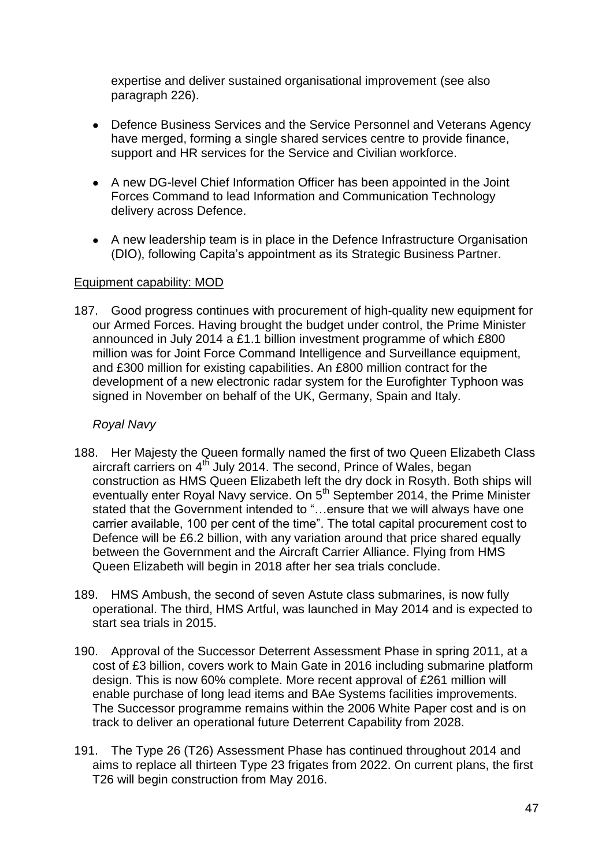expertise and deliver sustained organisational improvement (see also paragraph 226).

- Defence Business Services and the Service Personnel and Veterans Agency have merged, forming a single shared services centre to provide finance, support and HR services for the Service and Civilian workforce.
- A new DG-level Chief Information Officer has been appointed in the Joint Forces Command to lead Information and Communication Technology delivery across Defence.
- A new leadership team is in place in the Defence Infrastructure Organisation (DIO), following Capita"s appointment as its Strategic Business Partner.

## Equipment capability: MOD

187. Good progress continues with procurement of high-quality new equipment for our Armed Forces. Having brought the budget under control, the Prime Minister announced in July 2014 a £1.1 billion investment programme of which £800 million was for Joint Force Command Intelligence and Surveillance equipment, and £300 million for existing capabilities. An £800 million contract for the development of a new electronic radar system for the Eurofighter Typhoon was signed in November on behalf of the UK, Germany, Spain and Italy.

# *Royal Navy*

- 188. Her Majesty the Queen formally named the first of two Queen Elizabeth Class aircraft carriers on  $4<sup>th</sup>$  July 2014. The second, Prince of Wales, began construction as HMS Queen Elizabeth left the dry dock in Rosyth. Both ships will eventually enter Royal Navy service. On 5<sup>th</sup> September 2014, the Prime Minister stated that the Government intended to "…ensure that we will always have one carrier available, 100 per cent of the time". The total capital procurement cost to Defence will be £6.2 billion, with any variation around that price shared equally between the Government and the Aircraft Carrier Alliance. Flying from HMS Queen Elizabeth will begin in 2018 after her sea trials conclude.
- 189. HMS Ambush, the second of seven Astute class submarines, is now fully operational. The third, HMS Artful, was launched in May 2014 and is expected to start sea trials in 2015.
- 190. Approval of the Successor Deterrent Assessment Phase in spring 2011, at a cost of £3 billion, covers work to Main Gate in 2016 including submarine platform design. This is now 60% complete. More recent approval of £261 million will enable purchase of long lead items and BAe Systems facilities improvements. The Successor programme remains within the 2006 White Paper cost and is on track to deliver an operational future Deterrent Capability from 2028.
- 191. The Type 26 (T26) Assessment Phase has continued throughout 2014 and aims to replace all thirteen Type 23 frigates from 2022. On current plans, the first T26 will begin construction from May 2016.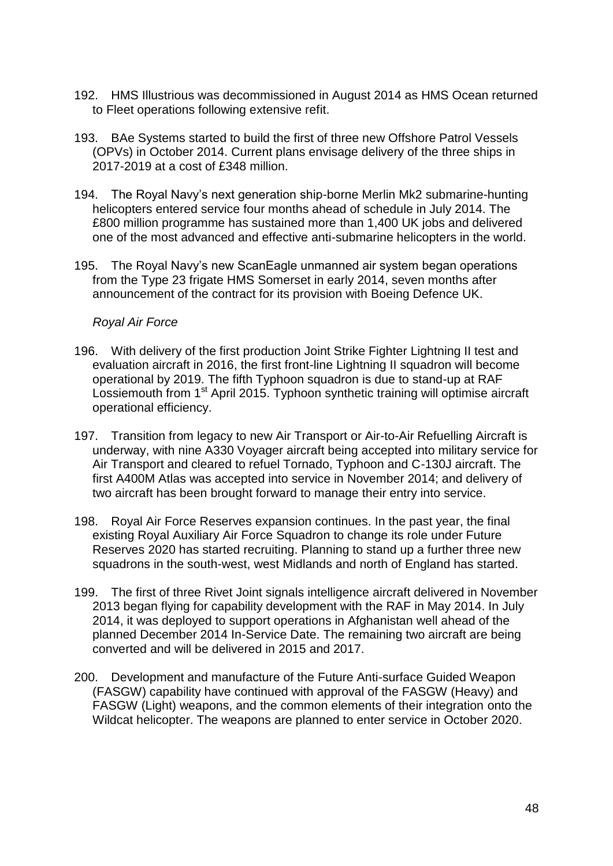- 192. HMS Illustrious was decommissioned in August 2014 as HMS Ocean returned to Fleet operations following extensive refit.
- 193. BAe Systems started to build the first of three new Offshore Patrol Vessels (OPVs) in October 2014. Current plans envisage delivery of the three ships in 2017-2019 at a cost of £348 million.
- 194. The Royal Navy"s next generation ship-borne Merlin Mk2 submarine-hunting helicopters entered service four months ahead of schedule in July 2014. The £800 million programme has sustained more than 1,400 UK jobs and delivered one of the most advanced and effective anti-submarine helicopters in the world.
- 195. The Royal Navy"s new ScanEagle unmanned air system began operations from the Type 23 frigate HMS Somerset in early 2014, seven months after announcement of the contract for its provision with Boeing Defence UK.

## *Royal Air Force*

- 196. With delivery of the first production Joint Strike Fighter Lightning II test and evaluation aircraft in 2016, the first front-line Lightning II squadron will become operational by 2019. The fifth Typhoon squadron is due to stand-up at RAF Lossiemouth from 1<sup>st</sup> April 2015. Typhoon synthetic training will optimise aircraft operational efficiency.
- 197. Transition from legacy to new Air Transport or Air-to-Air Refuelling Aircraft is underway, with nine A330 Voyager aircraft being accepted into military service for Air Transport and cleared to refuel Tornado, Typhoon and C-130J aircraft. The first A400M Atlas was accepted into service in November 2014; and delivery of two aircraft has been brought forward to manage their entry into service.
- 198. Royal Air Force Reserves expansion continues. In the past year, the final existing Royal Auxiliary Air Force Squadron to change its role under Future Reserves 2020 has started recruiting. Planning to stand up a further three new squadrons in the south-west, west Midlands and north of England has started.
- 199. The first of three Rivet Joint signals intelligence aircraft delivered in November 2013 began flying for capability development with the RAF in May 2014. In July 2014, it was deployed to support operations in Afghanistan well ahead of the planned December 2014 In-Service Date. The remaining two aircraft are being converted and will be delivered in 2015 and 2017.
- 200. Development and manufacture of the Future Anti-surface Guided Weapon (FASGW) capability have continued with approval of the FASGW (Heavy) and FASGW (Light) weapons, and the common elements of their integration onto the Wildcat helicopter. The weapons are planned to enter service in October 2020.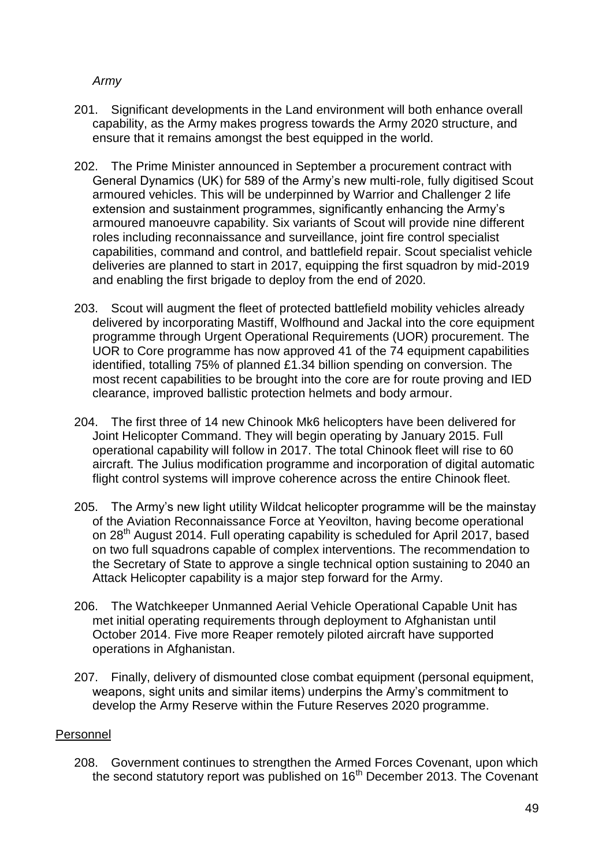# *Army*

- 201. Significant developments in the Land environment will both enhance overall capability, as the Army makes progress towards the Army 2020 structure, and ensure that it remains amongst the best equipped in the world.
- 202. The Prime Minister announced in September a procurement contract with General Dynamics (UK) for 589 of the Army"s new multi-role, fully digitised Scout armoured vehicles. This will be underpinned by Warrior and Challenger 2 life extension and sustainment programmes, significantly enhancing the Army"s armoured manoeuvre capability. Six variants of Scout will provide nine different roles including reconnaissance and surveillance, joint fire control specialist capabilities, command and control, and battlefield repair. Scout specialist vehicle deliveries are planned to start in 2017, equipping the first squadron by mid-2019 and enabling the first brigade to deploy from the end of 2020.
- 203. Scout will augment the fleet of protected battlefield mobility vehicles already delivered by incorporating Mastiff, Wolfhound and Jackal into the core equipment programme through Urgent Operational Requirements (UOR) procurement. The UOR to Core programme has now approved 41 of the 74 equipment capabilities identified, totalling 75% of planned £1.34 billion spending on conversion. The most recent capabilities to be brought into the core are for route proving and IED clearance, improved ballistic protection helmets and body armour.
- 204. The first three of 14 new Chinook Mk6 helicopters have been delivered for Joint Helicopter Command. They will begin operating by January 2015. Full operational capability will follow in 2017. The total Chinook fleet will rise to 60 aircraft. The Julius modification programme and incorporation of digital automatic flight control systems will improve coherence across the entire Chinook fleet.
- 205. The Army"s new light utility Wildcat helicopter programme will be the mainstay of the Aviation Reconnaissance Force at Yeovilton, having become operational on 28<sup>th</sup> August 2014. Full operating capability is scheduled for April 2017, based on two full squadrons capable of complex interventions. The recommendation to the Secretary of State to approve a single technical option sustaining to 2040 an Attack Helicopter capability is a major step forward for the Army.
- 206. The Watchkeeper Unmanned Aerial Vehicle Operational Capable Unit has met initial operating requirements through deployment to Afghanistan until October 2014. Five more Reaper remotely piloted aircraft have supported operations in Afghanistan.
- 207. Finally, delivery of dismounted close combat equipment (personal equipment, weapons, sight units and similar items) underpins the Army"s commitment to develop the Army Reserve within the Future Reserves 2020 programme.

# Personnel

208. Government continues to strengthen the Armed Forces Covenant, upon which the second statutory report was published on  $16<sup>th</sup>$  December 2013. The Covenant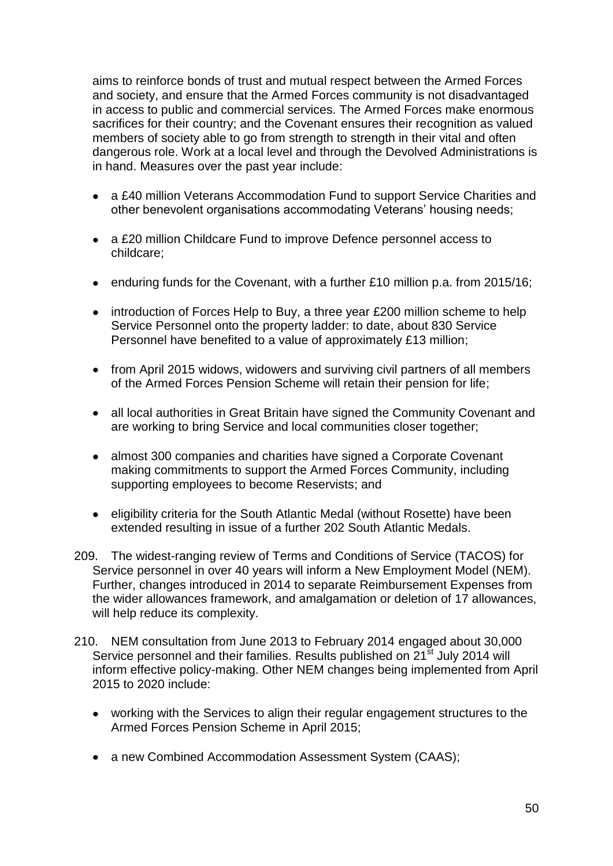aims to reinforce bonds of trust and mutual respect between the Armed Forces and society, and ensure that the Armed Forces community is not disadvantaged in access to public and commercial services. The Armed Forces make enormous sacrifices for their country; and the Covenant ensures their recognition as valued members of society able to go from strength to strength in their vital and often dangerous role. Work at a local level and through the Devolved Administrations is in hand. Measures over the past year include:

- a £40 million Veterans Accommodation Fund to support Service Charities and other benevolent organisations accommodating Veterans' housing needs;
- a £20 million Childcare Fund to improve Defence personnel access to childcare;
- enduring funds for the Covenant, with a further £10 million p.a. from 2015/16;
- introduction of Forces Help to Buy, a three year £200 million scheme to help Service Personnel onto the property ladder: to date, about 830 Service Personnel have benefited to a value of approximately £13 million;
- from April 2015 widows, widowers and surviving civil partners of all members of the Armed Forces Pension Scheme will retain their pension for life;
- all local authorities in Great Britain have signed the Community Covenant and are working to bring Service and local communities closer together;
- almost 300 companies and charities have signed a Corporate Covenant making commitments to support the Armed Forces Community, including supporting employees to become Reservists; and
- eligibility criteria for the South Atlantic Medal (without Rosette) have been  $\bullet$ extended resulting in issue of a further 202 South Atlantic Medals.
- 209. The widest-ranging review of Terms and Conditions of Service (TACOS) for Service personnel in over 40 years will inform a New Employment Model (NEM). Further, changes introduced in 2014 to separate Reimbursement Expenses from the wider allowances framework, and amalgamation or deletion of 17 allowances, will help reduce its complexity.
- 210. NEM consultation from June 2013 to February 2014 engaged about 30,000 Service personnel and their families. Results published on  $21<sup>st</sup>$  July 2014 will inform effective policy-making. Other NEM changes being implemented from April 2015 to 2020 include:
	- working with the Services to align their regular engagement structures to the Armed Forces Pension Scheme in April 2015;
	- a new Combined Accommodation Assessment System (CAAS);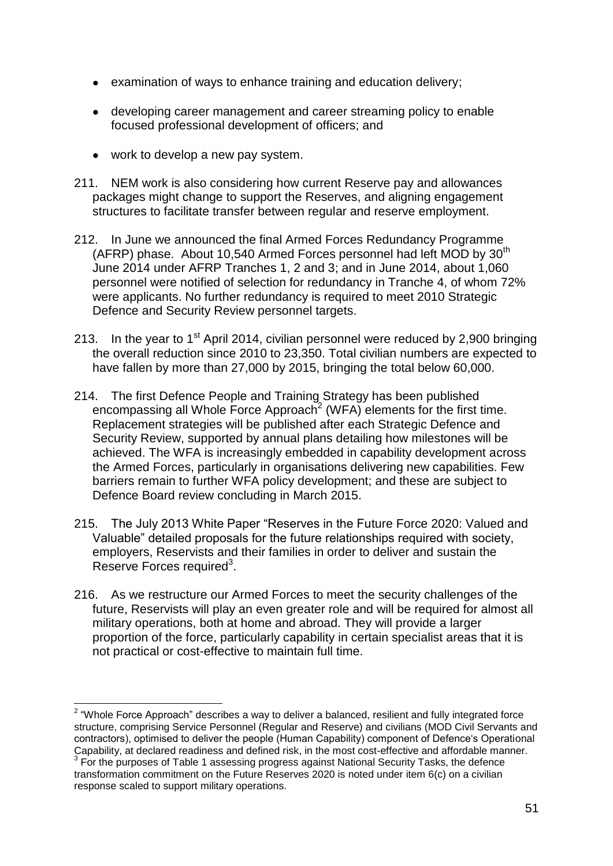- examination of ways to enhance training and education delivery;
- developing career management and career streaming policy to enable focused professional development of officers; and
- work to develop a new pay system.
- 211. NEM work is also considering how current Reserve pay and allowances packages might change to support the Reserves, and aligning engagement structures to facilitate transfer between regular and reserve employment.
- 212. In June we announced the final Armed Forces Redundancy Programme (AFRP) phase. About 10.540 Armed Forces personnel had left MOD by  $30<sup>th</sup>$ June 2014 under AFRP Tranches 1, 2 and 3; and in June 2014, about 1,060 personnel were notified of selection for redundancy in Tranche 4, of whom 72% were applicants. No further redundancy is required to meet 2010 Strategic Defence and Security Review personnel targets.
- 213. In the year to 1<sup>st</sup> April 2014, civilian personnel were reduced by 2,900 bringing the overall reduction since 2010 to 23,350. Total civilian numbers are expected to have fallen by more than 27,000 by 2015, bringing the total below 60,000.
- 214. The first Defence People and Training Strategy has been published encompassing all Whole Force Approach<sup>2</sup> (WFA) elements for the first time. Replacement strategies will be published after each Strategic Defence and Security Review, supported by annual plans detailing how milestones will be achieved. The WFA is increasingly embedded in capability development across the Armed Forces, particularly in organisations delivering new capabilities. Few barriers remain to further WFA policy development; and these are subject to Defence Board review concluding in March 2015.
- 215. The July 2013 White Paper "Reserves in the Future Force 2020: Valued and Valuable" detailed proposals for the future relationships required with society, employers, Reservists and their families in order to deliver and sustain the Reserve Forces required<sup>3</sup>.
- 216. As we restructure our Armed Forces to meet the security challenges of the future, Reservists will play an even greater role and will be required for almost all military operations, both at home and abroad. They will provide a larger proportion of the force, particularly capability in certain specialist areas that it is not practical or cost-effective to maintain full time.

 2 "Whole Force Approach" describes a way to deliver a balanced, resilient and fully integrated force structure, comprising Service Personnel (Regular and Reserve) and civilians (MOD Civil Servants and contractors), optimised to deliver the people (Human Capability) component of Defence"s Operational Capability, at declared readiness and defined risk, in the most cost-effective and affordable manner.  $3$  For the purposes of Table 1 assessing progress against National Security Tasks, the defence transformation commitment on the Future Reserves 2020 is noted under item 6(c) on a civilian

response scaled to support military operations.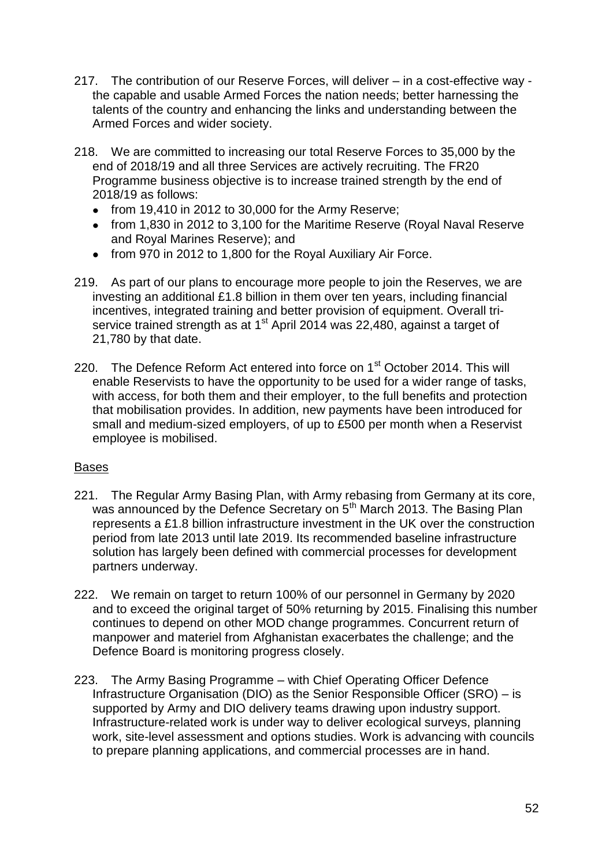- 217. The contribution of our Reserve Forces, will deliver in a cost-effective way the capable and usable Armed Forces the nation needs; better harnessing the talents of the country and enhancing the links and understanding between the Armed Forces and wider society.
- 218. We are committed to increasing our total Reserve Forces to 35,000 by the end of 2018/19 and all three Services are actively recruiting. The FR20 Programme business objective is to increase trained strength by the end of 2018/19 as follows:
	- from 19,410 in 2012 to 30,000 for the Army Reserve;
	- from 1,830 in 2012 to 3,100 for the Maritime Reserve (Royal Naval Reserve and Royal Marines Reserve); and
	- from 970 in 2012 to 1,800 for the Royal Auxiliary Air Force.
- 219. As part of our plans to encourage more people to join the Reserves, we are investing an additional £1.8 billion in them over ten years, including financial incentives, integrated training and better provision of equipment. Overall triservice trained strength as at 1<sup>st</sup> April 2014 was 22,480, against a target of 21,780 by that date.
- 220. The Defence Reform Act entered into force on 1<sup>st</sup> October 2014. This will enable Reservists to have the opportunity to be used for a wider range of tasks, with access, for both them and their employer, to the full benefits and protection that mobilisation provides. In addition, new payments have been introduced for small and medium-sized employers, of up to £500 per month when a Reservist employee is mobilised.

# Bases

- 221. The Regular Army Basing Plan, with Army rebasing from Germany at its core, was announced by the Defence Secretary on 5<sup>th</sup> March 2013. The Basing Plan represents a £1.8 billion infrastructure investment in the UK over the construction period from late 2013 until late 2019. Its recommended baseline infrastructure solution has largely been defined with commercial processes for development partners underway.
- 222. We remain on target to return 100% of our personnel in Germany by 2020 and to exceed the original target of 50% returning by 2015. Finalising this number continues to depend on other MOD change programmes. Concurrent return of manpower and materiel from Afghanistan exacerbates the challenge; and the Defence Board is monitoring progress closely.
- 223. The Army Basing Programme with Chief Operating Officer Defence Infrastructure Organisation (DIO) as the Senior Responsible Officer (SRO) – is supported by Army and DIO delivery teams drawing upon industry support. Infrastructure-related work is under way to deliver ecological surveys, planning work, site-level assessment and options studies. Work is advancing with councils to prepare planning applications, and commercial processes are in hand.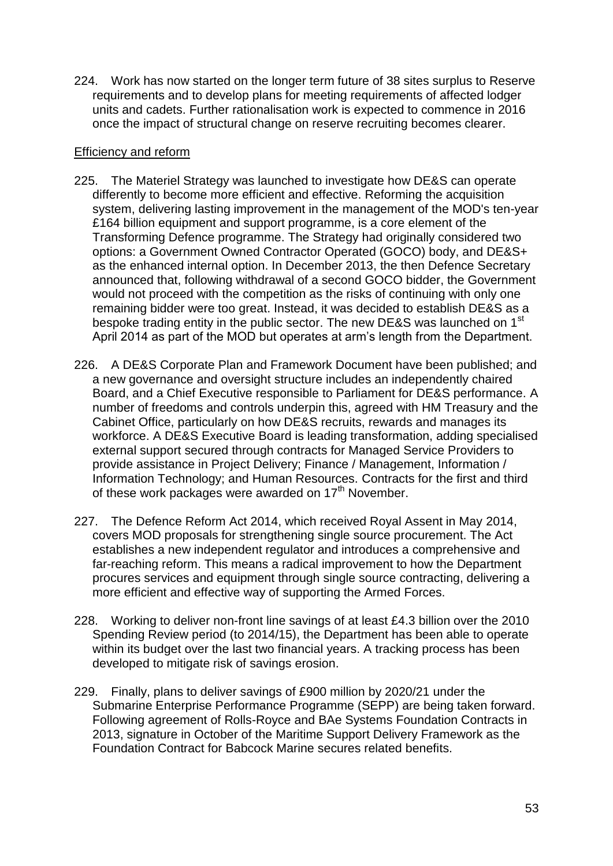224. Work has now started on the longer term future of 38 sites surplus to Reserve requirements and to develop plans for meeting requirements of affected lodger units and cadets. Further rationalisation work is expected to commence in 2016 once the impact of structural change on reserve recruiting becomes clearer.

## Efficiency and reform

- 225. The Materiel Strategy was launched to investigate how DE&S can operate differently to become more efficient and effective. Reforming the acquisition system, delivering lasting improvement in the management of the MOD's ten-year £164 billion equipment and support programme, is a core element of the Transforming Defence programme. The Strategy had originally considered two options: a Government Owned Contractor Operated (GOCO) body, and DE&S+ as the enhanced internal option. In December 2013, the then Defence Secretary announced that, following withdrawal of a second GOCO bidder, the Government would not proceed with the competition as the risks of continuing with only one remaining bidder were too great. Instead, it was decided to establish DE&S as a bespoke trading entity in the public sector. The new DE&S was launched on 1<sup>st</sup> April 2014 as part of the MOD but operates at arm"s length from the Department.
- 226. A DE&S Corporate Plan and Framework Document have been published; and a new governance and oversight structure includes an independently chaired Board, and a Chief Executive responsible to Parliament for DE&S performance. A number of freedoms and controls underpin this, agreed with HM Treasury and the Cabinet Office, particularly on how DE&S recruits, rewards and manages its workforce. A DE&S Executive Board is leading transformation, adding specialised external support secured through contracts for Managed Service Providers to provide assistance in Project Delivery; Finance / Management, Information / Information Technology; and Human Resources. Contracts for the first and third of these work packages were awarded on 17<sup>th</sup> November.
- 227. The Defence Reform Act 2014, which received Royal Assent in May 2014, covers MOD proposals for strengthening single source procurement. The Act establishes a new independent regulator and introduces a comprehensive and far-reaching reform. This means a radical improvement to how the Department procures services and equipment through single source contracting, delivering a more efficient and effective way of supporting the Armed Forces.
- 228. Working to deliver non-front line savings of at least £4.3 billion over the 2010 Spending Review period (to 2014/15), the Department has been able to operate within its budget over the last two financial years. A tracking process has been developed to mitigate risk of savings erosion.
- 229. Finally, plans to deliver savings of £900 million by 2020/21 under the Submarine Enterprise Performance Programme (SEPP) are being taken forward. Following agreement of Rolls-Royce and BAe Systems Foundation Contracts in 2013, signature in October of the Maritime Support Delivery Framework as the Foundation Contract for Babcock Marine secures related benefits.